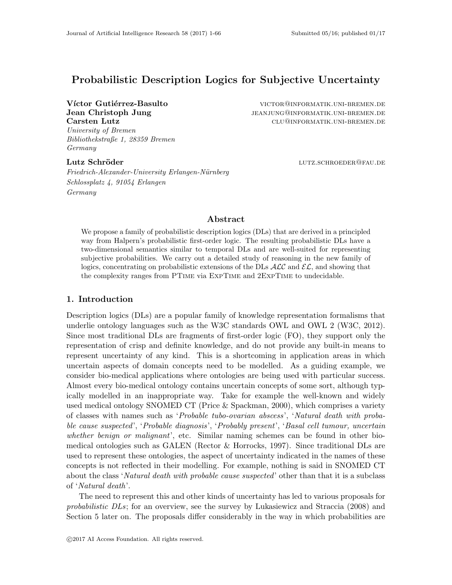# Probabilistic Description Logics for Subjective Uncertainty

University of Bremen Bibliothekstraße 1, 28359 Bremen Germany

Friedrich-Alexander-University Erlangen-Nürnberg Schlossplatz 4, 91054 Erlangen Germany

Víctor Gutiérrez-Basulto victor@informatik.uni-bremen.de **Jean Christoph Jung in the Sean of the Sean Christoph Jung 1997** JEANJUNG@INFORMATIK.UNI-BREMEN.DE Carsten Lutz clu@informatik.uni-bremen.de

Lutz Schröder lutz.schroeder lutz.schroeder

## Abstract

We propose a family of probabilistic description logics (DLs) that are derived in a principled way from Halpern's probabilistic first-order logic. The resulting probabilistic DLs have a two-dimensional semantics similar to temporal DLs and are well-suited for representing subjective probabilities. We carry out a detailed study of reasoning in the new family of logics, concentrating on probabilistic extensions of the DLs  $\text{ALC}$  and  $\text{EL}$ , and showing that the complexity ranges from PTime via ExpTime and 2ExpTime to undecidable.

## 1. Introduction

Description logics (DLs) are a popular family of knowledge representation formalisms that underlie ontology languages such as the W3C standards OWL and OWL 2 (W3C, 2012). Since most traditional DLs are fragments of first-order logic (FO), they support only the representation of crisp and definite knowledge, and do not provide any built-in means to represent uncertainty of any kind. This is a shortcoming in application areas in which uncertain aspects of domain concepts need to be modelled. As a guiding example, we consider bio-medical applications where ontologies are being used with particular success. Almost every bio-medical ontology contains uncertain concepts of some sort, although typically modelled in an inappropriate way. Take for example the well-known and widely used medical ontology SNOMED CT (Price & Spackman, 2000), which comprises a variety of classes with names such as 'Probable tubo-ovarian abscess', 'Natural death with probable cause suspected', 'Probable diagnosis', 'Probably present', 'Basal cell tumour, uncertain whether benign or malignant', etc. Similar naming schemes can be found in other biomedical ontologies such as GALEN (Rector & Horrocks, 1997). Since traditional DLs are used to represent these ontologies, the aspect of uncertainty indicated in the names of these concepts is not reflected in their modelling. For example, nothing is said in SNOMED CT about the class 'Natural death with probable cause suspected' other than that it is a subclass of 'Natural death'.

The need to represent this and other kinds of uncertainty has led to various proposals for probabilistic DLs; for an overview, see the survey by Lukasiewicz and Straccia (2008) and Section 5 later on. The proposals differ considerably in the way in which probabilities are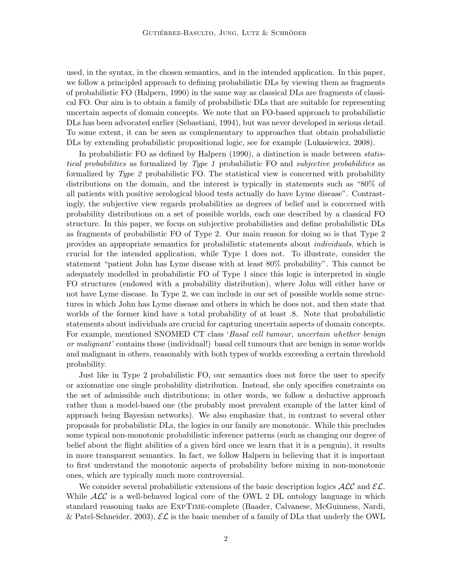used, in the syntax, in the chosen semantics, and in the intended application. In this paper, we follow a principled approach to defining probabilistic DLs by viewing them as fragments of probabilistic FO (Halpern, 1990) in the same way as classical DLs are fragments of classical FO. Our aim is to obtain a family of probabilistic DLs that are suitable for representing uncertain aspects of domain concepts. We note that an FO-based approach to probabilistic DLs has been advocated earlier (Sebastiani, 1994), but was never developed in serious detail. To some extent, it can be seen as complementary to approaches that obtain probabilistic DLs by extending probabilistic propositional logic, see for example (Lukasiewicz, 2008).

In probabilistic FO as defined by Halpern (1990), a distinction is made between statistical probabilities as formalized by Type 1 probabilistic FO and subjective probabilities as formalized by Type 2 probabilistic FO. The statistical view is concerned with probability distributions on the domain, and the interest is typically in statements such as "80% of all patients with positive serological blood tests actually do have Lyme disease". Contrastingly, the subjective view regards probabilities as degrees of belief and is concerned with probability distributions on a set of possible worlds, each one described by a classical FO structure. In this paper, we focus on subjective probabilisties and define probabilistic DLs as fragments of probabilistic FO of Type 2. Our main reason for doing so is that Type 2 provides an appropriate semantics for probabilistic statements about individuals, which is crucial for the intended application, while Type 1 does not. To illustrate, consider the statement "patient John has Lyme disease with at least 80% probability". This cannot be adequately modelled in probabilistic FO of Type 1 since this logic is interpreted in single FO structures (endowed with a probability distribution), where John will either have or not have Lyme disease. In Type 2, we can include in our set of possible worlds some structures in which John has Lyme disease and others in which he does not, and then state that worlds of the former kind have a total probability of at least .8. Note that probabilistic statements about individuals are crucial for capturing uncertain aspects of domain concepts. For example, mentioned SNOMED CT class 'Basal cell tumour, uncertain whether benign or malignant' contains those (individual!) basal cell tumours that are benign in some worlds and malignant in others, reasonably with both types of worlds exceeding a certain threshold probability.

Just like in Type 2 probabilistic FO, our semantics does not force the user to specify or axiomatize one single probability distribution. Instead, she only specifies constraints on the set of admissible such distributions; in other words, we follow a deductive approach rather than a model-based one (the probably most prevalent example of the latter kind of approach being Bayesian networks). We also emphasize that, in contrast to several other proposals for probabilistic DLs, the logics in our family are monotonic. While this precludes some typical non-monotonic probabilistic inference patterns (such as changing our degree of belief about the flight abilities of a given bird once we learn that it is a penguin), it results in more transparent semantics. In fact, we follow Halpern in believing that it is important to first understand the monotonic aspects of probability before mixing in non-monotonic ones, which are typically much more controversial.

We consider several probabilistic extensions of the basic description logics  $\mathcal{ALC}$  and  $\mathcal{EL}$ . While  $\mathcal{ALC}$  is a well-behaved logical core of the OWL 2 DL ontology language in which standard reasoning tasks are ExpTime-complete (Baader, Calvanese, McGuinness, Nardi, & Patel-Schneider, 2003),  $\mathcal{EL}$  is the basic member of a family of DLs that underly the OWL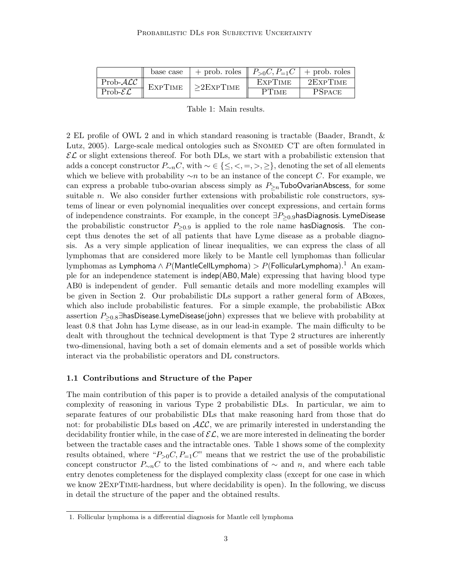|                      | base case      | + prob. roles $\parallel P_{>0}C, P_{=1}C \parallel$ + prob. roles |                |                 |
|----------------------|----------------|--------------------------------------------------------------------|----------------|-----------------|
| $Prob-\mathcal{ALC}$ | <b>EXPTIME</b> | $\vert >$ 2ExpTime                                                 | <b>EXPTIME</b> | $2$ Exp $T$ ime |
| Prob- $\mathcal{EL}$ |                |                                                                    | PTIME          | <b>PSPACE</b>   |

Table 1: Main results.

2 EL profile of OWL 2 and in which standard reasoning is tractable (Baader, Brandt, & Lutz, 2005). Large-scale medical ontologies such as SNOMED CT are often formulated in  $\mathcal{EL}$  or slight extensions thereof. For both DLs, we start with a probabilistic extension that adds a concept constructor  $P_{\sim n}C$ , with  $\sim \in \{\leq, <, =, >, \geq\}$ , denoting the set of all elements which we believe with probability  $\sim n$  to be an instance of the concept C. For example, we can express a probable tubo-ovarian abscess simply as  $P_{\geq n}$ TuboOvarianAbscess, for some suitable  $n$ . We also consider further extensions with probabilistic role constructors, systems of linear or even polynomial inequalities over concept expressions, and certain forms of independence constraints. For example, in the concept  $\exists P_{\geq 0.9}$ hasDiagnosis. LymeDisease the probabilistic constructor  $P_{\geq 0.9}$  is applied to the role name hasDiagnosis. The concept thus denotes the set of all patients that have Lyme disease as a probable diagnosis. As a very simple application of linear inequalities, we can express the class of all lymphomas that are considered more likely to be Mantle cell lymphomas than follicular lymphomas as Lymphoma ∧  $P(\mathsf{MantleCellLymphoma}) > P(\mathsf{FollicularLymphoma})$ .<sup>1</sup> An example for an independence statement is indep(AB0, Male) expressing that having blood type AB0 is independent of gender. Full semantic details and more modelling examples will be given in Section 2. Our probabilistic DLs support a rather general form of ABoxes, which also include probabilistic features. For a simple example, the probabilistic ABox assertion  $P_{\geq 0.8}$ ∃hasDisease.LymeDisease(john) expresses that we believe with probability at least 0.8 that John has Lyme disease, as in our lead-in example. The main difficulty to be dealt with throughout the technical development is that Type 2 structures are inherently two-dimensional, having both a set of domain elements and a set of possible worlds which interact via the probabilistic operators and DL constructors.

### 1.1 Contributions and Structure of the Paper

The main contribution of this paper is to provide a detailed analysis of the computational complexity of reasoning in various Type 2 probabilistic DLs. In particular, we aim to separate features of our probabilistic DLs that make reasoning hard from those that do not: for probabilistic DLs based on  $\text{ACC}$ , we are primarily interested in understanding the decidability frontier while, in the case of  $\mathcal{EL}$ , we are more interested in delineating the border between the tractable cases and the intractable ones. Table 1 shows some of the complexity results obtained, where " $P_{>0}C, P_{=1}C$ " means that we restrict the use of the probabilistic concept constructor  $P_{\sim n}C$  to the listed combinations of  $\sim$  and n, and where each table entry denotes completeness for the displayed complexity class (except for one case in which we know 2ExpTime-hardness, but where decidability is open). In the following, we discuss in detail the structure of the paper and the obtained results.

<sup>1.</sup> Follicular lymphoma is a differential diagnosis for Mantle cell lymphoma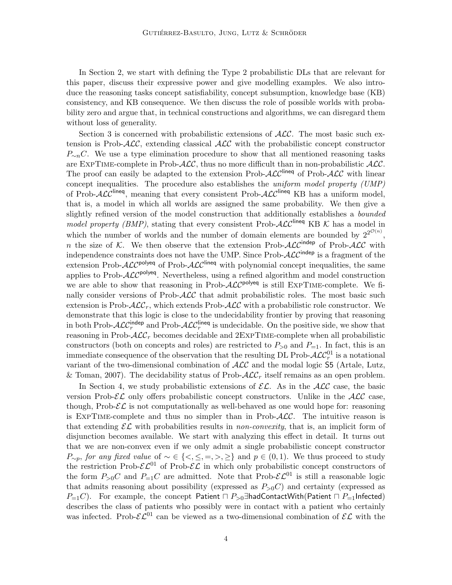In Section 2, we start with defining the Type 2 probabilistic DLs that are relevant for this paper, discuss their expressive power and give modelling examples. We also introduce the reasoning tasks concept satisfiability, concept subsumption, knowledge base (KB) consistency, and KB consequence. We then discuss the role of possible worlds with probability zero and argue that, in technical constructions and algorithms, we can disregard them without loss of generality.

Section 3 is concerned with probabilistic extensions of  $\text{ALC}$ . The most basic such extension is Prob- $\mathcal{ALC}$ , extending classical  $\mathcal{ALC}$  with the probabilistic concept constructor  $P_{\sim n}C$ . We use a type elimination procedure to show that all mentioned reasoning tasks are EXPTIME-complete in Prob- $\mathcal{ALC}$ , thus no more difficult than in non-probabilistic  $\mathcal{ALC}$ . The proof can easily be adapted to the extension Prob- $\cal{ALC}^{\text{lineq}}$  of Prob- $\cal{ALC}$  with linear concept inequalities. The procedure also establishes the *uniform model property (UMP)* of Prob- $\cal{ALC}^{\text{lineq}}$ , meaning that every consistent Prob- $\cal{ALC}^{\text{lineq}}$  KB has a uniform model, that is, a model in which all worlds are assigned the same probability. We then give a slightly refined version of the model construction that additionally establishes a *bounded* model property (BMP), stating that every consistent Prob- $\mathcal{ALC}^{\text{lineq}}$  KB K has a model in which the number of worlds and the number of domain elements are bounded by  $2^{2^{\mathcal{O}(n)}}$ , n the size of K. We then observe that the extension Prob- $\mathcal{ALC}^{\text{indep}}$  of Prob- $\mathcal{ALC}$  with independence constraints does not have the UMP. Since Prob- $\mathcal{ALC}^{\text{indep}}$  is a fragment of the extension Prob- $\text{ALC}^{\text{polyeq}}$  of Prob- $\text{ALC}^{\text{lineq}}$  with polynomial concept inequalities, the same applies to Prob- $\mathcal{ALC}^{\text{polyeq}}$ . Nevertheless, using a refined algorithm and model construction we are able to show that reasoning in Prob- $\mathcal{ALC}^{\text{polyeq}}$  is still EXPTIME-complete. We finally consider versions of Prob- $\mathcal{ALC}$  that admit probabilistic roles. The most basic such extension is Prob- $\mathcal{ALC}_r$ , which extends Prob- $\mathcal{ALC}$  with a probabilistic role constructor. We demonstrate that this logic is close to the undecidability frontier by proving that reasoning in both Prob- $\cal{ALC}_r^{\text{indep}}$  and Prob- $\cal{ALC}_r^{\text{linear}}$  is undecidable. On the positive side, we show that reasoning in Prob- $\mathcal{ALC}_r$  becomes decidable and  $2\text{EXPTIME-complete}$  when all probabilistic constructors (both on concepts and roles) are restricted to  $P_{>0}$  and  $P_{=1}$ . In fact, this is an immediate consequence of the observation that the resulting DL Prob- $\mathcal{ALC}^{01}_r$  is a notational variant of the two-dimensional combination of  $\mathcal{ALC}$  and the modal logic  $\mathsf{S5}$  (Artale, Lutz, & Toman, 2007). The decidability status of Prob- $\mathcal{ALC}_r$  itself remains as an open problem.

In Section 4, we study probabilistic extensions of  $\mathcal{EL}$ . As in the  $\mathcal{ALC}$  case, the basic version Prob- $\mathcal{EL}$  only offers probabilistic concept constructors. Unlike in the  $\mathcal{ALC}$  case, though, Prob- $\mathcal{EL}$  is not computationally as well-behaved as one would hope for: reasoning is EXPTIME-complete and thus no simpler than in Prob- $\mathcal{ALC}$ . The intuitive reason is that extending  $\mathcal{EL}$  with probabilities results in *non-convexity*, that is, an implicit form of disjunction becomes available. We start with analyzing this effect in detail. It turns out that we are non-convex even if we only admit a single probabilistic concept constructor  $P_{\sim p}$ , for any fixed value of ~ ∈ {<, ≤, =, >, ≥} and  $p \in (0,1)$ . We thus proceed to study the restriction Prob- $\mathcal{EL}^{01}$  of Prob- $\mathcal{EL}$  in which only probabilistic concept constructors of the form  $P_{>0}C$  and  $P_{=1}C$  are admitted. Note that Prob- $\mathcal{EL}^{01}$  is still a reasonable logic that admits reasoning about possibility (expressed as  $P_{>0}C$ ) and certainty (expressed as  $P_{=1}C$ ). For example, the concept Patient  $\Box P_{>0}$  =hadContactWith(Patient  $\Box P_{=1}$ Infected) describes the class of patients who possibly were in contact with a patient who certainly was infected. Prob- $\mathcal{EL}^{01}$  can be viewed as a two-dimensional combination of  $\mathcal{EL}$  with the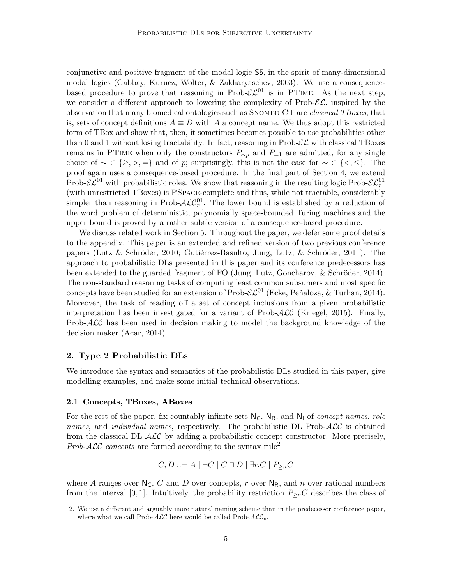conjunctive and positive fragment of the modal logic S5, in the spirit of many-dimensional modal logics (Gabbay, Kurucz, Wolter, & Zakharyaschev, 2003). We use a consequencebased procedure to prove that reasoning in Prob- $\mathcal{EL}^{01}$  is in PTIME. As the next step, we consider a different approach to lowering the complexity of Prob- $\mathcal{EL}$ , inspired by the observation that many biomedical ontologies such as SNOMED CT are *classical TBoxes*, that is, sets of concept definitions  $A \equiv D$  with A a concept name. We thus adopt this restricted form of TBox and show that, then, it sometimes becomes possible to use probabilities other than 0 and 1 without losing tractability. In fact, reasoning in  $\text{Prob-}\mathcal{EL}$  with classical TBoxes remains in PTIME when only the constructors  $P_{\sim p}$  and  $P_{=1}$  are admitted, for any single choice of  $\sim \in \{\geq, >, =\}$  and of p; surprisingly, this is not the case for  $\sim \in \{\leq, \leq\}$ . The proof again uses a consequence-based procedure. In the final part of Section 4, we extend Prob- $\mathcal{EL}^{01}$  with probabilistic roles. We show that reasoning in the resulting logic Prob- $\mathcal{EL}^{01}_r$ (with unrestricted TBoxes) is PSpace-complete and thus, while not tractable, considerably simpler than reasoning in Prob- $\mathcal{ALC}_r^{01}$ . The lower bound is established by a reduction of the word problem of deterministic, polynomially space-bounded Turing machines and the upper bound is proved by a rather subtle version of a consequence-based procedure.

We discuss related work in Section 5. Throughout the paper, we defer some proof details to the appendix. This paper is an extended and refined version of two previous conference papers (Lutz & Schröder, 2010; Gutiérrez-Basulto, Jung, Lutz, & Schröder, 2011). The approach to probabilistic DLs presented in this paper and its conference predecessors has been extended to the guarded fragment of  $FO$  (Jung, Lutz, Goncharov,  $\&$  Schröder, 2014). The non-standard reasoning tasks of computing least common subsumers and most specific concepts have been studied for an extension of Prob- $\mathcal{EL}^{01}$  (Ecke, Peñaloza, & Turhan, 2014). Moreover, the task of reading off a set of concept inclusions from a given probabilistic interpretation has been investigated for a variant of Prob- $\mathcal{ALC}$  (Kriegel, 2015). Finally, Prob- $\mathcal{ALC}$  has been used in decision making to model the background knowledge of the decision maker (Acar, 2014).

### 2. Type 2 Probabilistic DLs

We introduce the syntax and semantics of the probabilistic DLs studied in this paper, give modelling examples, and make some initial technical observations.

## 2.1 Concepts, TBoxes, ABoxes

For the rest of the paper, fix countably infinite sets  $N_c$ ,  $N_R$ , and  $N_l$  of *concept names, role* names, and *individual names*, respectively. The probabilistic DL Prob-ALC is obtained from the classical DL  $\mathcal{ALC}$  by adding a probabilistic concept constructor. More precisely, *Prob-ALC concepts* are formed according to the syntax rule<sup>2</sup>

$$
C, D ::= A \mid \neg C \mid C \sqcap D \mid \exists r.C \mid P_{\geq n}C
$$

where A ranges over  $N_c$ , C and D over concepts, r over  $N_R$ , and n over rational numbers from the interval [0, 1]. Intuitively, the probability restriction  $P_{\geq n}C$  describes the class of

<sup>2.</sup> We use a different and arguably more natural naming scheme than in the predecessor conference paper, where what we call Prob- $\mathcal{ALC}$  here would be called Prob- $\mathcal{ALC}_c$ .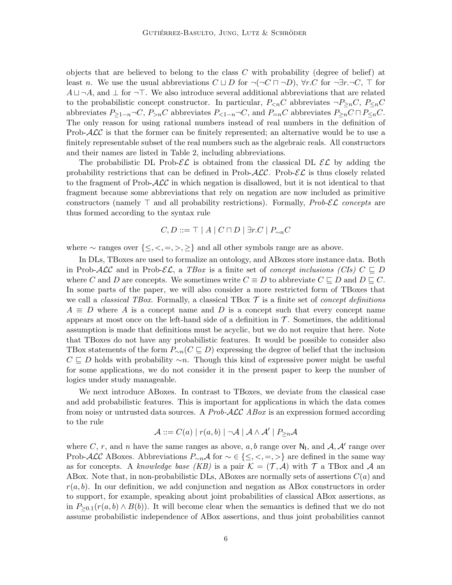objects that are believed to belong to the class  $C$  with probability (degree of belief) at least n. We use the usual abbreviations  $C \sqcup D$  for  $\neg(\neg C \sqcap \neg D)$ ,  $\forall r.C$  for  $\neg \exists r.\neg C, \top$  for  $A \sqcup \neg A$ , and  $\perp$  for  $\neg \top$ . We also introduce several additional abbreviations that are related to the probabilistic concept constructor. In particular,  $P_{\le n}C$  abbreviates  $\neg P_{\le n}C$ ,  $P_{\le n}C$ abbreviates  $P_{\geq 1-n} \neg C$ ,  $P_{\geq n}C$  abbreviates  $P_{\leq 1-n} \neg C$ , and  $P_{=n}C$  abbreviates  $P_{\geq n}C \sqcap P_{\leq n}C$ . The only reason for using rational numbers instead of real numbers in the definition of Prob- $\mathcal{ALC}$  is that the former can be finitely represented; an alternative would be to use a finitely representable subset of the real numbers such as the algebraic reals. All constructors and their names are listed in Table 2, including abbreviations.

The probabilistic DL Prob- $\mathcal{EL}$  is obtained from the classical DL  $\mathcal{EL}$  by adding the probability restrictions that can be defined in Prob- $\mathcal{ALC}$ . Prob- $\mathcal{EL}$  is thus closely related to the fragment of Prob- $\mathcal{ALC}$  in which negation is disallowed, but it is not identical to that fragment because some abbreviations that rely on negation are now included as primitive constructors (namely  $\top$  and all probability restrictions). Formally, *Prob-EL* concepts are thus formed according to the syntax rule

$$
C, D ::= \top | A | C \sqcap D | \exists r.C | P_{\sim n} C
$$

where  $\sim$  ranges over  $\{\leq, <, =, >, \geq\}$  and all other symbols range are as above.

In DLs, TBoxes are used to formalize an ontology, and ABoxes store instance data. Both in Prob-ALC and in Prob- $\mathcal{EL}$ , a TBox is a finite set of concept inclusions (CIs)  $C \sqsubseteq D$ where C and D are concepts. We sometimes write  $C \equiv D$  to abbreviate  $C \sqsubseteq D$  and  $D \sqsubseteq C$ . In some parts of the paper, we will also consider a more restricted form of TBoxes that we call a *classical TBox*. Formally, a classical TBox  $\mathcal T$  is a finite set of *concept definitions*  $A \equiv D$  where A is a concept name and D is a concept such that every concept name appears at most once on the left-hand side of a definition in  $\mathcal T$ . Sometimes, the additional assumption is made that definitions must be acyclic, but we do not require that here. Note that TBoxes do not have any probabilistic features. It would be possible to consider also TBox statements of the form  $P_{\sim n}(C \sqsubseteq D)$  expressing the degree of belief that the inclusion  $C \subseteq D$  holds with probability ∼n. Though this kind of expressive power might be useful for some applications, we do not consider it in the present paper to keep the number of logics under study manageable.

We next introduce ABoxes. In contrast to TBoxes, we deviate from the classical case and add probabilistic features. This is important for applications in which the data comes from noisy or untrusted data sources. A Prob- $\mathcal{ALC}$  ABox is an expression formed according to the rule

$$
\mathcal{A} ::= C(a) | r(a, b) | \neg \mathcal{A} | \mathcal{A} \land \mathcal{A}' | P_{\geq n} \mathcal{A}
$$

where C, r, and n have the same ranges as above, a, b range over  $N_1$ , and  $A$ ,  $A'$  range over Prob-ALC ABoxes. Abbreviations  $P_{\sim n}A$  for  $\sim \in \{\leq, <, =, >\}$  are defined in the same way as for concepts. A knowledge base (KB) is a pair  $\mathcal{K} = (\mathcal{T}, \mathcal{A})$  with  $\mathcal{T}$  a TBox and  $\mathcal{A}$  an ABox. Note that, in non-probabilistic DLs, ABoxes are normally sets of assertions  $C(a)$  and  $r(a, b)$ . In our definition, we add conjunction and negation as ABox constructors in order to support, for example, speaking about joint probabilities of classical ABox assertions, as in  $P_{\geq 0,1}(r(a,b) \wedge B(b))$ . It will become clear when the semantics is defined that we do not assume probabilistic independence of ABox assertions, and thus joint probabilities cannot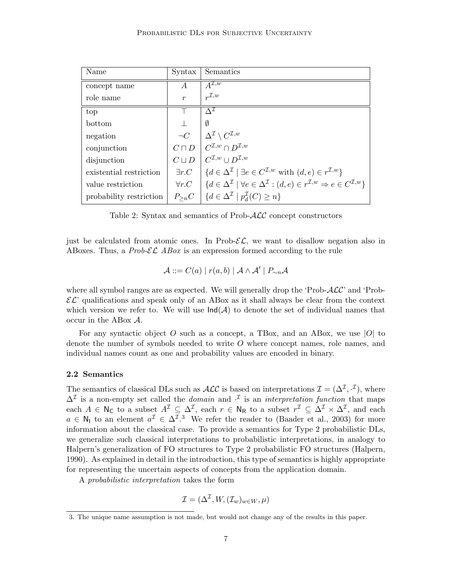| Name                    | Syntax           | Semantics                                                                                                                                                                                                            |
|-------------------------|------------------|----------------------------------------------------------------------------------------------------------------------------------------------------------------------------------------------------------------------|
| concept name            | A                | $A^{\mathcal{I},w}$                                                                                                                                                                                                  |
| role name               | $\boldsymbol{r}$ | $r^{\mathcal{I},w}$                                                                                                                                                                                                  |
| top                     |                  | $\Lambda^{\mathcal{I}}$                                                                                                                                                                                              |
| bottom                  |                  | Ø                                                                                                                                                                                                                    |
| negation                |                  | $\left. \begin{array}{c} \neg C \\ \neg C \sqcap D \end{array} \right\vert \left. \begin{array}{c} \Delta^{\mathcal{I}} \setminus C^{\mathcal{I},w} \\ C^{\mathcal{I},w} \cap D^{\mathcal{I},w} \end{array} \right.$ |
| conjunction             |                  |                                                                                                                                                                                                                      |
| disjunction             | $C \sqcup D$     | $C^{\mathcal{I},w} \cup D^{\mathcal{I},w}$                                                                                                                                                                           |
| existential restriction |                  | $\exists r.C \mid \{d \in \Delta^{\mathcal{I}} \mid \exists e \in C^{\mathcal{I},w} \text{ with } (d,e) \in r^{\mathcal{I},w}\}\$                                                                                    |
| value restriction       |                  | $\forall r.C \mid \{d \in \Delta^{\mathcal{I}} \mid \forall e \in \Delta^{\mathcal{I}} : (d,e) \in r^{\mathcal{I},w} \Rightarrow e \in C^{\mathcal{I},w}\}\$                                                         |
| probability restriction |                  | $P_{\geq n}C \mid \{d \in \Delta^{\mathcal{I}} \mid p_d^{\mathcal{I}}(C) \geq n\}$                                                                                                                                   |

Table 2: Syntax and semantics of Prob-ALC concept constructors

just be calculated from atomic ones. In Prob- $\mathcal{EL}$ , we want to disallow negation also in ABoxes. Thus, a *Prob-EL ABox* is an expression formed according to the rule

$$
\mathcal{A} ::= C(a) | r(a, b) | \mathcal{A} \wedge \mathcal{A}' | P_{\sim n} \mathcal{A}
$$

where all symbol ranges are as expected. We will generally drop the 'Prob- $\mathcal{ALC}$ ' and 'Prob- $\mathcal{EL}$  qualifications and speak only of an ABox as it shall always be clear from the context which version we refer to. We will use  $\text{Ind}(\mathcal{A})$  to denote the set of individual names that occur in the ABox A.

For any syntactic object O such as a concept, a TBox, and an ABox, we use  $|O|$  to denote the number of symbols needed to write O where concept names, role names, and individual names count as one and probability values are encoded in binary.

### 2.2 Semantics

The semantics of classical DLs such as  $\mathcal{ALC}$  is based on interpretations  $\mathcal{I} = (\Delta^{\mathcal{I}}, \cdot^{\mathcal{I}})$ , where  $\Delta^{\mathcal{I}}$  is a non-empty set called the *domain* and  $\cdot^{\mathcal{I}}$  is an *interpretation function* that maps each  $A \in \mathsf{N}_{\mathsf{C}}$  to a subset  $A^{\mathcal{I}} \subseteq \Delta^{\mathcal{I}}$ , each  $r \in \mathsf{N}_{\mathsf{R}}$  to a subset  $r^{\mathcal{I}} \subseteq \Delta^{\mathcal{I}} \times \Delta^{\mathcal{I}}$ , and each  $a \in \mathsf{N}_1$  to an element  $a^{\mathcal{I}} \in \Delta^{\mathcal{I},3}$  We refer the reader to (Baader et al., 2003) for more information about the classical case. To provide a semantics for Type 2 probabilistic DLs, we generalize such classical interpretations to probabilistic interpretations, in analogy to Halpern's generalization of FO structures to Type 2 probabilistic FO structures (Halpern, 1990). As explained in detail in the introduction, this type of semantics is highly appropriate for representing the uncertain aspects of concepts from the application domain.

A probabilistic interpretation takes the form

$$
\mathcal{I} = (\Delta^{\mathcal{I}}, W, (\mathcal{I}_w)_{w \in W}, \mu)
$$

<sup>3.</sup> The unique name assumption is not made, but would not change any of the results in this paper.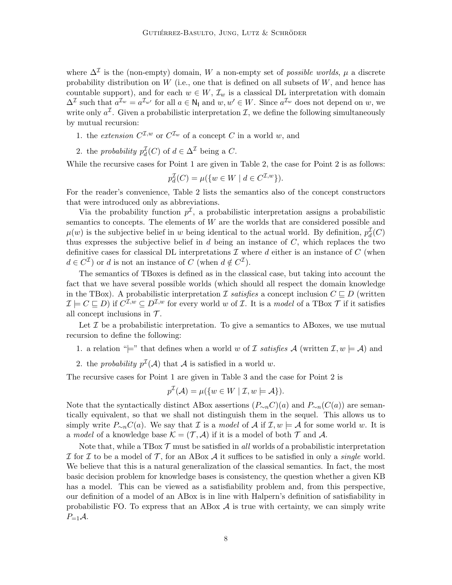where  $\Delta^{\mathcal{I}}$  is the (non-empty) domain, W a non-empty set of *possible worlds*,  $\mu$  a discrete probability distribution on  $W$  (i.e., one that is defined on all subsets of  $W$ , and hence has countable support), and for each  $w \in W$ ,  $\mathcal{I}_w$  is a classical DL interpretation with domain  $\Delta^{\mathcal{I}}$  such that  $a^{\mathcal{I}_w} = a^{\mathcal{I}_{w'}}$  for all  $a \in \mathsf{N}_1$  and  $w, w' \in W$ . Since  $a^{\mathcal{I}_w}$  does not depend on  $w$ , we write only  $a^{\mathcal{I}}$ . Given a probabilistic interpretation  $\mathcal{I}$ , we define the following simultaneously by mutual recursion:

- 1. the extension  $C^{\mathcal{I},w}$  or  $C^{\mathcal{I}_w}$  of a concept C in a world w, and
- 2. the *probability*  $p_d^{\mathcal{I}}(C)$  of  $d \in \Delta^{\mathcal{I}}$  being a C.

While the recursive cases for Point 1 are given in Table 2, the case for Point 2 is as follows:

$$
p_d^{\mathcal{I}}(C) = \mu(\{w \in W \mid d \in C^{\mathcal{I},w}\}).
$$

For the reader's convenience, Table 2 lists the semantics also of the concept constructors that were introduced only as abbreviations.

Via the probability function  $p^{\mathcal{I}}$ , a probabilistic interpretation assigns a probabilistic semantics to concepts. The elements of  $W$  are the worlds that are considered possible and  $\mu(w)$  is the subjective belief in w being identical to the actual world. By definition,  $p_d^{\mathcal{I}}(C)$ thus expresses the subjective belief in  $d$  being an instance of  $C$ , which replaces the two definitive cases for classical DL interpretations  $\mathcal I$  where  $d$  either is an instance of  $C$  (when  $d \in C^{\mathcal{I}}$  or d is not an instance of C (when  $d \notin C^{\mathcal{I}}$ ).

The semantics of TBoxes is defined as in the classical case, but taking into account the fact that we have several possible worlds (which should all respect the domain knowledge in the TBox). A probabilistic interpretation I satisfies a concept inclusion  $C \subseteq D$  (written  $\mathcal{I} \models C \sqsubseteq D$ ) if  $C^{\mathcal{I},w} \subseteq D^{\mathcal{I},w}$  for every world w of  $\mathcal{I}$ . It is a model of a TBox  $\mathcal{T}$  if it satisfies all concept inclusions in  $\mathcal{T}$ .

Let  $\mathcal I$  be a probabilistic interpretation. To give a semantics to ABoxes, we use mutual recursion to define the following:

1. a relation " $\models$ " that defines when a world w of I satisfies A (written I,  $w \models A$ ) and

2. the probability  $p^{\mathcal{I}}(\mathcal{A})$  that  $\mathcal A$  is satisfied in a world w.

The recursive cases for Point 1 are given in Table 3 and the case for Point 2 is

$$
p^{\mathcal{I}}(\mathcal{A}) = \mu(\{w \in W \mid \mathcal{I}, w \models \mathcal{A}\}).
$$

Note that the syntactically distinct ABox assertions  $(P_{\sim n}C)(a)$  and  $P_{\sim n}(C(a))$  are semantically equivalent, so that we shall not distinguish them in the sequel. This allows us to simply write  $P_{\sim n}C(a)$ . We say that *I* is a *model* of *A* if  $I, w \models A$  for some world w. It is a model of a knowledge base  $\mathcal{K} = (\mathcal{T}, \mathcal{A})$  if it is a model of both  $\mathcal{T}$  and  $\mathcal{A}$ .

Note that, while a TBox  $\mathcal T$  must be satisfied in all worlds of a probabilistic interpretation I for I to be a model of T, for an ABox A it suffices to be satisfied in only a *single* world. We believe that this is a natural generalization of the classical semantics. In fact, the most basic decision problem for knowledge bases is consistency, the question whether a given KB has a model. This can be viewed as a satisfiability problem and, from this perspective, our definition of a model of an ABox is in line with Halpern's definition of satisfiability in probabilistic FO. To express that an ABox  $A$  is true with certainty, we can simply write  $P_{=1}A$ .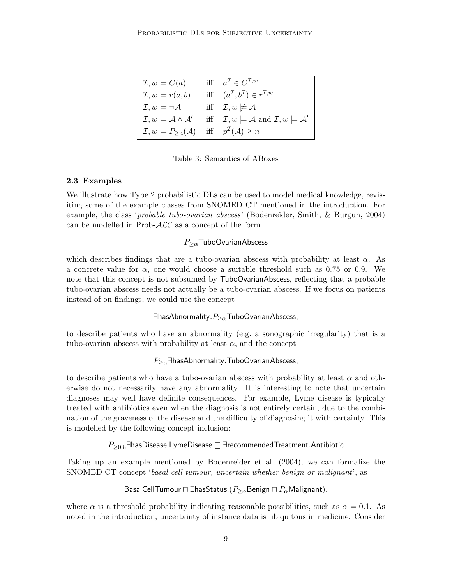| $\mathcal{I}, w \models C(a)$                                                              | iff $a^{\mathcal{I}} \in C^{\mathcal{I},w}$                                        |
|--------------------------------------------------------------------------------------------|------------------------------------------------------------------------------------|
| $\mathcal{I}, w \models r(a, b)$                                                           | iff $(a^{\mathcal{I}}, b^{\mathcal{I}}) \in r^{\mathcal{I},w}$                     |
| $\mathcal{I}, w \models \neg \mathcal{A}$                                                  | iff $\mathcal{I}, w \not\models \mathcal{A}$                                       |
| $\mathcal{I}, w \models \mathcal{A} \wedge \mathcal{A}'$                                   | iff $\mathcal{I}, w \models \mathcal{A}$ and $\mathcal{I}, w \models \mathcal{A}'$ |
| $\mathcal{I}, w \models P_{\geq n}(\mathcal{A})$ iff $p^{\mathcal{I}}(\mathcal{A}) \geq n$ |                                                                                    |

Table 3: Semantics of ABoxes

## 2.3 Examples

We illustrate how Type 2 probabilistic DLs can be used to model medical knowledge, revisiting some of the example classes from SNOMED CT mentioned in the introduction. For example, the class '*probable tubo-ovarian abscess*' (Bodenreider, Smith, & Burgun, 2004) can be modelled in Prob- $\mathcal{ALC}$  as a concept of the form

## $P_{\geq \alpha}$ TuboOvarianAbscess

which describes findings that are a tubo-ovarian abscess with probability at least  $\alpha$ . As a concrete value for  $\alpha$ , one would choose a suitable threshold such as 0.75 or 0.9. We note that this concept is not subsumed by TuboOvarianAbscess, reflecting that a probable tubo-ovarian abscess needs not actually be a tubo-ovarian abscess. If we focus on patients instead of on findings, we could use the concept

 $\exists$ hasAbnormality. $P_{\geq \alpha}$ TuboOvarianAbscess,

to describe patients who have an abnormality (e.g. a sonographic irregularity) that is a tubo-ovarian abscess with probability at least  $\alpha$ , and the concept

## $P_{\geq \alpha}$ ∃hasAbnormality.TuboOvarianAbscess,

to describe patients who have a tubo-ovarian abscess with probability at least  $\alpha$  and otherwise do not necessarily have any abnormality. It is interesting to note that uncertain diagnoses may well have definite consequences. For example, Lyme disease is typically treated with antibiotics even when the diagnosis is not entirely certain, due to the combination of the graveness of the disease and the difficulty of diagnosing it with certainty. This is modelled by the following concept inclusion:

 $P_{\geq 0.8}$ ∃hasDisease.LymeDisease  $\sqsubseteq$  ∃recommendedTreatment.Antibiotic

Taking up an example mentioned by Bodenreider et al. (2004), we can formalize the SNOMED CT concept 'basal cell tumour, uncertain whether benign or malignant', as

## BasalCellTumour  $\Box$  ∃hasStatus.( $P_{\geq \alpha}$ Benign  $\Box$   $P_{\alpha}$ Malignant).

where  $\alpha$  is a threshold probability indicating reasonable possibilities, such as  $\alpha = 0.1$ . As noted in the introduction, uncertainty of instance data is ubiquitous in medicine. Consider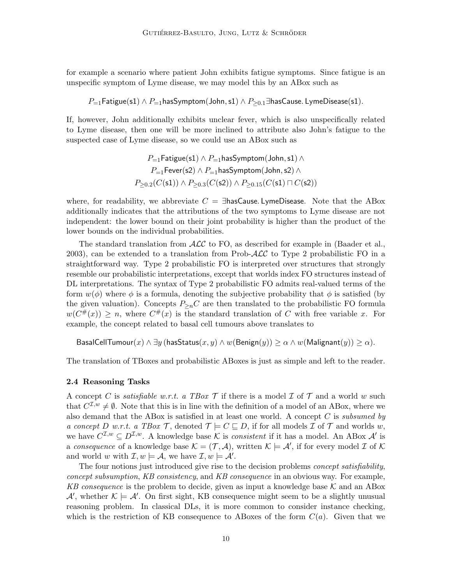for example a scenario where patient John exhibits fatigue symptoms. Since fatigue is an unspecific symptom of Lyme disease, we may model this by an ABox such as

 $P_{=1}$ Fatigue(s1) ∧  $P_{=1}$ hasSymptom(John, s1) ∧  $P_{\geq 0.1}$ ∃hasCause. LymeDisease(s1).

If, however, John additionally exhibits unclear fever, which is also unspecifically related to Lyme disease, then one will be more inclined to attribute also John's fatigue to the suspected case of Lyme disease, so we could use an ABox such as

$$
P_{=1}\textsf{Fatigue(s1)} \land P_{=1}\textsf{hasSymptom(John,s1)} \land P_{=1}\textsf{Fever(s2)} \land P_{=1}\textsf{hasSymptom(John,s2)} \land P_{\geq 0.2}(C(\textsf{s1})) \land P_{\geq 0.3}(C(\textsf{s2})) \land P_{\geq 0.15}(C(\textsf{s1}) \sqcap C(\textsf{s2}))
$$

where, for readability, we abbreviate  $C = \exists$ hasCause. LymeDisease. Note that the ABox additionally indicates that the attributions of the two symptoms to Lyme disease are not independent: the lower bound on their joint probability is higher than the product of the lower bounds on the individual probabilities.

The standard translation from  $\mathcal{ALC}$  to FO, as described for example in (Baader et al., 2003), can be extended to a translation from Prob- $\mathcal{ALC}$  to Type 2 probabilistic FO in a straightforward way. Type 2 probabilistic FO is interpreted over structures that strongly resemble our probabilistic interpretations, except that worlds index FO structures instead of DL interpretations. The syntax of Type 2 probabilistic FO admits real-valued terms of the form  $w(\phi)$  where  $\phi$  is a formula, denoting the subjective probability that  $\phi$  is satisfied (by the given valuation). Concepts  $P_{\geq n}C$  are then translated to the probabilistic FO formula  $w(C^{\#}(x)) \geq n$ , where  $C^{\#}(x)$  is the standard translation of C with free variable x. For example, the concept related to basal cell tumours above translates to

BasalCellTumour $(x) \wedge \exists y$  (hasStatus $(x, y) \wedge w$ (Benign $(y) > \alpha \wedge w$ (Malignant $(y) > \alpha$ ).

The translation of TBoxes and probabilistic ABoxes is just as simple and left to the reader.

### 2.4 Reasoning Tasks

A concept C is *satisfiable w.r.t.* a TBox  $\mathcal T$  if there is a model  $\mathcal I$  of  $\mathcal T$  and a world w such that  $C^{\mathcal{I},w}\neq\emptyset$ . Note that this is in line with the definition of a model of an ABox, where we also demand that the ABox is satisfied in at least one world. A concept  $C$  is subsumed by a concept D w.r.t. a TBox T, denoted  $\mathcal{T} \models C \sqsubseteq D$ , if for all models  $\mathcal{I}$  of T and worlds w, we have  $C^{\mathcal{I},w} \subseteq D^{\mathcal{I},w}$ . A knowledge base K is *consistent* if it has a model. An ABox A' is a consequence of a knowledge base  $\mathcal{K} = (\mathcal{T}, \mathcal{A})$ , written  $\mathcal{K} \models \mathcal{A}'$ , if for every model  $\mathcal{I}$  of  $\mathcal{K}$ and world w with  $\mathcal{I}, w \models \mathcal{A}$ , we have  $\mathcal{I}, w \models \mathcal{A}'$ .

The four notions just introduced give rise to the decision problems concept satisfiability, concept subsumption, KB consistency, and KB consequence in an obvious way. For example, KB consequence is the problem to decide, given as input a knowledge base  $K$  and an ABox  $\mathcal{A}'$ , whether  $\mathcal{K} \models \mathcal{A}'$ . On first sight, KB consequence might seem to be a slightly unusual reasoning problem. In classical DLs, it is more common to consider instance checking, which is the restriction of KB consequence to ABoxes of the form  $C(a)$ . Given that we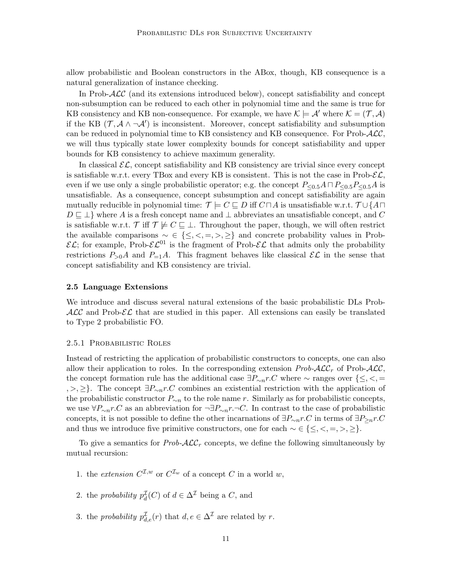allow probabilistic and Boolean constructors in the ABox, though, KB consequence is a natural generalization of instance checking.

In Prob-ALC (and its extensions introduced below), concept satisfiability and concept non-subsumption can be reduced to each other in polynomial time and the same is true for KB consistency and KB non-consequence. For example, we have  $\mathcal{K} \models \mathcal{A}'$  where  $\mathcal{K} = (\mathcal{T}, \mathcal{A})$ if the KB  $(\mathcal{T}, \mathcal{A} \wedge \neg \mathcal{A}')$  is inconsistent. Moreover, concept satisfiability and subsumption can be reduced in polynomial time to KB consistency and KB consequence. For Prob- $\mathcal{ALC}$ , we will thus typically state lower complexity bounds for concept satisfiability and upper bounds for KB consistency to achieve maximum generality.

In classical  $\mathcal{EL}$ , concept satisfiability and KB consistency are trivial since every concept is satisfiable w.r.t. every TBox and every KB is consistent. This is not the case in Prob- $\mathcal{EL}$ , even if we use only a single probabilistic operator; e.g. the concept  $P_{\leq 0.5}A \cap P_{\leq 0.5}P_{\leq 0.5}A$  is unsatisfiable. As a consequence, concept subsumption and concept satisfiability are again mutually reducible in polynomial time:  $\mathcal{T} \models C \sqsubseteq D$  iff  $C \sqcap A$  is unsatisfiable w.r.t.  $\mathcal{T} \cup \{A \sqcap A\}$  $D \sqsubseteq \perp$  where A is a fresh concept name and  $\perp$  abbreviates an unsatisfiable concept, and C is satisfiable w.r.t. T iff  $\mathcal{T} \not\models C \sqsubseteq \bot$ . Throughout the paper, though, we will often restrict the available comparisons  $\sim \in \{\leq, <, =, >, \geq\}$  and concrete probability values in Prob- $\mathcal{EL}$ ; for example, Prob- $\mathcal{EL}^{01}$  is the fragment of Prob- $\mathcal{EL}$  that admits only the probability restrictions  $P_{>0}A$  and  $P_{=1}A$ . This fragment behaves like classical  $\mathcal{EL}$  in the sense that concept satisfiability and KB consistency are trivial.

#### 2.5 Language Extensions

We introduce and discuss several natural extensions of the basic probabilistic DLs Prob- $\mathcal{ALC}$  and Prob- $\mathcal{EL}$  that are studied in this paper. All extensions can easily be translated to Type 2 probabilistic FO.

#### 2.5.1 Probabilistic Roles

Instead of restricting the application of probabilistic constructors to concepts, one can also allow their application to roles. In the corresponding extension  $Prob\text{-}ALC_r$  of Prob- $ALC$ , the concept formation rule has the additional case  $\exists P_{\sim n}r.C$  where  $\sim$  ranges over  $\{\leq,\leq,\equiv\}$ , >, ≥}. The concept  $\exists P_{\sim n}r.C$  combines an existential restriction with the application of the probabilistic constructor  $P_{\sim n}$  to the role name r. Similarly as for probabilistic concepts, we use  $\forall P_{\sim n}r.C$  as an abbreviation for  $\neg \exists P_{\sim n}r.\neg C$ . In contrast to the case of probabilistic concepts, it is not possible to define the other incarnations of  $\exists P_{\sim n}r.C$  in terms of  $\exists P_{\geq n}r.C$ and thus we introduce five primitive constructors, one for each  $\sim \in \{ \leq, \lt, , =, \gt, \geq \}.$ 

To give a semantics for  $Prob\text{-}A\mathcal{LC}_r$  concepts, we define the following simultaneously by mutual recursion:

- 1. the extension  $C^{\mathcal{I},w}$  or  $C^{\mathcal{I},w}$  of a concept C in a world w,
- 2. the *probability*  $p_d^{\mathcal{I}}(C)$  of  $d \in \Delta^{\mathcal{I}}$  being a C, and
- 3. the *probability*  $p_{d,e}^{\mathcal{I}}(r)$  that  $d, e \in \Delta^{\mathcal{I}}$  are related by r.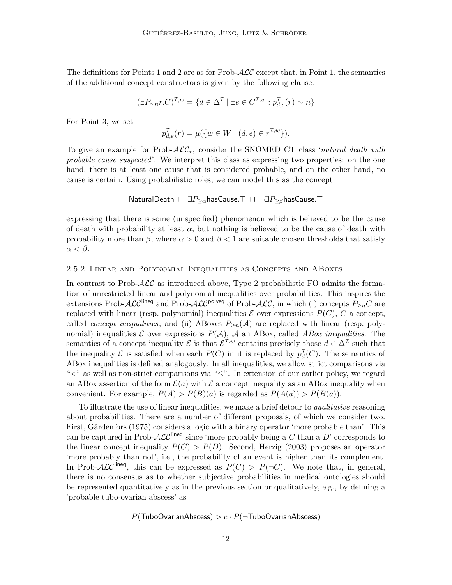The definitions for Points 1 and 2 are as for Prob- $\mathcal{ALC}$  except that, in Point 1, the semantics of the additional concept constructors is given by the following clause:

$$
(\exists P_{\sim n}r.C)^{\mathcal{I},w} = \{d \in \Delta^{\mathcal{I}} \mid \exists e \in C^{\mathcal{I},w} : p_{d,e}^{\mathcal{I}}(r) \sim n\}
$$

For Point 3, we set

$$
p_{d,e}^{\mathcal{I}}(r) = \mu(\{w \in W \mid (d,e) \in r^{\mathcal{I},w}\}).
$$

To give an example for Prob- $\mathcal{ALC}_r$ , consider the SNOMED CT class 'natural death with probable cause suspected'. We interpret this class as expressing two properties: on the one hand, there is at least one cause that is considered probable, and on the other hand, no cause is certain. Using probabilistic roles, we can model this as the concept

NaturalDeath  $\Box \exists P_{\geq \alpha}$ hasCause. $\top \Box \neg \exists P_{\geq \beta}$ hasCause. $\top$ 

expressing that there is some (unspecified) phenomenon which is believed to be the cause of death with probability at least  $\alpha$ , but nothing is believed to be the cause of death with probability more than  $\beta$ , where  $\alpha > 0$  and  $\beta < 1$  are suitable chosen thresholds that satisfy  $\alpha < \beta$ .

#### 2.5.2 Linear and Polynomial Inequalities as Concepts and ABoxes

In contrast to Prob- $\mathcal{ALC}$  as introduced above, Type 2 probabilistic FO admits the formation of unrestricted linear and polynomial inequalities over probabilities. This inspires the extensions Prob- $\text{ALC}^{\text{lineq}}$  and Prob- $\text{ALC}^{\text{polyeq}}$  of Prob- $\text{ALC}$ , in which (i) concepts  $P_{\ge n}C$  are replaced with linear (resp. polynomial) inequalities  $\mathcal E$  over expressions  $P(C)$ , C a concept, called *concept inequalities*; and (ii) ABoxes  $P_{\geq n}(\mathcal{A})$  are replaced with linear (resp. polynomial) inequalities  $\mathcal E$  over expressions  $P(\mathcal A)$ ,  $\mathcal A$  an ABox, called ABox inequalities. The semantics of a concept inequality  $\mathcal E$  is that  $\mathcal E^{\mathcal I,w}$  contains precisely those  $d\in\Delta^\mathcal I$  such that the inequality  $\mathcal E$  is satisfied when each  $P(C)$  in it is replaced by  $p_d^{\mathcal I}(C)$ . The semantics of ABox inequalities is defined analogously. In all inequalities, we allow strict comparisons via " $\lt$ " as well as non-strict comparisons via " $\leq$ ". In extension of our earlier policy, we regard an ABox assertion of the form  $\mathcal{E}(a)$  with  $\mathcal E$  a concept inequality as an ABox inequality when convenient. For example,  $P(A) > P(B)(a)$  is regarded as  $P(A(a)) > P(B(a))$ .

To illustrate the use of linear inequalities, we make a brief detour to qualitative reasoning about probabilities. There are a number of different proposals, of which we consider two. First, Gärdenfors (1975) considers a logic with a binary operator 'more probable than'. This can be captured in Prob- $\mathcal{ALC}^{\text{linear}}$  since 'more probably being a C than a D' corresponds to the linear concept inequality  $P(C) > P(D)$ . Second, Herzig (2003) proposes an operator 'more probably than not', i.e., the probability of an event is higher than its complement. In Prob-ALC<sup>lineq</sup>, this can be expressed as  $P(C) > P(\neg C)$ . We note that, in general, there is no consensus as to whether subjective probabilities in medical ontologies should be represented quantitatively as in the previous section or qualitatively, e.g., by defining a 'probable tubo-ovarian abscess' as

$$
P(\text{TuboOvarianAbscess}) > c \cdot P(\neg \text{TuboOvarianAbscess})
$$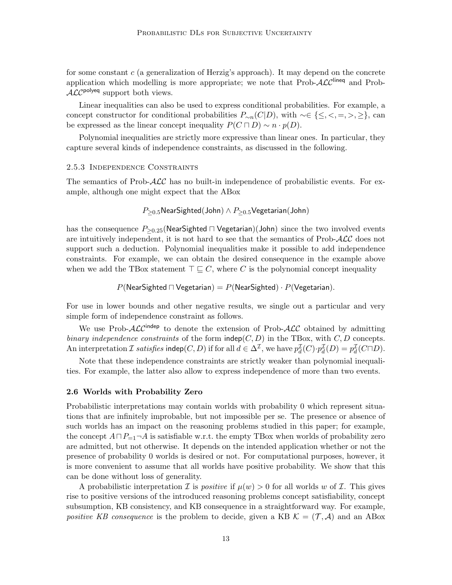for some constant  $c$  (a generalization of Herzig's approach). It may depend on the concrete application which modelling is more appropriate; we note that  $\text{Prob-}\mathcal{ALC}^{\text{lineq}}$  and Prob- $ALC^{polyeq}$  support both views.

Linear inequalities can also be used to express conditional probabilities. For example, a concept constructor for conditional probabilities  $P_{\sim n}(C|D)$ , with ~∈ {≤, <, =, >, ≥}, can be expressed as the linear concept inequality  $P(C \sqcap D) \sim n \cdot p(D)$ .

Polynomial inequalities are strictly more expressive than linear ones. In particular, they capture several kinds of independence constraints, as discussed in the following.

#### 2.5.3 Independence Constraints

The semantics of Prob- $\mathcal{ALC}$  has no built-in independence of probabilistic events. For example, although one might expect that the ABox

$$
P_{\geq 0.5}
$$
NearSighted(John)  $\land$   $P_{\geq 0.5}$ Vegetarian(John)

has the consequence  $P_{\geq 0.25}$ (NearSighted  $\sqcap$  Vegetarian)(John) since the two involved events are intuitively independent, it is not hard to see that the semantics of Prob- $\mathcal{ALC}$  does not support such a deduction. Polynomial inequalities make it possible to add independence constraints. For example, we can obtain the desired consequence in the example above when we add the TBox statement  $\top \sqsubseteq C$ , where C is the polynomial concept inequality

 $P(\text{NearSighted } \sqcap \text{Vegetarian}) = P(\text{NearSighted}) \cdot P(\text{Vegetarian}).$ 

For use in lower bounds and other negative results, we single out a particular and very simple form of independence constraint as follows.

We use Prob- $\mathcal{ALC}^{\text{indep}}$  to denote the extension of Prob- $\mathcal{ALC}$  obtained by admitting binary independence constraints of the form  $\mathsf{indep}(C, D)$  in the TBox, with  $C, D$  concepts. An interpretation  $\mathcal I$  satisfies indep $(C, D)$  if for all  $d \in \Delta^{\mathcal I}$ , we have  $p_d^{\mathcal I}(C) \cdot p_d^{\mathcal I}(D) = p_d^{\mathcal I}(C \sqcap D)$ .

Note that these independence constraints are strictly weaker than polynomial inequalities. For example, the latter also allow to express independence of more than two events.

#### 2.6 Worlds with Probability Zero

Probabilistic interpretations may contain worlds with probability 0 which represent situations that are infinitely improbable, but not impossible per se. The presence or absence of such worlds has an impact on the reasoning problems studied in this paper; for example, the concept  $A \sqcap P_{=1} \neg A$  is satisfiable w.r.t. the empty TBox when worlds of probability zero are admitted, but not otherwise. It depends on the intended application whether or not the presence of probability 0 worlds is desired or not. For computational purposes, however, it is more convenient to assume that all worlds have positive probability. We show that this can be done without loss of generality.

A probabilistic interpretation *I* is *positive* if  $\mu(w) > 0$  for all worlds w of *I*. This gives rise to positive versions of the introduced reasoning problems concept satisfiability, concept subsumption, KB consistency, and KB consequence in a straightforward way. For example, positive KB consequence is the problem to decide, given a KB  $\mathcal{K} = (\mathcal{T}, \mathcal{A})$  and an ABox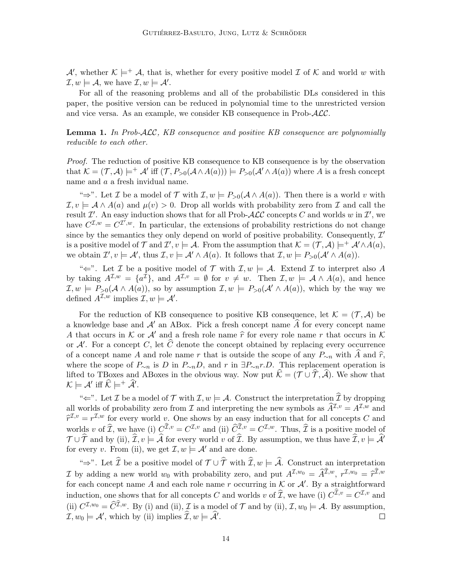A', whether  $\mathcal{K} \models^+ \mathcal{A}$ , that is, whether for every positive model  $\mathcal{I}$  of  $\mathcal{K}$  and world w with  $\mathcal{I}, w \models \mathcal{A}, \text{ we have } \mathcal{I}, w \models \mathcal{A}'.$ 

For all of the reasoning problems and all of the probabilistic DLs considered in this paper, the positive version can be reduced in polynomial time to the unrestricted version and vice versa. As an example, we consider KB consequence in Prob-ALC.

**Lemma 1.** In Prob-ALC, KB consequence and positive KB consequence are polynomially reducible to each other.

Proof. The reduction of positive KB consequence to KB consequence is by the observation that  $\mathcal{K} = (\mathcal{T}, \mathcal{A}) \models^+ \mathcal{A}'$  iff  $(\mathcal{T}, P_{>0}(\mathcal{A} \wedge A(a))) \models P_{>0}(\mathcal{A}' \wedge A(a))$  where A is a fresh concept name and a a fresh invidual name.

"⇒". Let *I* be a model of *T* with  $\mathcal{I}, w \models P_{>0}(\mathcal{A} \wedge A(a))$ . Then there is a world v with  $\mathcal{I}, v \models A \wedge A(a)$  and  $\mu(v) > 0$ . Drop all worlds with probability zero from  $\mathcal{I}$  and call the result  $\mathcal{I}'$ . An easy induction shows that for all Prob- $\mathcal{ALC}$  concepts C and worlds w in  $\mathcal{I}'$ , we have  $C^{I,w} = C^{I',w}$ . In particular, the extensions of probability restrictions do not change since by the semantics they only depend on world of positive probability. Consequently,  $\mathcal{I}'$ is a positive model of T and  $\mathcal{I}', v \models \mathcal{A}$ . From the assumption that  $\mathcal{K} = (\mathcal{T}, \mathcal{A}) \models^+ \mathcal{A}' \wedge A(a)$ , we obtain  $\mathcal{I}', v \models \mathcal{A}', \text{ thus } \mathcal{I}, v \models \mathcal{A}' \land A(a)$ . It follows that  $\mathcal{I}, w \models P_{>0}(\mathcal{A}' \land A(a))$ .

" $\Leftarrow$ ". Let *I* be a positive model of *T* with  $I, w \models A$ . Extend *I* to interpret also *A* by taking  $A^{\mathcal{I},w} = \{a^{\mathcal{I}}\},\$  and  $A^{\mathcal{I},v} = \emptyset$  for  $v \neq w$ . Then  $\mathcal{I},w \models A \wedge A(a),\$  and hence  $\mathcal{I}, w \models P_{>0}(\mathcal{A} \wedge A(a)),$  so by assumption  $\mathcal{I}, w \models P_{>0}(\mathcal{A} \wedge A(a)),$  which by the way we defined  $A^{\mathcal{I},w}$  implies  $\mathcal{I},w \models A'.$ 

For the reduction of KB consequence to positive KB consequence, let  $\mathcal{K} = (\mathcal{T}, \mathcal{A})$  be a knowledge base and  $\mathcal{A}'$  an ABox. Pick a fresh concept name  $\overline{A}$  for every concept name A that occurs in K or A' and a fresh role name  $\hat{r}$  for every role name r that occurs in K or  $\mathcal{A}'$ . For a concept C, let  $\widehat{C}$  denote the concept obtained by replacing every occurrence of a concept name A and role name r that is outside the scope of any  $P_{\sim n}$  with A and  $\hat{r}$ , where the scope of  $P_{\sim n}$  is D in  $P_{\sim n}D$ , and r in  $\exists P_{\sim n}r.D$ . This replacement operation is lifted to TBoxes and ABoxes in the obvious way. Now put  $\hat{\mathcal{K}} = (\mathcal{T} \cup \hat{\mathcal{T}}, \hat{\mathcal{A}})$ . We show that  $\mathcal{K} \models \mathcal{A}' \text{ iff } \widehat{\mathcal{K}} \models^+ \widehat{\mathcal{A}}'.$ 

" $\Leftarrow$ ". Let *I* be a model of *T* with *I*,  $w \models A$ . Construct the interpretation  $\hat{\mathcal{I}}$  by dropping all worlds of probability zero from  $\mathcal I$  and interpreting the new symbols as  $\widehat{A}^{\mathcal I,v} = A^{\mathcal I,w}$  and  $\hat{r}^{\mathcal{I},v} = r^{\mathcal{I},w}$  for every world v. One shows by an easy induction that for all concepts C and worlds v of  $\hat{\mathcal{I}}$ , we have (i)  $C^{\mathcal{I},v} = C^{\mathcal{I},v}$  and (ii)  $\hat{C}^{\mathcal{I},v} = C^{\mathcal{I},w}$ . Thus,  $\hat{\mathcal{I}}$  is a positive model of  $\mathcal{T} \cup \mathcal{\hat{T}}$  and by (ii),  $\mathcal{\hat{I}}, v \models \mathcal{\hat{A}}$  for every world v of  $\mathcal{\hat{I}}$ . By assumption, we thus have  $\mathcal{\hat{I}}, v \models \mathcal{\hat{A}}'$ for every v. From (ii), we get  $\mathcal{I}, w \models \mathcal{A}'$  and are done.

" $\Rightarrow$ ". Let  $\widehat{\mathcal{I}}$  be a positive model of  $\mathcal{T} \cup \widehat{\mathcal{T}}$  with  $\widehat{\mathcal{I}}, w \models \widehat{\mathcal{A}}$ . Construct an interpretation I by adding a new world  $w_0$  with probability zero, and put  $A^{\mathcal{I},w_0} = \hat{A}^{\mathcal{I},w}, r^{\mathcal{I},w_0} = \hat{r}^{\mathcal{I},w}$ <br>for each concent name A and each release a cocurring in K or A. By a straightforward for each concept name A and each role name r occurring in  $K$  or  $\mathcal{A}'$ . By a straightforward induction, one shows that for all concepts C and worlds v of  $\widehat{\mathcal{I}}$ , we have (i)  $C^{\mathcal{I},v} = C^{\mathcal{I},v}$  and (ii)  $C^{\mathcal{I},w_0} = \widehat{C}^{\mathcal{I},w}$ . By (i) and (ii),  $\mathcal{I}$  is a model of  $\mathcal{T}$  and by (ii),  $\mathcal{I}, w_0 \models \mathcal{A}$ . By assumption,  $\mathcal{I}, w_0 \models \mathcal{A}', \text{ which by (ii) implies } \widehat{\mathcal{I}}, w \models \widehat{\mathcal{A}}'.$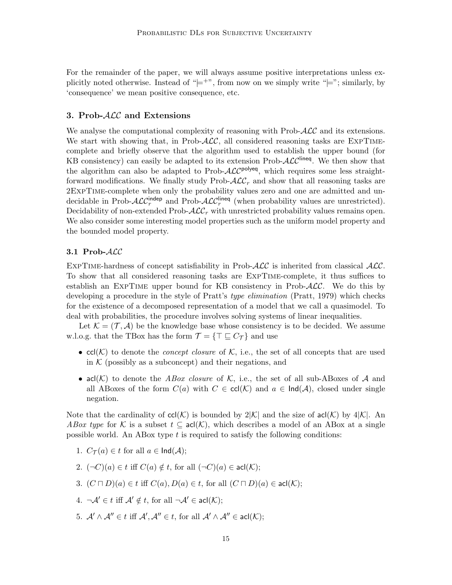For the remainder of the paper, we will always assume positive interpretations unless explicitly noted otherwise. Instead of " $\models$ ", from now on we simply write " $\models$ "; similarly, by 'consequence' we mean positive consequence, etc.

## 3. Prob-ALC and Extensions

We analyse the computational complexity of reasoning with Prob- $\mathcal{ALC}$  and its extensions. We start with showing that, in Prob- $\mathcal{ALC}$ , all considered reasoning tasks are EXPTIMEcomplete and briefly observe that the algorithm used to establish the upper bound (for KB consistency) can easily be adapted to its extension Prob- $\mathcal{ALC}^{\text{line}}$ . We then show that the algorithm can also be adapted to Prob- $\mathcal{ALC}^{\text{polyeq}}$ , which requires some less straightforward modifications. We finally study Prob- $\mathcal{ALC}_r$  and show that all reasoning tasks are 2ExpTime-complete when only the probability values zero and one are admitted and undecidable in Prob- $\mathcal{ALC}_r^{\text{indep}}$  and Prob- $\mathcal{ALC}_r^{\text{lineq}}$  (when probability values are unrestricted). Decidability of non-extended Prob- $\mathcal{ALC}_r$  with unrestricted probability values remains open. We also consider some interesting model properties such as the uniform model property and the bounded model property.

### 3.1 Prob-ALC

EXPTIME-hardness of concept satisfiability in Prob- $\text{ALC}$  is inherited from classical  $\text{ALC}$ . To show that all considered reasoning tasks are ExpTime-complete, it thus suffices to establish an EXPTIME upper bound for KB consistency in Prob- $\mathcal{ALC}$ . We do this by developing a procedure in the style of Pratt's type elimination (Pratt, 1979) which checks for the existence of a decomposed representation of a model that we call a quasimodel. To deal with probabilities, the procedure involves solving systems of linear inequalities.

Let  $\mathcal{K} = (\mathcal{T}, \mathcal{A})$  be the knowledge base whose consistency is to be decided. We assume w.l.o.g. that the TBox has the form  $\mathcal{T} = {\{\top \sqsubseteq C_{\mathcal{T}}\}}$  and use

- $cl(K)$  to denote the *concept closure* of K, i.e., the set of all concepts that are used in  $K$  (possibly as a subconcept) and their negations, and
- acl(K) to denote the ABox closure of K, i.e., the set of all sub-ABoxes of A and all ABoxes of the form  $C(a)$  with  $C \in \text{cl}(\mathcal{K})$  and  $a \in \text{Ind}(\mathcal{A})$ , closed under single negation.

Note that the cardinality of  $\text{ccl}(\mathcal{K})$  is bounded by  $2|\mathcal{K}|$  and the size of  $\text{acl}(\mathcal{K})$  by  $4|\mathcal{K}|$ . An ABox type for K is a subset  $t \subseteq \text{acl}(\mathcal{K})$ , which describes a model of an ABox at a single possible world. An ABox type  $t$  is required to satisfy the following conditions:

- 1.  $C_{\mathcal{T}}(a) \in t$  for all  $a \in \text{Ind}(\mathcal{A});$
- 2.  $(\neg C)(a) \in t$  iff  $C(a) \notin t$ , for all  $(\neg C)(a) \in \text{acl}(\mathcal{K});$
- 3.  $(C \sqcap D)(a) \in t$  iff  $C(a)$ ,  $D(a) \in t$ , for all  $(C \sqcap D)(a) \in \text{acl}(\mathcal{K})$ ;
- 4.  $\neg A' \in t$  iff  $A' \notin t$ , for all  $\neg A' \in \text{acl}(\mathcal{K});$
- 5.  $\mathcal{A}' \wedge \mathcal{A}'' \in t$  iff  $\mathcal{A}', \mathcal{A}'' \in t$ , for all  $\mathcal{A}' \wedge \mathcal{A}'' \in \mathsf{acl}(\mathcal{K});$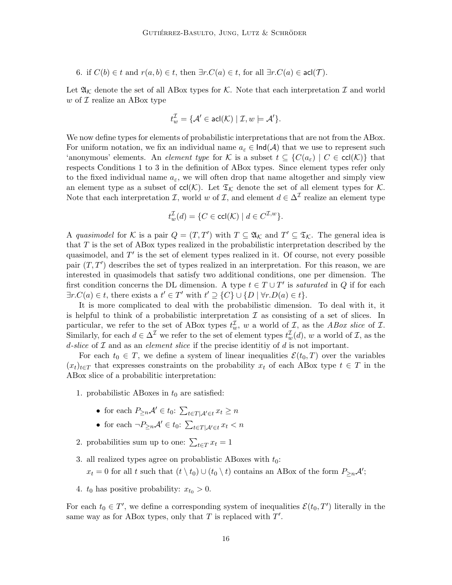6. if  $C(b) \in t$  and  $r(a, b) \in t$ , then  $\exists r.C(a) \in t$ , for all  $\exists r.C(a) \in \text{acl}(\mathcal{T})$ .

Let  $\mathfrak{A}_{\mathcal{K}}$  denote the set of all ABox types for  $\mathcal{K}$ . Note that each interpretation  $\mathcal I$  and world w of  $\mathcal I$  realize an ABox type

$$
t_w^{\mathcal{I}} = \{ \mathcal{A}' \in \operatorname{acl}(\mathcal{K}) \mid \mathcal{I}, w \models \mathcal{A}' \}.
$$

We now define types for elements of probabilistic interpretations that are not from the ABox. For uniform notation, we fix an individual name  $a_{\varepsilon} \in \text{Ind}(\mathcal{A})$  that we use to represent such 'anonymous' elements. An *element type* for K is a subset  $t \subseteq \{C(a_{\varepsilon}) \mid C \in \text{ccl}(\mathcal{K})\}$  that respects Conditions 1 to 3 in the definition of ABox types. Since element types refer only to the fixed individual name  $a_{\varepsilon}$ , we will often drop that name altogether and simply view an element type as a subset of  $\text{ccl}(\mathcal{K})$ . Let  $\mathfrak{T}_{\mathcal{K}}$  denote the set of all element types for  $\mathcal{K}$ . Note that each interpretation *I*, world w of *I*, and element  $d \in \Delta^{\mathcal{I}}$  realize an element type

$$
t_w^{\mathcal{I}}(d) = \{ C \in \operatorname{ccl}(\mathcal{K}) \mid d \in C^{\mathcal{I},w} \}.
$$

A quasimodel for K is a pair  $Q = (T, T')$  with  $T \subseteq \mathfrak{A}_{\mathcal{K}}$  and  $T' \subseteq \mathfrak{T}_{\mathcal{K}}$ . The general idea is that T is the set of ABox types realized in the probabilistic interpretation described by the quasimodel, and  $T'$  is the set of element types realized in it. Of course, not every possible pair  $(T, T')$  describes the set of types realized in an interpretation. For this reason, we are interested in quasimodels that satisfy two additional conditions, one per dimension. The first condition concerns the DL dimension. A type  $t \in T \cup T'$  is saturated in Q if for each  $\exists r.C(a) \in t$ , there exists a  $t' \in T'$  with  $t' \supseteq \{C\} \cup \{D \mid \forall r.D(a) \in t\}.$ 

It is more complicated to deal with the probabilistic dimension. To deal with it, it is helpful to think of a probabilistic interpretation  $\mathcal I$  as consisting of a set of slices. In particular, we refer to the set of ABox types  $t_w^{\mathcal{I}}$ , w a world of  $\mathcal{I}$ , as the ABox slice of  $\mathcal{I}$ . Similarly, for each  $d \in \Delta^{\mathcal{I}}$  we refer to the set of element types  $t_w^{\mathcal{I}}(d)$ , w a world of  $\mathcal{I}$ , as the d-slice of  $\mathcal I$  and as an *element slice* if the precise identitiy of  $d$  is not important.

For each  $t_0 \in T$ , we define a system of linear inequalities  $\mathcal{E}(t_0, T)$  over the variables  $(x_t)_{t\in T}$  that expresses constraints on the probability  $x_t$  of each ABox type  $t \in T$  in the ABox slice of a probabilitic interpretation:

1. probabilistic ABoxes in  $t_0$  are satisfied:

- for each  $P_{\geq n}A' \in t_0$ :  $\sum_{t \in T | A' \in t} x_t \geq n$
- for each  $\neg P_{\geq n} A' \in t_0: \sum_{t \in T | A' \in t} x_t < n$
- 2. probabilities sum up to one:  $\sum_{t \in T} x_t = 1$
- 3. all realized types agree on probablistic ABoxes with  $t_0$ :  $x_t = 0$  for all t such that  $(t \setminus t_0) \cup (t_0 \setminus t)$  contains an ABox of the form  $P_{\geq n}A'$ ;
- 4.  $t_0$  has positive probability:  $x_{t_0} > 0$ .

For each  $t_0 \in T'$ , we define a corresponding system of inequalities  $\mathcal{E}(t_0, T')$  literally in the same way as for ABox types, only that  $T$  is replaced with  $T'$ .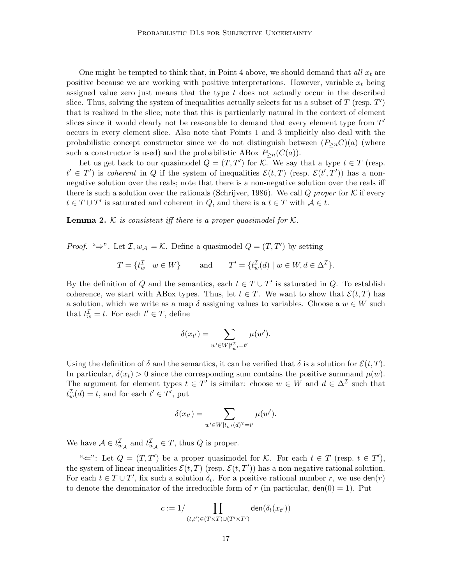One might be tempted to think that, in Point 4 above, we should demand that all  $x_t$  are positive because we are working with positive interpretations. However, variable  $x_t$  being assigned value zero just means that the type  $t$  does not actually occur in the described slice. Thus, solving the system of inequalities actually selects for us a subset of  $T$  (resp.  $T'$ ) that is realized in the slice; note that this is particularly natural in the context of element slices since it would clearly not be reasonable to demand that every element type from  $T'$ occurs in every element slice. Also note that Points 1 and 3 implicitly also deal with the probabilistic concept constructor since we do not distinguish between  $(P_{\geq n}C)(a)$  (where such a constructor is used) and the probabilistic ABox  $P_{\geq n}(C(a))$ .

Let us get back to our quasimodel  $Q = (T, T')$  for K. We say that a type  $t \in T$  (resp.  $t' \in T'$  is coherent in Q if the system of inequalities  $\mathcal{E}(t,T)$  (resp.  $\mathcal{E}(t',T')$ ) has a nonnegative solution over the reals; note that there is a non-negative solution over the reals iff there is such a solution over the rationals (Schrijver, 1986). We call Q proper for K if every  $t \in T \cup T'$  is saturated and coherent in  $Q$ , and there is a  $t \in T$  with  $A \in t$ .

**Lemma 2.** K is consistent iff there is a proper quasimodel for  $\mathcal{K}$ .

*Proof.* " $\Rightarrow$ ". Let  $\mathcal{I}, w_{\mathcal{A}} \models \mathcal{K}$ . Define a quasimodel  $Q = (T, T')$  by setting

$$
T = \{ t_w^{\mathcal{I}} \mid w \in W \} \quad \text{and} \quad T' = \{ t_w^{\mathcal{I}}(d) \mid w \in W, d \in \Delta^{\mathcal{I}} \}.
$$

By the definition of Q and the semantics, each  $t \in T \cup T'$  is saturated in Q. To establish coherence, we start with ABox types. Thus, let  $t \in T$ . We want to show that  $\mathcal{E}(t, T)$  has a solution, which we write as a map  $\delta$  assigning values to variables. Choose a  $w \in W$  such that  $t_w^{\mathcal{I}} = t$ . For each  $t' \in T$ , define

$$
\delta(x_{t'}) = \sum_{w' \in W | t_w^{\mathcal{I}} = t'} \mu(w').
$$

Using the definition of  $\delta$  and the semantics, it can be verified that  $\delta$  is a solution for  $\mathcal{E}(t, T)$ . In particular,  $\delta(x_t) > 0$  since the corresponding sum contains the positive summand  $\mu(w)$ . The argument for element types  $t \in T'$  is similar: choose  $w \in W$  and  $d \in \Delta^{\mathcal{I}}$  such that  $t_w^{\mathcal{I}}(d) = t$ , and for each  $t' \in T'$ , put

$$
\delta(x_{t'}) = \sum_{w' \in W|t_{w'}(d)^{\mathcal{I}} = t'} \mu(w').
$$

We have  $A \in t_{w_{\mathcal{A}}}^{\mathcal{I}}$  and  $t_{w_{\mathcal{A}}}^{\mathcal{I}} \in T$ , thus  $Q$  is proper.

" $\Leftarrow$ ": Let  $Q = (T, T')$  be a proper quasimodel for K. For each  $t \in T$  (resp.  $t \in T'$ ), the system of linear inequalities  $\mathcal{E}(t,T)$  (resp.  $\mathcal{E}(t,T')$ ) has a non-negative rational solution. For each  $t \in T \cup T'$ , fix such a solution  $\delta_t$ . For a positive rational number r, we use  $\text{den}(r)$ to denote the denominator of the irreducible form of r (in particular,  $den(0) = 1$ ). Put

$$
c := 1/\prod_{(t,t') \in (T \times T) \cup (T' \times T')} \text{den}(\delta_t(x_{t'}))
$$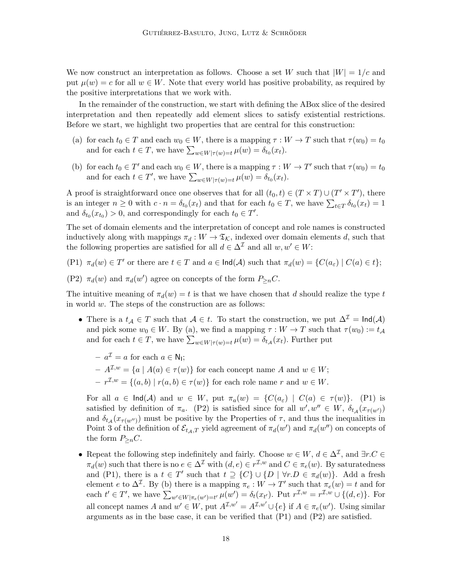We now construct an interpretation as follows. Choose a set W such that  $|W| = 1/c$  and put  $\mu(w) = c$  for all  $w \in W$ . Note that every world has positive probability, as required by the positive interpretations that we work with.

In the remainder of the construction, we start with defining the ABox slice of the desired interpretation and then repeatedly add element slices to satisfy existential restrictions. Before we start, we highlight two properties that are central for this construction:

- (a) for each  $t_0 \in T$  and each  $w_0 \in W$ , there is a mapping  $\tau : W \to T$  such that  $\tau(w_0) = t_0$ and for each  $t \in T$ , we have  $\sum_{w \in W | \tau(w) = t} \mu(w) = \delta_{t_0}(x_t)$ .
- (b) for each  $t_0 \in T'$  and each  $w_0 \in W$ , there is a mapping  $\tau : W \to T'$  such that  $\tau(w_0) = t_0$ and for each  $t \in T'$ , we have  $\sum_{w \in W | \tau(w) = t} \mu(w) = \delta_{t_0}(x_t)$ .

A proof is straightforward once one observes that for all  $(t_0, t) \in (T \times T) \cup (T' \times T')$ , there is an integer  $n \geq 0$  with  $c \cdot n = \delta_{t_0}(x_t)$  and that for each  $t_0 \in T$ , we have  $\sum_{t \in T} \delta_{t_0}(x_t) = 1$ and  $\delta_{t_0}(x_{t_0}) > 0$ , and correspondingly for each  $t_0 \in T'$ .

The set of domain elements and the interpretation of concept and role names is constructed inductively along with mappings  $\pi_d : W \to \mathfrak{T}_{\mathcal{K}}$ , indexed over domain elements d, such that the following properties are satisfied for all  $d \in \Delta^{\mathcal{I}}$  and all  $w, w' \in W$ :

- (P1)  $\pi_d(w) \in T'$  or there are  $t \in T$  and  $a \in \text{Ind}(\mathcal{A})$  such that  $\pi_d(w) = \{C(a_{\varepsilon}) \mid C(a) \in t\};$
- (P2)  $\pi_d(w)$  and  $\pi_d(w')$  agree on concepts of the form  $P_{\geq n}C$ .

The intuitive meaning of  $\pi_d(w) = t$  is that we have chosen that d should realize the type t in world w. The steps of the construction are as follows:

- There is a  $t_A \in T$  such that  $A \in t$ . To start the construction, we put  $\Delta^{\mathcal{I}} = \text{Ind}(\mathcal{A})$ and pick some  $w_0 \in W$ . By (a), we find a mapping  $\tau : W \to T$  such that  $\tau(w_0) := t_{\mathcal{A}}$ and for each  $t \in T$ , we have  $\sum_{w \in W | \tau(w) = t} \mu(w) = \delta_{t, \mathcal{A}}(x_t)$ . Further put
	- $-a^{\mathcal{I}} = a$  for each  $a \in \mathsf{N}_{\mathsf{I}};$
	- $-A^{\mathcal{I},w} = \{a \mid A(a) \in \tau(w)\}\$ for each concept name A and  $w \in W$ ;
	- $-r^{1} = \{(a, b) | r(a, b) \in \tau(w)\}\$ for each role name r and  $w \in W$ .

For all  $a \in \text{Ind}(\mathcal{A})$  and  $w \in W$ , put  $\pi_a(w) = \{C(a_\varepsilon) \mid C(a) \in \tau(w)\}.$  (P1) is satisfied by definition of  $\pi_a$ . (P2) is satisfied since for all  $w', w'' \in W$ ,  $\delta_{t,a}(x_{\tau(w')})$ and  $\delta_{t_{\mathcal{A}}}(x_{\tau(w'')})$  must be positive by the Properties of  $\tau$ , and thus the inequalities in Point 3 of the definition of  $\mathcal{E}_{t_{\mathcal{A}},T}$  yield agreement of  $\pi_d(w')$  and  $\pi_d(w'')$  on concepts of the form  $P_{\geq n}C$ .

• Repeat the following step indefinitely and fairly. Choose  $w \in W$ ,  $d \in \Delta^{\mathcal{I}}$ , and  $\exists r.C \in$  $\pi_d(w)$  such that there is no  $e \in \Delta^{\mathcal{I}}$  with  $(d, e) \in r^{\mathcal{I}, w}$  and  $C \in \pi_e(w)$ . By saturatedness and (P1), there is a  $t \in T'$  such that  $t \supseteq \{C\} \cup \{D \mid \forall r.D \in \pi_d(w)\}.$  Add a fresh element e to  $\Delta^{\mathcal{I}}$ . By (b) there is a mapping  $\pi_e: W \to T'$  such that  $\pi_e(w) = t$  and for each  $t' \in T'$ , we have  $\sum_{w' \in W | \pi_e(w') = t'} \mu(w') = \delta_t(x_{t'})$ . Put  $r^{\mathcal{I},w} = r^{\mathcal{I},w} \cup \{(d,e)\}$ . For all concept names A and  $w' \in W$ , put  $A^{\mathcal{I},w'} = A^{\mathcal{I},w'} \cup \{e\}$  if  $A \in \pi_e(w')$ . Using similar arguments as in the base case, it can be verified that (P1) and (P2) are satisfied.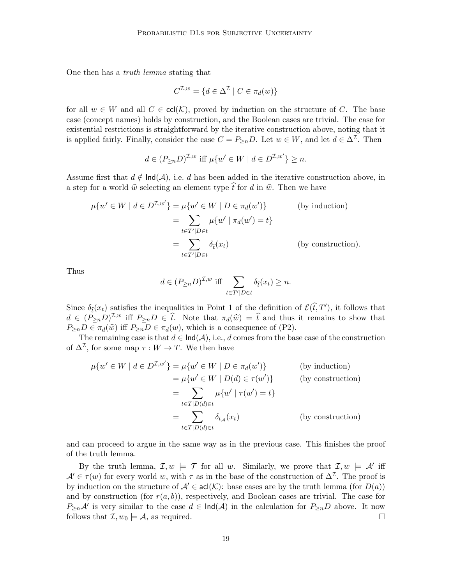One then has a truth lemma stating that

$$
C^{\mathcal{I},w} = \{ d \in \Delta^{\mathcal{I}} \mid C \in \pi_d(w) \}
$$

for all  $w \in W$  and all  $C \in \text{cl}(\mathcal{K})$ , proved by induction on the structure of C. The base case (concept names) holds by construction, and the Boolean cases are trivial. The case for existential restrictions is straightforward by the iterative construction above, noting that it is applied fairly. Finally, consider the case  $C = P_{\ge n}D$ . Let  $w \in W$ , and let  $d \in \Delta^{\mathcal{I}}$ . Then

$$
d \in (P_{\ge n}D)^{\mathcal{I},w} \text{ iff } \mu\{w' \in W \mid d \in D^{\mathcal{I},w'}\} \ge n.
$$

Assume first that  $d \notin \text{Ind}(\mathcal{A})$ , i.e. d has been added in the iterative construction above, in a step for a world  $\hat{w}$  selecting an element type  $\hat{t}$  for d in  $\hat{w}$ . Then we have

$$
\mu\{w' \in W \mid d \in D^{\mathcal{I},w'}\} = \mu\{w' \in W \mid D \in \pi_d(w')\}
$$
 (by induction)  

$$
= \sum_{t \in T'|D \in t} \mu\{w' \mid \pi_d(w') = t\}
$$
  

$$
= \sum_{t \in T'|D \in t} \delta_{\hat{t}}(x_t)
$$
 (by construction).

Thus

$$
d \in (P_{\ge n}D)^{\mathcal{I},w} \text{ iff } \sum_{t \in T'|D \in t} \delta_{\hat{t}}(x_t) \ge n.
$$

Since  $\delta_{\hat{t}}(x_t)$  satisfies the inequalities in Point 1 of the definition of  $\mathcal{E}(\hat{t}, T')$ , it follows that  $d \in (P_{\ge n}D)^{\mathcal{I},w}$  iff  $P_{\ge n}D \in \hat{t}$ . Note that  $\pi_d(\hat{w}) = \hat{t}$  and thus it remains to show that  $P_{\geq n}D \in \pi_d(\widehat{w})$  iff  $P_{\geq n}D \in \pi_d(w)$ , which is a consequence of (P2).

The remaining case is that  $d \in \text{Ind}(\mathcal{A}), i.e., d$  comes from the base case of the construction of  $\Delta^{\mathcal{I}}$ , for some map  $\tau: W \to T$ . We then have

$$
\mu\{w' \in W \mid d \in D^{\mathcal{I},w'}\} = \mu\{w' \in W \mid D \in \pi_d(w')\}
$$
 (by induction)  
\n
$$
= \mu\{w' \in W \mid D(d) \in \tau(w')\}
$$
 (by construction)  
\n
$$
= \sum_{t \in T \mid D(d) \in t} \mu\{w' \mid \tau(w') = t\}
$$
  
\n
$$
= \sum_{t \in T \mid D(d) \in t} \delta_{t_{\mathcal{A}}}(x_t)
$$
 (by construction)

and can proceed to argue in the same way as in the previous case. This finishes the proof of the truth lemma.

By the truth lemma,  $\mathcal{I}, w \models \mathcal{T}$  for all w. Similarly, we prove that  $\mathcal{I}, w \models \mathcal{A}'$  iff  $\mathcal{A}' \in \tau(w)$  for every world w, with  $\tau$  as in the base of the construction of  $\Delta^{\mathcal{I}}$ . The proof is by induction on the structure of  $\mathcal{A}' \in \text{acl}(\mathcal{K})$ : base cases are by the truth lemma (for  $D(a)$ ) and by construction (for  $r(a, b)$ ), respectively, and Boolean cases are trivial. The case for  $P_{\geq n}A'$  is very similar to the case  $d \in \text{Ind}(A)$  in the calculation for  $P_{\geq n}D$  above. It now follows that  $\mathcal{I}, w_0 \models \mathcal{A}$ , as required.  $\Box$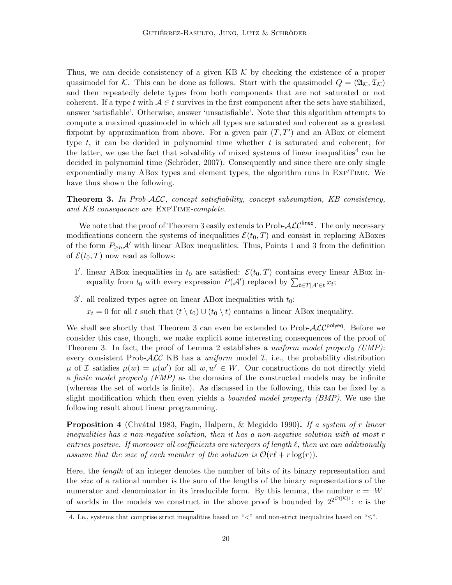Thus, we can decide consistency of a given KB  $K$  by checking the existence of a proper quasimodel for K. This can be done as follows. Start with the quasimodel  $Q = (\mathfrak{A}_{\mathcal{K}}, \mathfrak{T}_{\mathcal{K}})$ and then repeatedly delete types from both components that are not saturated or not coherent. If a type t with  $A \in t$  survives in the first component after the sets have stabilized, answer 'satisfiable'. Otherwise, answer 'unsatisfiable'. Note that this algorithm attempts to compute a maximal quasimodel in which all types are saturated and coherent as a greatest fixpoint by approximation from above. For a given pair  $(T, T')$  and an ABox or element type  $t$ , it can be decided in polynomial time whether  $t$  is saturated and coherent; for the latter, we use the fact that solvability of mixed systems of linear inequalities<sup>4</sup> can be decided in polynomial time (Schröder, 2007). Consequently and since there are only single exponentially many ABox types and element types, the algorithm runs in ExpTime. We have thus shown the following.

**Theorem 3.** In Prob-ALC, concept satisfiability, concept subsumption, KB consistency, and KB consequence are ExpTime-complete.

We note that the proof of Theorem 3 easily extends to Prob- $\mathcal{ALC}^{\mathsf{lineq}}$ . The only necessary modifications concern the systems of inequalities  $\mathcal{E}(t_0, T)$  and consist in replacing ABoxes of the form  $P_{\geq n}A'$  with linear ABox inequalities. Thus, Points 1 and 3 from the definition of  $\mathcal{E}(t_0,T)$  now read as follows:

- 1'. linear ABox inequalities in  $t_0$  are satisfied:  $\mathcal{E}(t_0,T)$  contains every linear ABox inequality from  $t_0$  with every expression  $P(\mathcal{A}')$  replaced by  $\sum_{t \in T|\mathcal{A}' \in t} x_t$ ;
- $3'$ . all realized types agree on linear ABox inequalities with  $t_0$ :
	- $x_t = 0$  for all t such that  $(t \setminus t_0) \cup (t_0 \setminus t)$  contains a linear ABox inequality.

We shall see shortly that Theorem 3 can even be extended to Prob- $\mathcal{ALC}^{\text{polyeq}}$ . Before we consider this case, though, we make explicit some interesting consequences of the proof of Theorem 3. In fact, the proof of Lemma 2 establishes a *uniform model property (UMP)*: every consistent Prob- $\mathcal{ALC}$  KB has a uniform model  $\mathcal{I}$ , i.e., the probability distribution  $\mu$  of *I* satisfies  $\mu(w) = \mu(w')$  for all  $w, w' \in W$ . Our constructions do not directly yield a finite model property  $(FMP)$  as the domains of the constructed models may be infinite (whereas the set of worlds is finite). As discussed in the following, this can be fixed by a slight modification which then even yields a *bounded model property (BMP)*. We use the following result about linear programming.

**Proposition 4** (Chvátal 1983, Fagin, Halpern, & Megiddo 1990). If a system of r linear inequalities has a non-negative solution, then it has a non-negative solution with at most r entries positive. If moreover all coefficients are intergers of length  $\ell$ , then we can additionally assume that the size of each member of the solution is  $\mathcal{O}(r\ell + r \log(r)).$ 

Here, the length of an integer denotes the number of bits of its binary representation and the size of a rational number is the sum of the lengths of the binary representations of the numerator and denominator in its irreducible form. By this lemma, the number  $c = |W|$ of worlds in the models we construct in the above proof is bounded by  $2^{2^{\mathcal{O}(|\mathcal{K}|)}}$ : c is the

<sup>4.</sup> I.e., systems that comprise strict inequalities based on "<" and non-strict inequalities based on "≤".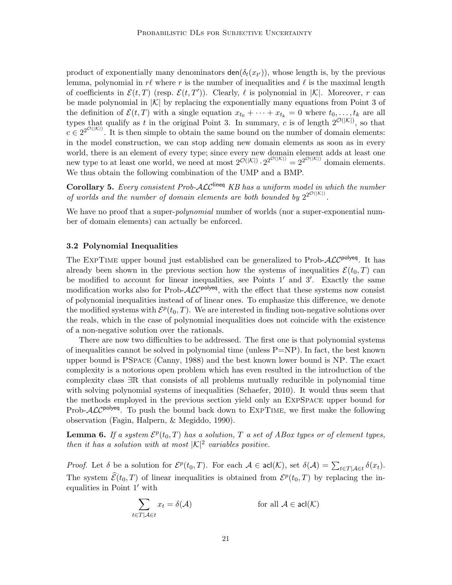product of exponentially many denominators  $\text{den}(\delta_t(x_{t'}))$ , whose length is, by the previous lemma, polynomial in  $r\ell$  where r is the number of inequalities and  $\ell$  is the maximal length of coefficients in  $\mathcal{E}(t,T)$  (resp.  $\mathcal{E}(t,T')$ ). Clearly,  $\ell$  is polynomial in  $|\mathcal{K}|$ . Moreover, r can be made polynomial in  $|K|$  by replacing the exponentially many equations from Point 3 of the definition of  $\mathcal{E}(t, T)$  with a single equation  $x_{t_0} + \cdots + x_{t_k} = 0$  where  $t_0, \ldots, t_k$  are all types that qualify as t in the original Point 3. In summary, c is of length  $2^{\mathcal{O}(|\mathcal{K}|)}$ , so that  $c \in 2^{2^{\mathcal{O}(|\mathcal{K}|)}}$ . It is then simple to obtain the same bound on the number of domain elements: in the model construction, we can stop adding new domain elements as soon as in every world, there is an element of every type; since every new domain element adds at least one new type to at least one world, we need at most  $2^{\mathcal{O}(|\mathcal{K}|)} \cdot 2^{2^{\mathcal{O}(|\mathcal{K}|)}} = 2^{2^{\mathcal{O}(|\mathcal{K}|)}}$  domain elements. We thus obtain the following combination of the UMP and a BMP.

Corollary 5. Every consistent Prob-ALC<sup>lineq</sup> KB has a uniform model in which the number of worlds and the number of domain elements are both bounded by  $2^{2^{\mathcal{O}(|\mathcal{K}|)}}$ .

We have no proof that a super-*polynomial* number of worlds (nor a super-exponential number of domain elements) can actually be enforced.

#### 3.2 Polynomial Inequalities

The EXPTIME upper bound just established can be generalized to Prob- $\mathcal{ALC}^{\text{polyeq}}$ . It has already been shown in the previous section how the systems of inequalities  $\mathcal{E}(t_0, T)$  can be modified to account for linear inequalities, see Points  $1'$  and  $3'$ . Exactly the same modification works also for Prob- $\mathcal{ALC}^{\text{polyeq}}$ , with the effect that these systems now consist of polynomial inequalities instead of of linear ones. To emphasize this difference, we denote the modified systems with  $\mathcal{E}^p(t_0,T)$ . We are interested in finding non-negative solutions over the reals, which in the case of polynomial inequalities does not coincide with the existence of a non-negative solution over the rationals.

There are now two difficulties to be addressed. The first one is that polynomial systems of inequalities cannot be solved in polynomial time (unless  $P=NP$ ). In fact, the best known upper bound is PSpace (Canny, 1988) and the best known lower bound is NP. The exact complexity is a notorious open problem which has even resulted in the introduction of the complexity class ∃R that consists of all problems mutually reducible in polynomial time with solving polynomial systems of inequalities (Schaefer, 2010). It would thus seem that the methods employed in the previous section yield only an ExpSpace upper bound for Prob- $\text{ALC}^{\text{polyeq}}$ . To push the bound back down to EXPTIME, we first make the following observation (Fagin, Halpern, & Megiddo, 1990).

**Lemma 6.** If a system  $\mathcal{E}^p(t_0, T)$  has a solution, T a set of ABox types or of element types, then it has a solution with at most  $|\mathcal{K}|^2$  variables positive.

*Proof.* Let  $\delta$  be a solution for  $\mathcal{E}^p(t_0, T)$ . For each  $\mathcal{A} \in \text{acl}(\mathcal{K})$ , set  $\delta(\mathcal{A}) = \sum_{t \in T | \mathcal{A} \in t} \delta(x_t)$ . The system  $\widehat{\mathcal{E}}(t_0, T)$  of linear inequalities is obtained from  $\mathcal{E}^p(t_0, T)$  by replacing the inequalities in Point  $1'$  with

$$
\sum_{t \in T | \mathcal{A} \in t} x_t = \delta(\mathcal{A}) \quad \text{for all } \mathcal{A} \in \mathsf{acl}(\mathcal{K})
$$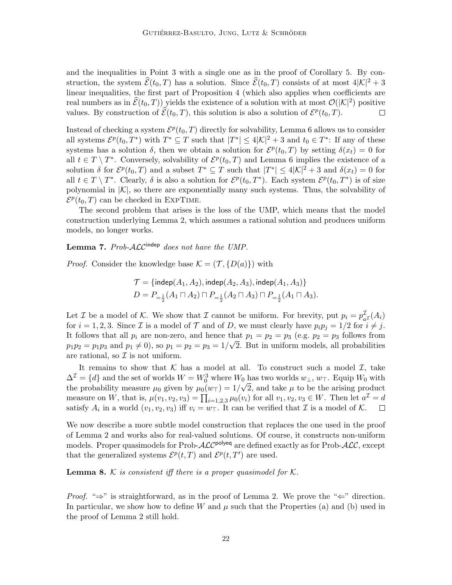and the inequalities in Point 3 with a single one as in the proof of Corollary 5. By construction, the system  $\widehat{\mathcal{E}}(t_0, T)$  has a solution. Since  $\widehat{\mathcal{E}}(t_0, T)$  consists of at most  $4|\mathcal{K}|^2 + 3$ linear inequalities, the first part of Proposition 4 (which also applies when coefficients are real numbers as in  $\widehat{\mathcal{E}}(t_0, T)$ ) yields the existence of a solution with at most  $\mathcal{O}(|\mathcal{K}|^2)$  positive values. By construction of  $\widehat{\mathcal{E}}(t_0, T)$ , this solution is also a solution of  $\mathcal{E}^p(t_0, T)$ .  $\Box$ 

Instead of checking a system  $\mathcal{E}^p(t_0,T)$  directly for solvability, Lemma 6 allows us to consider all systems  $\mathcal{E}^p(t_0,T^*)$  with  $T^* \subseteq T$  such that  $|T^*| \leq 4|\mathcal{K}|^2 + 3$  and  $t_0 \in T^*$ : If any of these systems has a solution  $\delta$ , then we obtain a solution for  $\mathcal{E}^p(t_0,T)$  by setting  $\delta(x_t) = 0$  for all  $t \in T \setminus T^*$ . Conversely, solvability of  $\mathcal{E}^p(t_0,T)$  and Lemma 6 implies the existence of a solution  $\delta$  for  $\mathcal{E}^p(t_0,T)$  and a subset  $T^* \subseteq T$  such that  $|T^*| \leq 4|\mathcal{K}|^2 + 3$  and  $\delta(x_t) = 0$  for all  $t \in T \setminus T^*$ . Clearly,  $\delta$  is also a solution for  $\mathcal{E}^p(t_0, T^*)$ . Each system  $\mathcal{E}^p(t_0, T^*)$  is of size polynomial in  $|\mathcal{K}|$ , so there are exponentially many such systems. Thus, the solvability of  $\mathcal{E}^p(t_0,T)$  can be checked in EXPTIME.

The second problem that arises is the loss of the UMP, which means that the model construction underlying Lemma 2, which assumes a rational solution and produces uniform models, no longer works.

## **Lemma 7.** Prob- $\mathcal{ALC}^{\text{indep}}$  does not have the UMP.

*Proof.* Consider the knowledge base  $\mathcal{K} = (\mathcal{T}, \{D(a)\})$  with

$$
\mathcal{T} = {\text{indep}(A_1, A_2), \text{indep}(A_2, A_3), \text{indep}(A_1, A_3)}
$$
  

$$
D = P_{-\frac{1}{2}}(A_1 \sqcap A_2) \sqcap P_{-\frac{1}{2}}(A_2 \sqcap A_3) \sqcap P_{-\frac{1}{2}}(A_1 \sqcap A_3).
$$

Let *I* be a model of *K*. We show that *I* cannot be uniform. For brevity, put  $p_i = p_a^{\mathcal{I}}$  $_{a^{\mathcal{I}}}^{\mathcal{I}}(A_i)$ for  $i = 1, 2, 3$ . Since  $\mathcal I$  is a model of  $\mathcal T$  and of D, we must clearly have  $p_i p_j = 1/2$  for  $i \neq j$ . It follows that all  $p_i$  are non-zero, and hence that  $p_1 = p_2 = p_3$  (e.g.  $p_2 = p_3$  follows from  $p_1p_2 = p_1p_3$  and  $p_1 \neq 0$ , so  $p_1 = p_2 = p_3 = 1/\sqrt{2}$ . But in uniform models, all probabilities are rational, so  $\mathcal I$  is not uniform.

It remains to show that K has a model at all. To construct such a model  $\mathcal{I}$ , take  $\Delta^{\mathcal{I}} = \{d\}$  and the set of worlds  $W = W_0^3$  where  $W_0$  has two worlds  $w_{\perp}, w_{\perp}$ . Equip  $W_0$  with the probability measure  $\mu_0$  given by  $\mu_0(w_T) = 1/\sqrt{2}$ , and take  $\mu$  to be the arising product measure on W, that is,  $\mu(v_1, v_2, v_3) = \prod_{i=1,2,3} \mu_0(v_i)$  for all  $v_1, v_2, v_3 \in W$ . Then let  $a^{\mathcal{I}} = d$ satisfy  $A_i$  in a world  $(v_1, v_2, v_3)$  iff  $v_i = w_\top$ . It can be verified that  $\mathcal I$  is a model of  $\mathcal K$ .  $\Box$ 

We now describe a more subtle model construction that replaces the one used in the proof of Lemma 2 and works also for real-valued solutions. Of course, it constructs non-uniform models. Proper quasimodels for Prob- $\cal{ALC}^{\text{polyeq}}$  are defined exactly as for Prob- $\cal{ALC}$ , except that the generalized systems  $\mathcal{E}^p(t,T)$  and  $\mathcal{E}^p(t,T')$  are used.

**Lemma 8.** K is consistent iff there is a proper quasimodel for  $\mathcal{K}$ .

*Proof.* " $\Rightarrow$ " is straightforward, as in the proof of Lemma 2. We prove the " $\Leftarrow$ " direction. In particular, we show how to define W and  $\mu$  such that the Properties (a) and (b) used in the proof of Lemma 2 still hold.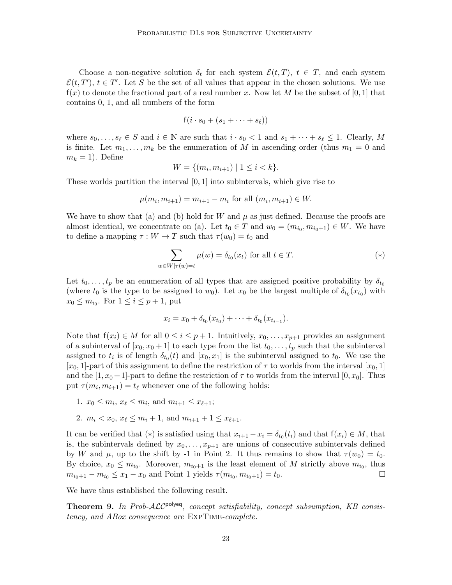Choose a non-negative solution  $\delta_t$  for each system  $\mathcal{E}(t,T)$ ,  $t \in T$ , and each system  $\mathcal{E}(t, T')$ ,  $t \in T'$ . Let S be the set of all values that appear in the chosen solutions. We use  $f(x)$  to denote the fractional part of a real number x. Now let M be the subset of [0, 1] that contains 0, 1, and all numbers of the form

$$
f(i \cdot s_0 + (s_1 + \cdots + s_\ell))
$$

where  $s_0, \ldots, s_\ell \in S$  and  $i \in \mathbb{N}$  are such that  $i \cdot s_0 < 1$  and  $s_1 + \cdots + s_\ell \leq 1$ . Clearly, M is finite. Let  $m_1, \ldots, m_k$  be the enumeration of M in ascending order (thus  $m_1 = 0$  and  $m_k = 1$ ). Define

$$
W = \{(m_i, m_{i+1}) \mid 1 \le i < k\}.
$$

These worlds partition the interval  $[0, 1]$  into subintervals, which give rise to

$$
\mu(m_i, m_{i+1}) = m_{i+1} - m_i
$$
 for all  $(m_i, m_{i+1}) \in W$ .

We have to show that (a) and (b) hold for W and  $\mu$  as just defined. Because the proofs are almost identical, we concentrate on (a). Let  $t_0 \in T$  and  $w_0 = (m_{i_0}, m_{i_0+1}) \in W$ . We have to define a mapping  $\tau : W \to T$  such that  $\tau(w_0) = t_0$  and

$$
\sum_{w \in W|\tau(w)=t} \mu(w) = \delta_{t_0}(x_t) \text{ for all } t \in T.
$$
\n
$$
(*)
$$

Let  $t_0, \ldots, t_p$  be an enumeration of all types that are assigned positive probability by  $\delta_{t_0}$ (where  $t_0$  is the type to be assigned to  $w_0$ ). Let  $x_0$  be the largest multiple of  $\delta_{t_0}(x_{t_0})$  with  $x_0 \leq m_{i_0}$ . For  $1 \leq i \leq p+1$ , put

$$
x_i = x_0 + \delta_{t_0}(x_{t_0}) + \cdots + \delta_{t_0}(x_{t_{i-1}}).
$$

Note that  $f(x_i) \in M$  for all  $0 \leq i \leq p+1$ . Intuitively,  $x_0, \ldots, x_{p+1}$  provides an assignment of a subinterval of  $[x_0, x_0 + 1]$  to each type from the list  $t_0, \ldots, t_p$  such that the subinterval assigned to  $t_i$  is of length  $\delta_{t_0}(t)$  and  $[x_0, x_1]$  is the subinterval assigned to  $t_0$ . We use the [x<sub>0</sub>, 1]-part of this assignment to define the restriction of  $\tau$  to worlds from the interval [x<sub>0</sub>, 1] and the  $[1, x_0+1]$ -part to define the restriction of  $\tau$  to worlds from the interval  $[0, x_0]$ . Thus put  $\tau(m_i, m_{i+1}) = t_\ell$  whenever one of the following holds:

- 1.  $x_0 \le m_i, x_\ell \le m_i$ , and  $m_{i+1} \le x_{\ell+1}$ ;
- 2.  $m_i < x_0, x_\ell \leq m_i + 1$ , and  $m_{i+1} + 1 \leq x_{\ell+1}$ .

It can be verified that (\*) is satisfied using that  $x_{i+1} - x_i = \delta_{t_0}(t_i)$  and that  $f(x_i) \in M$ , that is, the subintervals defined by  $x_0, \ldots, x_{p+1}$  are unions of consecutive subintervals defined by W and  $\mu$ , up to the shift by -1 in Point 2. It thus remains to show that  $\tau(w_0) = t_0$ . By choice,  $x_0 \leq m_{i_0}$ . Moreover,  $m_{i_0+1}$  is the least element of M strictly above  $m_{i_0}$ , thus  $m_{i_0+1} - m_{i_0} \leq x_1 - x_0$  and Point 1 yields  $\tau(m_{i_0}, m_{i_0+1}) = t_0$ .  $\Box$ 

We have thus established the following result.

Theorem 9. In Prob-ALCP<sup>olyeq</sup>, concept satisfiability, concept subsumption, KB consistency, and ABox consequence are ExpTime-complete.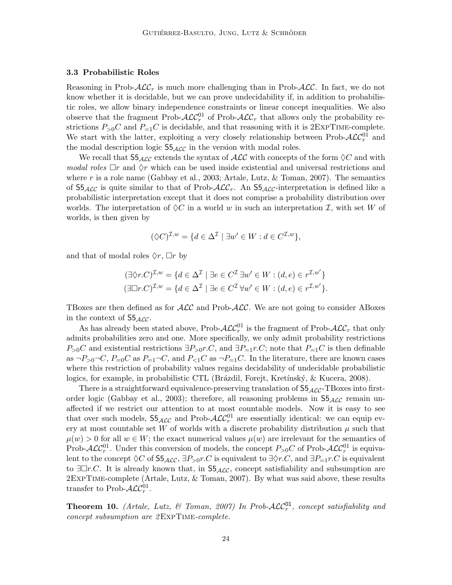#### 3.3 Probabilistic Roles

Reasoning in Prob- $\mathcal{ALC}_r$  is much more challenging than in Prob- $\mathcal{ALC}_r$ . In fact, we do not know whether it is decidable, but we can prove undecidability if, in addition to probabilistic roles, we allow binary independence constraints or linear concept inequalities. We also observe that the fragment Prob- $\mathcal{ALC}_r^{01}$  of Prob- $\mathcal{ALC}_r$  that allows only the probability restrictions  $P_{>0}C$  and  $P_{=1}C$  is decidable, and that reasoning with it is 2EXPTIME-complete. We start with the latter, exploiting a very closely relationship between Prob- $\mathcal{ALC}_r^{01}$  and the modal description logic  $S5_{\text{ALC}}$  in the version with modal roles.

We recall that  $S5_{\mathcal{ALC}}$  extends the syntax of  $\mathcal{ALC}$  with concepts of the form  $\Diamond C$  and with modal roles  $\Box r$  and  $\Diamond r$  which can be used inside existential and universal restrictions and where r is a role name (Gabbay et al., 2003; Artale, Lutz,  $\&$  Toman, 2007). The semantics of  $S5_{\text{ACC}}$  is quite similar to that of Prob- $\text{ACC}_r$ . An  $S5_{\text{ACC}}$ -interpretation is defined like a probabilistic interpretation except that it does not comprise a probability distribution over worlds. The interpretation of  $\Diamond C$  in a world w in such an interpretation I, with set W of worlds, is then given by

$$
(\Diamond C)^{\mathcal{I},w} = \{ d \in \Delta^{\mathcal{I}} \mid \exists w' \in W : d \in C^{\mathcal{I},w} \},
$$

and that of modal roles  $\Diamond r$ ,  $\Box r$  by

$$
(\exists \Diamond r.C)^{\mathcal{I},w} = \{ d \in \Delta^{\mathcal{I}} \mid \exists e \in C^{\mathcal{I}} \exists w' \in W : (d,e) \in r^{\mathcal{I},w'} \}
$$

$$
(\exists \Box r.C)^{\mathcal{I},w} = \{ d \in \Delta^{\mathcal{I}} \mid \exists e \in C^{\mathcal{I}} \forall w' \in W : (d,e) \in r^{\mathcal{I},w'} \}.
$$

TBoxes are then defined as for  $\text{ALC}$  and Prob- $\text{ALC}$ . We are not going to consider ABoxes in the context of  $S5_{\text{ALC}}$ .

As has already been stated above, Prob- $\mathcal{ALC}_r^{01}$  is the fragment of Prob- $\mathcal{ALC}_r$  that only admits probabilities zero and one. More specifically, we only admit probability restrictions  $P_{>0}C$  and existential restrictions  $\exists P_{>0}r.C$ , and  $\exists P_{=1}r.C$ ; note that  $P_{=1}C$  is then definable as  $\neg P_{\geq 0} \neg C$ ,  $P_{=0}C$  as  $P_{=1} \neg C$ , and  $P_{\leq 1}C$  as  $\neg P_{=1}C$ . In the literature, there are known cases where this restriction of probability values regains decidability of undecidable probabilistic logics, for example, in probabilistic CTL (Brázdil, Forejt, Kretínský, & Kucera, 2008).

There is a straightforward equivalence-preserving translation of  $S5_{\text{ACC}}$ -TBoxes into firstorder logic (Gabbay et al., 2003); therefore, all reasoning problems in  $S_{\text{ALC}}$  remain unaffected if we restrict our attention to at most countable models. Now it is easy to see that over such models,  $S5_{\mathcal{ALC}}$  and Prob- $\mathcal{ALC}_{r}^{01}$  are essentially identical: we can equip every at most countable set W of worlds with a discrete probability distribution  $\mu$  such that  $\mu(w) > 0$  for all  $w \in W$ ; the exact numerical values  $\mu(w)$  are irrelevant for the semantics of Prob- $\cal{ALC}^{01}_r$ . Under this conversion of models, the concept  $P_{>0}C$  of Prob- $\cal{ALC}^{01}_r$  is equivalent to the concept  $\Diamond C$  of  $S5_{\mathcal{ALC}}$ ,  $\exists P_{>0}r.C$  is equivalent to  $\exists \Diamond r.C$ , and  $\exists P_{=1}r.C$  is equivalent to  $\exists \Box r.C.$  It is already known that, in  $S_{\text{ALC}}$ , concept satisfiability and subsumption are 2ExpTime-complete (Artale, Lutz, & Toman, 2007). By what was said above, these results transfer to Prob- $\mathcal{ALC}^{01}_r$ .

**Theorem 10.** (Artale, Lutz, & Toman, 2007) In Prob- $\mathcal{ALC}_r^{01}$ , concept satisfiability and concept subsumption are 2ExpTime-complete.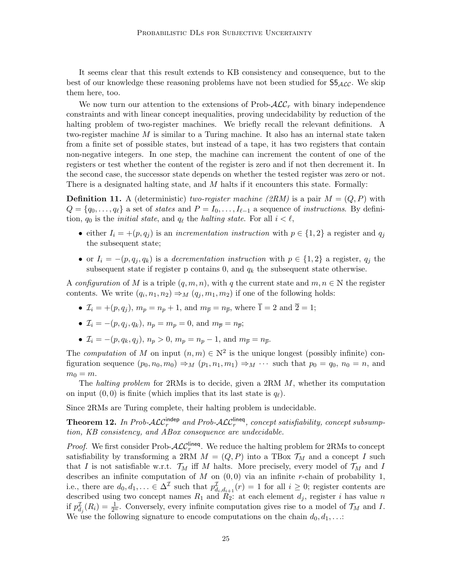It seems clear that this result extends to KB consistency and consequence, but to the best of our knowledge these reasoning problems have not been studied for  $S_{\text{AAC}}$ . We skip them here, too.

We now turn our attention to the extensions of Prob- $\mathcal{ALC}_r$  with binary independence constraints and with linear concept inequalities, proving undecidability by reduction of the halting problem of two-register machines. We briefly recall the relevant definitions. A two-register machine  $M$  is similar to a Turing machine. It also has an internal state taken from a finite set of possible states, but instead of a tape, it has two registers that contain non-negative integers. In one step, the machine can increment the content of one of the registers or test whether the content of the register is zero and if not then decrement it. In the second case, the successor state depends on whether the tested register was zero or not. There is a designated halting state, and M halts if it encounters this state. Formally:

**Definition 11.** A (deterministic) two-register machine (2RM) is a pair  $M = (Q, P)$  with  $Q = \{q_0, \ldots, q_\ell\}$  a set of states and  $P = I_0, \ldots, I_{\ell-1}$  a sequence of instructions. By definition,  $q_0$  is the *initial state*, and  $q_\ell$  the *halting state*. For all  $i < \ell$ ,

- either  $I_i = +(p, q_i)$  is an incrementation instruction with  $p \in \{1, 2\}$  a register and  $q_i$ the subsequent state;
- or  $I_i = -(p, q_j, q_k)$  is a decrementation instruction with  $p \in \{1, 2\}$  a register,  $q_j$  the subsequent state if register p contains 0, and  $q_k$  the subsequent state otherwise.

A configuration of M is a triple  $(q, m, n)$ , with q the current state and  $m, n \in \mathbb{N}$  the register contents. We write  $(q_i, n_1, n_2) \Rightarrow_M (q_j, m_1, m_2)$  if one of the following holds:

- $\mathcal{I}_i = +(p, q_i), m_p = n_p + 1$ , and  $m_{\overline{p}} = n_{\overline{p}}$ , where  $\overline{1} = 2$  and  $\overline{2} = 1$ ;
- $\mathcal{I}_i = -(p, q_i, q_k), n_p = m_p = 0$ , and  $m_{\overline{p}} = n_{\overline{p}};$
- $\mathcal{I}_i = -(p, q_k, q_i), n_p > 0, m_p = n_p 1, \text{ and } m_{\overline{p}} = n_{\overline{p}}.$

The computation of M on input  $(n, m) \in \mathbb{N}^2$  is the unique longest (possibly infinite) configuration sequence  $(p_0, n_0, m_0) \Rightarrow_M (p_1, n_1, m_1) \Rightarrow_M \cdots$  such that  $p_0 = q_0$ ,  $n_0 = n$ , and  $m_0 = m$ .

The halting problem for 2RMs is to decide, given a  $2RM \, M$ , whether its computation on input  $(0, 0)$  is finite (which implies that its last state is  $q_\ell$ ).

Since 2RMs are Turing complete, their halting problem is undecidable.

**Theorem 12.** In Prob-ALC<sup>indep</sup> and Prob-ALC<sup>lineq</sup>, concept satisfiability, concept subsumption, KB consistency, and ABox consequence are undecidable.

*Proof.* We first consider Prob- $\mathcal{ALC}_r^{\text{lineq}}$ . We reduce the halting problem for 2RMs to concept satisfiability by transforming a 2RM  $M = (Q, P)$  into a TBox  $\mathcal{T}_M$  and a concept I such that I is not satisfiable w.r.t.  $\mathcal{T}_M$  iff M halts. More precisely, every model of  $\mathcal{T}_M$  and I describes an infinite computation of  $M$  on  $(0,0)$  via an infinite r-chain of probability 1, i.e., there are  $d_0, d_1, \ldots \in \Delta^{\mathcal{I}}$  such that  $p_{d_i, d_{i+1}}^{\mathcal{I}}(r) = 1$  for all  $i \geq 0$ ; register contents are described using two concept names  $R_1$  and  $R_2$ : at each element  $d_j$ , register i has value n if  $p_{d_j}^{\mathcal{I}}(R_i) = \frac{1}{2^n}$ . Conversely, every infinite computation gives rise to a model of  $\mathcal{T}_M$  and I. We use the following signature to encode computations on the chain  $d_0, d_1, \ldots$ :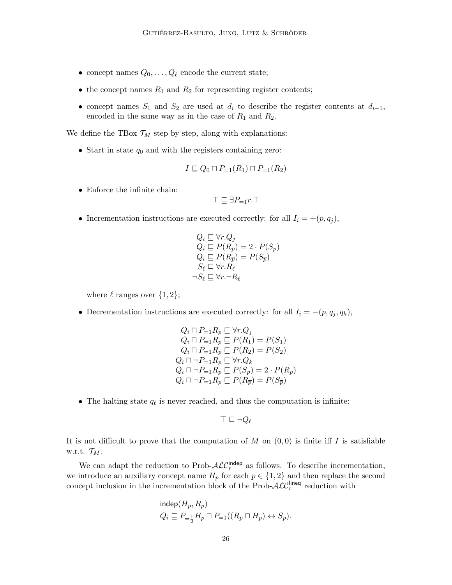- concept names  $Q_0, \ldots, Q_\ell$  encode the current state;
- the concept names  $R_1$  and  $R_2$  for representing register contents;
- concept names  $S_1$  and  $S_2$  are used at  $d_i$  to describe the register contents at  $d_{i+1}$ , encoded in the same way as in the case of  $R_1$  and  $R_2$ .

We define the TBox  $\mathcal{T}_M$  step by step, along with explanations:

• Start in state  $q_0$  and with the registers containing zero:

$$
I \sqsubseteq Q_0 \sqcap P_{=1}(R_1) \sqcap P_{=1}(R_2)
$$

• Enforce the infinite chain:

$$
\top \sqsubseteq \exists P_{=1}r.\top
$$

• Incrementation instructions are executed correctly: for all  $I_i = +(p, q_j)$ ,

$$
Q_i \sqsubseteq \forall r. Q_j
$$
  
\n
$$
Q_i \sqsubseteq P(R_p) = 2 \cdot P(S_p)
$$
  
\n
$$
Q_i \sqsubseteq P(R_{\overline{p}}) = P(S_{\overline{p}})
$$
  
\n
$$
S_{\ell} \sqsubseteq \forall r. R_{\ell}
$$
  
\n
$$
\neg S_{\ell} \sqsubseteq \forall r. \neg R_{\ell}
$$

where  $\ell$  ranges over  $\{1, 2\};$ 

• Decrementation instructions are executed correctly: for all  $I_i = -(p, q_j, q_k)$ ,

$$
Q_i \sqcap P_{=1} R_p \sqsubseteq \forall r. Q_j
$$
  
\n
$$
Q_i \sqcap P_{=1} R_p \sqsubseteq P(R_1) = P(S_1)
$$
  
\n
$$
Q_i \sqcap P_{=1} R_p \sqsubseteq P(R_2) = P(S_2)
$$
  
\n
$$
Q_i \sqcap \neg P_{=1} R_p \sqsubseteq \forall r. Q_k
$$
  
\n
$$
Q_i \sqcap \neg P_{=1} R_p \sqsubseteq P(S_p) = 2 \cdot P(R_p)
$$
  
\n
$$
Q_i \sqcap \neg P_{=1} R_p \sqsubseteq P(R_{\overline{p}}) = P(S_{\overline{p}})
$$

• The halting state  $q_\ell$  is never reached, and thus the computation is infinite:

$$
\top \sqsubseteq \neg Q_\ell
$$

It is not difficult to prove that the computation of M on  $(0,0)$  is finite iff I is satisfiable w.r.t.  $\mathcal{T}_M$ .

We can adapt the reduction to Prob- $\mathcal{ALC}_r^{\text{indep}}$  as follows. To describe incrementation, we introduce an auxiliary concept name  $H_p$  for each  $p \in \{1, 2\}$  and then replace the second concept inclusion in the incrementation block of the Prob- $\mathcal{ALC}_r^{\mathsf{lineq}}$  reduction with

$$
\begin{aligned}\n\text{indep}(H_p, R_p) \\
Q_i &\sqsubseteq P_{=\frac{1}{2}} H_p \sqcap P_{=1}((R_p \sqcap H_p) \leftrightarrow S_p).\n\end{aligned}
$$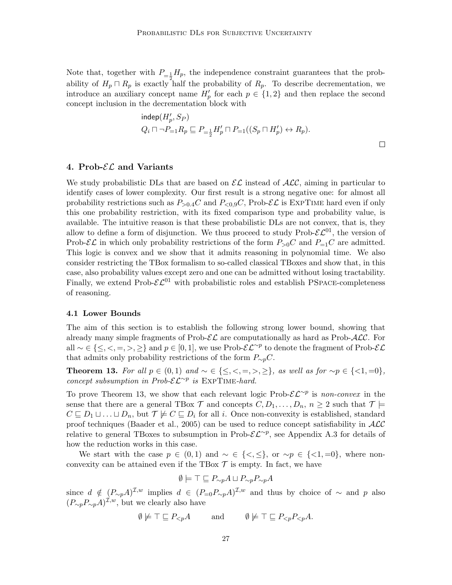Note that, together with  $P_{=\frac{1}{2}}H_p$ , the independence constraint guarantees that the probability of  $H_p \cap R_p$  is exactly half the probability of  $R_p$ . To describe decrementation, we introduce an auxiliary concept name  $H'_p$  for each  $p \in \{1,2\}$  and then replace the second concept inclusion in the decrementation block with

$$
\begin{aligned}\n\text{indep}(H'_p, S_P) \\
Q_i \sqcap \neg P_{=1} R_p \sqsubseteq P_{=\frac{1}{2}} H'_p \sqcap P_{=1}((S_p \sqcap H'_p) \leftrightarrow R_p).\n\end{aligned}
$$

### 4. Prob- $\mathcal{EL}$  and Variants

We study probabilistic DLs that are based on  $\mathcal{EL}$  instead of  $\mathcal{ALC}$ , aiming in particular to identify cases of lower complexity. Our first result is a strong negative one: for almost all probability restrictions such as  $P_{>0.4}C$  and  $P_{<0.9}C$ , Prob- $\mathcal{EL}$  is EXPTIME hard even if only this one probability restriction, with its fixed comparison type and probability value, is available. The intuitive reason is that these probabilistic DLs are not convex, that is, they allow to define a form of disjunction. We thus proceed to study Prob- $\mathcal{EL}^{01}$ , the version of Prob- $\mathcal{EL}$  in which only probability restrictions of the form  $P_{>0}C$  and  $P_{=1}C$  are admitted. This logic is convex and we show that it admits reasoning in polynomial time. We also consider restricting the TBox formalism to so-called classical TBoxes and show that, in this case, also probability values except zero and one can be admitted without losing tractability. Finally, we extend Prob- $\mathcal{EL}^{01}$  with probabilistic roles and establish PSPACE-completeness of reasoning.

#### 4.1 Lower Bounds

The aim of this section is to establish the following strong lower bound, showing that already many simple fragments of  $\text{Prob-}\mathcal{EL}$  are computationally as hard as  $\text{Prob-}\mathcal{ALC}$ . For all ~  $\in \{\leq, <, =, >, \geq\}$  and  $p \in [0, 1]$ , we use Prob- $\mathcal{EL}^{\sim p}$  to denote the fragment of Prob- $\mathcal{EL}$ that admits only probability restrictions of the form  $P_{\sim p}C$ .

**Theorem 13.** For all  $p \in (0,1)$  and  $\sim \in \{\leq, <, =, >, \geq\}$ , as well as for  $\sim p \in \{\leq 1, =0\}$ , concept subsumption in Prob- $\mathcal{EL}^{\sim p}$  is EXPTIME-hard.

To prove Theorem 13, we show that each relevant logic Prob- $\mathcal{EL}^{\sim p}$  is non-convex in the sense that there are a general TBox  $\mathcal T$  and concepts  $C, D_1, \ldots, D_n, n \geq 2$  such that  $\mathcal T \models$  $C \sqsubseteq D_1 \sqcup \ldots \sqcup D_n$ , but  $\mathcal{T} \not\models C \sqsubseteq D_i$  for all i. Once non-convexity is established, standard proof techniques (Baader et al., 2005) can be used to reduce concept satisfiability in  $\mathcal{ALC}$ relative to general TBoxes to subsumption in Prob- $\mathcal{EL}^{\sim p}$ , see Appendix A.3 for details of how the reduction works in this case.

We start with the case  $p \in (0,1)$  and  $\sim \in \{<,\leq\}$ , or  $\sim p \in \{<1,=0\}$ , where nonconvexity can be attained even if the TBox  $\mathcal T$  is empty. In fact, we have

$$
\emptyset \models \top \sqsubseteq P_{\sim p} A \sqcup P_{\sim p} P_{\sim p} A
$$

since  $d \notin (P_{\sim p}A)^{\mathcal{I},w}$  implies  $d \in (P_{=0}P_{\sim p}A)^{\mathcal{I},w}$  and thus by choice of  $\sim$  and p also  $(P_{\sim p}P_{\sim p}A)^{\mathcal{I},w}$ , but we clearly also have

$$
\emptyset \not\models \top \sqsubseteq P_{< p} A \qquad \text{and} \qquad \emptyset \not\models \top \sqsubseteq P_{< p} P_{< p} A.
$$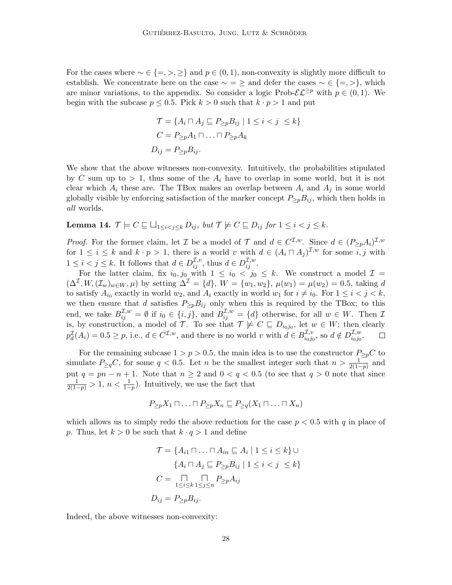For the cases where  $\sim \in \{ =, >, \geq \}$  and  $p \in (0, 1)$ , non-convexity is slightly more difficult to establish. We concentrate here on the case  $\sim$  =  $\geq$  and defer the cases  $\sim \in \{=, >\}$ , which are minor variations, to the appendix. So consider a logic Prob- $\mathcal{EL}^{\geq p}$  with  $p \in (0,1)$ . We begin with the subcase  $p \leq 0.5$ . Pick  $k > 0$  such that  $k \cdot p > 1$  and put

$$
\mathcal{T} = \{ A_i \sqcap A_j \sqsubseteq P_{\geq p} B_{ij} \mid 1 \leq i < j \leq k \}
$$
\n
$$
C = P_{\geq p} A_1 \sqcap \ldots \sqcap P_{\geq p} A_k
$$
\n
$$
D_{ij} = P_{\geq p} B_{ij}.
$$

We show that the above witnesses non-convexity. Intuitively, the probabilities stipulated by C sum up to  $> 1$ , thus some of the  $A_i$  have to overlap in some world, but it is not clear which  $A_i$  these are. The TBox makes an overlap between  $A_i$  and  $A_j$  in some world globally visible by enforcing satisfaction of the marker concept  $P_{\geq p}B_{ij}$ , which then holds in all worlds.

**Lemma 14.**  $\mathcal{T} \models C \sqsubseteq \bigsqcup_{1 \leq i < j \leq k} D_{ij}$ , but  $\mathcal{T} \not\models C \sqsubseteq D_{ij}$  for  $1 \leq i < j \leq k$ .

*Proof.* For the former claim, let *I* be a model of *T* and  $d \in C^{I,w}$ . Since  $d \in (P_{\geq p}A_i)^{I,w}$ for  $1 \leq i \leq k$  and  $k \cdot p > 1$ , there is a world v with  $d \in (A_i \cap A_j)^{\mathcal{I},w}$  for some  $i, j$  with  $1 \leq i < j \leq k$ . It follows that  $d \in D^{\mathcal{I},v}_{ij}$ , thus  $d \in D^{\mathcal{I},w}_{ij}$ .

For the latter claim, fix  $i_0, j_0$  with  $1 \le i_0 < j_0 \le k$ . We construct a model  $\mathcal{I} =$  $(\Delta^{\mathcal{I}}, W, (\mathcal{I}_w)_{w \in W}, \mu)$  by setting  $\Delta^{\mathcal{I}} = \{d\}, W = \{w_1, w_2\}, \mu(w_1) = \mu(w_2) = 0.5$ , taking d to satisfy  $A_{i_0}$  exactly in world  $w_2$ , and  $A_i$  exactly in world  $w_1$  for  $i \neq i_0$ . For  $1 \leq i < j < k$ , we then ensure that d satisfies  $P_{\geq p}B_{ij}$  only when this is required by the TBox; to this end, we take  $B_{ij}^{\mathcal{I},w} = \emptyset$  if  $i_0 \in \{i,j\}$ , and  $B_{ij}^{\mathcal{I},w} = \{d\}$  otherwise, for all  $w \in W$ . Then  $\mathcal{I}$ is, by construction, a model of  $\mathcal{T}$ . To see that  $\mathcal{T} \not\models C \sqsubseteq D_{i_0j_0}$ , let  $w \in W$ ; then clearly  $p_d^{\mathcal{I}}(A_i) = 0.5 \ge p$ , i.e.,  $d \in C^{\mathcal{I},w}$ , and there is no world v with  $d \in B^{\mathcal{I},v}_{i_0j_0}$  $_{i_0j_0}^{\mathcal{I},v}$ , so  $d \notin D_{i_0j_0}^{\mathcal{I},w}$ .  $\Box$  $i_0j_0$ 

For the remaining subcase  $1 > p > 0.5$ , the main idea is to use the constructor  $P_{\geq p}C$  to simulate  $P_{\geq q}C$ , for some  $q < 0.5$ . Let n be the smallest integer such that  $n > \frac{1}{2(1-p)}$  and put  $q = pn - n + 1$ . Note that  $n \ge 2$  and  $0 < q < 0.5$  (to see that  $q > 0$  note that since  $\frac{1}{2(1-p)} > 1, n < \frac{1}{1-p}$ . Intuitively, we use the fact that

$$
P_{\geq p} X_1 \sqcap \ldots \sqcap P_{\geq p} X_n \sqsubseteq P_{\geq q} (X_1 \sqcap \ldots \sqcap X_n)
$$

which allows us to simply redo the above reduction for the case  $p < 0.5$  with q in place of p. Thus, let  $k > 0$  be such that  $k \cdot q > 1$  and define

$$
\mathcal{T} = \{ A_{i1} \cap \ldots \cap A_{in} \subseteq A_i \mid 1 \le i \le k \} \cup
$$
  
\n
$$
\{ A_i \cap A_j \subseteq P_{\ge p} B_{ij} \mid 1 \le i < j \le k \}
$$
  
\n
$$
C = \bigcap_{1 \le i \le k} \bigcap_{1 \le j \le n} P_{\ge p} A_{ij}
$$
  
\n
$$
D_{ij} = P_{\ge p} B_{ij}.
$$

Indeed, the above witnesses non-convexity: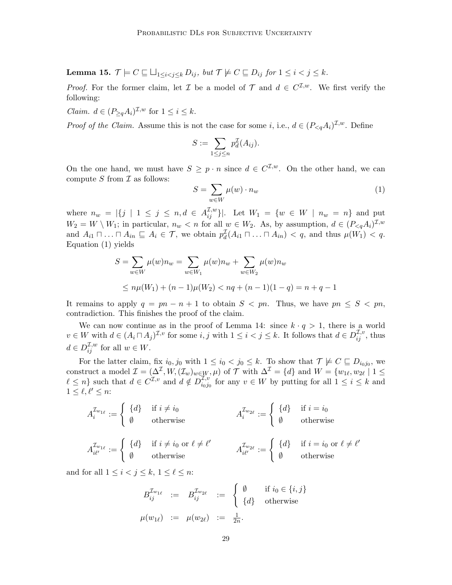**Lemma 15.**  $\mathcal{T} \models C \sqsubseteq \bigsqcup_{1 \leq i < j \leq k} D_{ij}$ , but  $\mathcal{T} \not\models C \sqsubseteq D_{ij}$  for  $1 \leq i < j \leq k$ .

*Proof.* For the former claim, let  $\mathcal I$  be a model of  $\mathcal T$  and  $d \in C^{\mathcal I,w}$ . We first verify the following:

*Claim.*  $d \in (P_{\geq q}A_i)^{\mathcal{I},w}$  for  $1 \leq i \leq k$ .

*Proof of the Claim.* Assume this is not the case for some *i*, i.e.,  $d \in (P_{\leq q}A_i)^{\mathcal{I},w}$ . Define

$$
S := \sum_{1 \le j \le n} p_d^{\mathcal{I}}(A_{ij}).
$$

On the one hand, we must have  $S \geq p \cdot n$  since  $d \in C^{I,w}$ . On the other hand, we can compute  $S$  from  $\mathcal I$  as follows:

$$
S = \sum_{w \in W} \mu(w) \cdot n_w \tag{1}
$$

where  $n_w = |\{j \mid 1 \leq j \leq n, d \in A_{ij}^{\mathcal{I},w} \}|$ . Let  $W_1 = \{w \in W \mid n_w = n\}$  and put  $W_2 = W \setminus W_1$ ; in particular,  $n_w < n$  for all  $w \in W_2$ . As, by assumption,  $d \in (P_{\leq q}A_i)^{\mathcal{I},w}$ and  $A_{i1} \sqcap ... \sqcap A_{in} \sqsubseteq A_i \in \mathcal{T}$ , we obtain  $p_d^{\mathcal{T}}(A_{i1} \sqcap ... \sqcap A_{in}) < q$ , and thus  $\mu(W_1) < q$ . Equation (1) yields

$$
S = \sum_{w \in W} \mu(w)n_w = \sum_{w \in W_1} \mu(w)n_w + \sum_{w \in W_2} \mu(w)n_w
$$
  
 
$$
\leq n\mu(W_1) + (n-1)\mu(W_2) < nq + (n-1)(1-q) = n+q-1
$$

It remains to apply  $q = pn - n + 1$  to obtain  $S < pn$ . Thus, we have  $pn \leq S < pn$ , contradiction. This finishes the proof of the claim.

We can now continue as in the proof of Lemma 14: since  $k \cdot q > 1$ , there is a world  $v \in W$  with  $d \in (A_i \cap A_j)^{\mathcal{I}, v}$  for some  $i, j$  with  $1 \leq i < j \leq k$ . It follows that  $d \in D_{ij}^{\mathcal{I}, v}$ , thus  $d \in D^{\mathcal{I},w}_{ij}$  for all  $w \in W$ .

For the latter claim, fix  $i_0, j_0$  with  $1 \leq i_0 < j_0 \leq k$ . To show that  $\mathcal{T} \not\models C \sqsubseteq D_{i_0j_0}$ , we construct a model  $\mathcal{I} = (\Delta^{\mathcal{I}}, W, (\mathcal{I}_w)_{w \in W}, \mu)$  of  $\mathcal{T}$  with  $\Delta^{\mathcal{I}} = \{d\}$  and  $W = \{w_{1\ell}, w_{2\ell} \mid 1 \leq \ell \leq 1\}$  $\ell \leq n$  such that  $d \in C^{\mathcal{I},v}$  and  $d \notin D_{i_0,i_1}^{\mathcal{I},v}$  $\frac{L,v}{i_0j_0}$  for any  $v \in W$  by putting for all  $1 \leq i \leq k$  and  $1 \leq \ell, \ell' \leq n$ :

$$
A_i^{\mathcal{I}_{w_{1\ell}}} := \begin{cases} \{d\} & \text{if } i \neq i_0 \\ \emptyset & \text{otherwise} \end{cases} \qquad A_i^{\mathcal{I}_{w_{2\ell}}} := \begin{cases} \{d\} & \text{if } i = i_0 \\ \emptyset & \text{otherwise} \end{cases}
$$

$$
A_{i\ell'}^{\mathcal{I}_{w_{1\ell}}} := \begin{cases} \{d\} & \text{if } i \neq i_0 \text{ or } \ell \neq \ell' \\ \emptyset & \text{otherwise} \end{cases} \qquad A_{i\ell'}^{\mathcal{I}_{w_{2\ell}}} := \begin{cases} \{d\} & \text{if } i = i_0 \text{ or } \ell \neq \ell' \\ \emptyset & \text{otherwise} \end{cases}
$$

and for all  $1 \leq i \leq j \leq k$ ,  $1 \leq \ell \leq n$ :

$$
B_{ij}^{\mathcal{I}_{w_{1\ell}}} := B_{ij}^{\mathcal{I}_{w_{2\ell}}} := \begin{cases} \emptyset & \text{if } i_0 \in \{i, j\} \\ \{d\} & \text{otherwise} \end{cases}
$$
  

$$
\mu(w_{1\ell}) := \mu(w_{2\ell}) := \frac{1}{2n}.
$$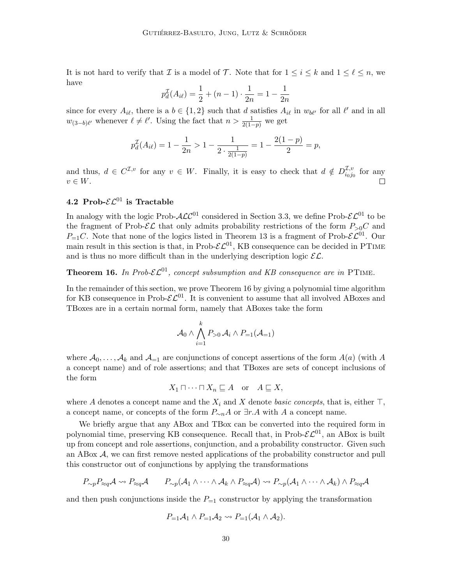It is not hard to verify that  $\mathcal I$  is a model of  $\mathcal T$ . Note that for  $1 \leq i \leq k$  and  $1 \leq \ell \leq n$ , we have

$$
p_d^{\mathcal{I}}(A_{i\ell}) = \frac{1}{2} + (n-1) \cdot \frac{1}{2n} = 1 - \frac{1}{2n}
$$

since for every  $A_{i\ell}$ , there is a  $b \in \{1,2\}$  such that d satisfies  $A_{i\ell}$  in  $w_{b\ell'}$  for all  $\ell'$  and in all  $w_{(3-b)\ell'}$  whenever  $\ell \neq \ell'$ . Using the fact that  $n > \frac{1}{2(1-p)}$  we get

$$
p_d^{\mathcal{I}}(A_{i\ell}) = 1 - \frac{1}{2n} > 1 - \frac{1}{2 \cdot \frac{1}{2(1-p)}} = 1 - \frac{2(1-p)}{2} = p,
$$

and thus,  $d \in C^{\mathcal{I},v}$  for any  $v \in W$ . Finally, it is easy to check that  $d \notin D_{i_0,i_1}^{\mathcal{I},v}$  $\frac{\mu}{i_0j_0}$  for any  $v \in W$ .

## 4.2 Prob- $\mathcal{EL}^{01}$  is Tractable

In analogy with the logic Prob- $\mathcal{ALC}^{01}$  considered in Section 3.3, we define Prob- $\mathcal{EL}^{01}$  to be the fragment of Prob- $\mathcal{EL}$  that only admits probability restrictions of the form  $P_{>0}C$  and  $P_{=1}C$ . Note that none of the logics listed in Theorem 13 is a fragment of Prob- $\mathcal{EL}^{01}$ . Our main result in this section is that, in Prob- $\mathcal{EL}^{01}$ , KB consequence can be decided in PTIME and is thus no more difficult than in the underlying description logic  $\mathcal{EL}$ .

## **Theorem 16.** In Prob- $\mathcal{EL}^{01}$ , concept subsumption and KB consequence are in PTIME.

In the remainder of this section, we prove Theorem 16 by giving a polynomial time algorithm for KB consequence in Prob- $\mathcal{EL}^{01}$ . It is convenient to assume that all involved ABoxes and TBoxes are in a certain normal form, namely that ABoxes take the form

$$
\mathcal{A}_0 \wedge \bigwedge_{i=1}^k P_{>0} \mathcal{A}_i \wedge P_{=1}(\mathcal{A}_{=1})
$$

where  $\mathcal{A}_0, \ldots, \mathcal{A}_k$  and  $\mathcal{A}_{-1}$  are conjunctions of concept assertions of the form  $A(a)$  (with A a concept name) and of role assertions; and that TBoxes are sets of concept inclusions of the form

$$
X_1 \sqcap \cdots \sqcap X_n \sqsubseteq A \quad \text{or} \quad A \sqsubseteq X,
$$

where A denotes a concept name and the  $X_i$  and X denote basic concepts, that is, either  $\top$ , a concept name, or concepts of the form  $P_{\sim n}A$  or  $\exists r.A$  with A a concept name.

We briefly argue that any ABox and TBox can be converted into the required form in polynomial time, preserving KB consequence. Recall that, in Prob- $\mathcal{EL}^{01}$ , an ABox is built up from concept and role assertions, conjunction, and a probability constructor. Given such an ABox A, we can first remove nested applications of the probability constructor and pull this constructor out of conjunctions by applying the transformations

$$
P_{\sim p}P_{\approx q}\mathcal{A} \rightsquigarrow P_{\approx q}\mathcal{A} \qquad P_{\sim p}(\mathcal{A}_1 \wedge \cdots \wedge \mathcal{A}_k \wedge P_{\approx q}\mathcal{A}) \rightsquigarrow P_{\sim p}(\mathcal{A}_1 \wedge \cdots \wedge \mathcal{A}_k) \wedge P_{\approx q}\mathcal{A}
$$

and then push conjunctions inside the  $P_{=1}$  constructor by applying the transformation

$$
P_{=1}A_1 \wedge P_{=1}A_2 \leadsto P_{=1}(A_1 \wedge A_2).
$$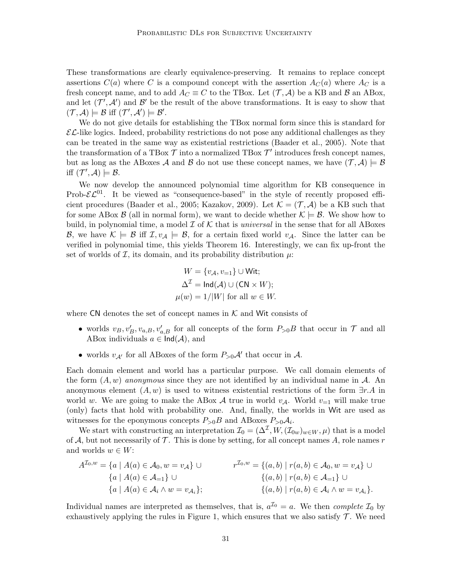These transformations are clearly equivalence-preserving. It remains to replace concept assertions  $C(a)$  where C is a compound concept with the assertion  $A_C(a)$  where  $A_C$  is a fresh concept name, and to add  $A_C \equiv C$  to the TBox. Let  $(\mathcal{T}, \mathcal{A})$  be a KB and  $\mathcal{B}$  an ABox, and let  $(\mathcal{T}', \mathcal{A}')$  and  $\mathcal{B}'$  be the result of the above transformations. It is easy to show that  $(\mathcal{T}, \mathcal{A}) \models \mathcal{B}$  iff  $(\mathcal{T}', \mathcal{A}') \models \mathcal{B}'.$ 

We do not give details for establishing the TBox normal form since this is standard for  $\mathcal{EL}$ -like logics. Indeed, probability restrictions do not pose any additional challenges as they can be treated in the same way as existential restrictions (Baader et al., 2005). Note that the transformation of a TBox  $\mathcal T$  into a normalized TBox  $\mathcal T'$  introduces fresh concept names, but as long as the ABoxes A and B do not use these concept names, we have  $(\mathcal{T}, \mathcal{A}) \models \mathcal{B}$ iff  $(\mathcal{T}', \mathcal{A}) \models \mathcal{B}.$ 

We now develop the announced polynomial time algorithm for KB consequence in Prob- $\mathcal{EL}^{01}$ . It be viewed as "consequence-based" in the style of recently proposed efficient procedures (Baader et al., 2005; Kazakov, 2009). Let  $\mathcal{K} = (\mathcal{T}, \mathcal{A})$  be a KB such that for some ABox  $\mathcal{B}$  (all in normal form), we want to decide whether  $\mathcal{K} \models \mathcal{B}$ . We show how to build, in polynomial time, a model  $\mathcal I$  of  $\mathcal K$  that is universal in the sense that for all ABoxes B, we have  $\mathcal{K} \models \mathcal{B}$  iff  $\mathcal{I}, v_{\mathcal{A}} \models \mathcal{B}$ , for a certain fixed world  $v_{\mathcal{A}}$ . Since the latter can be verified in polynomial time, this yields Theorem 16. Interestingly, we can fix up-front the set of worlds of  $\mathcal{I}$ , its domain, and its probability distribution  $\mu$ .

$$
W = \{v_A, v_{=1}\} \cup \text{Wit};
$$
  
\n
$$
\Delta^{\mathcal{I}} = \text{Ind}(\mathcal{A}) \cup (\text{CN} \times W);
$$
  
\n
$$
\mu(w) = 1/|W| \text{ for all } w \in W.
$$

where  $CN$  denotes the set of concept names in  $K$  and Wit consists of

- worlds  $v_B, v'_B, v_{a,B}, v'_{a,B}$  for all concepts of the form  $P_{>0}B$  that occur in  $\mathcal T$  and all ABox individuals  $a \in \text{Ind}(\mathcal{A})$ , and
- worlds  $v_{A'}$  for all ABoxes of the form  $P_{>0}A'$  that occur in A.

Each domain element and world has a particular purpose. We call domain elements of the form  $(A, w)$  anonymous since they are not identified by an individual name in  $A$ . An anonymous element  $(A, w)$  is used to witness existential restrictions of the form  $\exists r.A$  in world w. We are going to make the ABox A true in world  $v_A$ . World  $v_{=1}$  will make true (only) facts that hold with probability one. And, finally, the worlds in Wit are used as witnesses for the eponymous concepts  $P_{>0}B$  and ABoxes  $P_{>0}A_i$ .

We start with constructing an interpretation  $\mathcal{I}_0 = (\Delta^{\mathcal{I}}, W, (\mathcal{I}_{0w})_{w \in W}, \mu)$  that is a model of A, but not necessarily of  $\mathcal T$ . This is done by setting, for all concept names A, role names r and worlds  $w \in W$ :

$$
A^{T_0,w} = \{a \mid A(a) \in \mathcal{A}_0, w = v_{\mathcal{A}}\} \cup
$$
  
\n
$$
\{a \mid A(a) \in \mathcal{A}_{=1}\} \cup
$$
  
\n
$$
\{a \mid A(a) \in \mathcal{A}_i \wedge w = v_{\mathcal{A}_i}\};
$$
  
\n
$$
r^{T_0,w} = \{(a,b) \mid r(a,b) \in \mathcal{A}_0, w = v_{\mathcal{A}}\} \cup
$$
  
\n
$$
\{(a,b) \mid r(a,b) \in \mathcal{A}_{=1}\} \cup
$$
  
\n
$$
\{(a,b) \mid r(a,b) \in \mathcal{A}_i \wedge w = v_{\mathcal{A}_i}\}.
$$

Individual names are interpreted as themselves, that is,  $a^{I_0} = a$ . We then *complete*  $I_0$  by exhaustively applying the rules in Figure 1, which ensures that we also satisfy  $\mathcal{T}$ . We need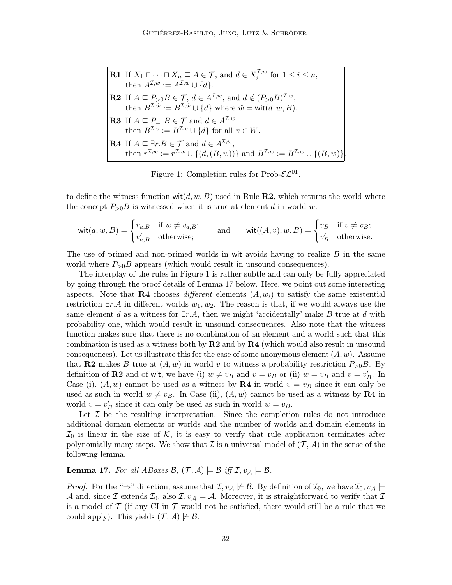**R1** If 
$$
X_1 \sqcap \cdots \sqcap X_n \sqsubseteq A \in \mathcal{T}
$$
, and  $d \in X_i^{\mathcal{I},w}$  for  $1 \leq i \leq n$ ,  
\nthen  $A^{\mathcal{I},w} := A^{\mathcal{I},w} \cup \{d\}$ .  
\n**R2** If  $A \sqsubseteq P_{>0}B \in \mathcal{T}$ ,  $d \in A^{\mathcal{I},w}$ , and  $d \notin (P_{>0}B)^{\mathcal{I},w}$ ,  
\nthen  $B^{\mathcal{I},\hat{w}} := B^{\mathcal{I},\hat{w}} \cup \{d\}$  where  $\hat{w} = \text{wit}(d, w, B)$ .  
\n**R3** If  $A \sqsubseteq P_{=1}B \in \mathcal{T}$  and  $d \in A^{\mathcal{I},w}$   
\nthen  $B^{\mathcal{I},v} := B^{\mathcal{I},v} \cup \{d\}$  for all  $v \in W$ .  
\n**R4** If  $A \sqsubseteq \exists r.B \in \mathcal{T}$  and  $d \in A^{\mathcal{I},w}$ ,  
\nthen  $r^{\mathcal{I},w} := r^{\mathcal{I},w} \cup \{(d,(B,w))\}$  and  $B^{\mathcal{I},w} := B^{\mathcal{I},w} \cup \{(B,w)\}$ .

Figure 1: Completion rules for Prob- $\mathcal{EL}^{01}$ .

to define the witness function  $\text{wit}(d, w, B)$  used in Rule **R2**, which returns the world where the concept  $P_{>0}B$  is witnessed when it is true at element d in world w:

$$
\text{wit}(a, w, B) = \begin{cases} v_{a,B} & \text{if } w \neq v_{a,B}; \\ v'_{a,B} & \text{otherwise}; \end{cases} \qquad \text{and} \qquad \text{wit}((A, v), w, B) = \begin{cases} v_B & \text{if } v \neq v_B; \\ v'_B & \text{otherwise}. \end{cases}
$$

The use of primed and non-primed worlds in wit avoids having to realize  $B$  in the same world where  $P_{>0}B$  appears (which would result in unsound consequences).

The interplay of the rules in Figure 1 is rather subtle and can only be fully appreciated by going through the proof details of Lemma 17 below. Here, we point out some interesting aspects. Note that **R4** chooses different elements  $(A, w_i)$  to satisfy the same existential restriction  $\exists r.A$  in different worlds  $w_1, w_2$ . The reason is that, if we would always use the same element d as a witness for  $\exists r.A$ , then we might 'accidentally' make B true at d with probability one, which would result in unsound consequences. Also note that the witness function makes sure that there is no combination of an element and a world such that this combination is used as a witness both by  $R2$  and by  $R4$  (which would also result in unsound consequences). Let us illustrate this for the case of some anonymous element  $(A, w)$ . Assume that R2 makes B true at  $(A, w)$  in world v to witness a probability restriction  $P_{>0}B$ . By definition of **R2** and of wit, we have (i)  $w \neq v_B$  and  $v = v_B$  or (ii)  $w = v_B$  and  $v = v'_B$ . In Case (i),  $(A, w)$  cannot be used as a witness by **R4** in world  $v = v_B$  since it can only be used as such in world  $w \neq v_B$ . In Case (ii),  $(A, w)$  cannot be used as a witness by **R4** in world  $v = v'_B$  since it can only be used as such in world  $w = v_B$ .

Let  $\mathcal I$  be the resulting interpretation. Since the completion rules do not introduce additional domain elements or worlds and the number of worlds and domain elements in  $\mathcal{I}_0$  is linear in the size of K, it is easy to verify that rule application terminates after polynomially many steps. We show that  $\mathcal I$  is a universal model of  $(\mathcal T, \mathcal A)$  in the sense of the following lemma.

**Lemma 17.** For all ABoxes  $\mathcal{B}, (\mathcal{T}, \mathcal{A}) \models \mathcal{B}$  iff  $\mathcal{I}, v_{\mathcal{A}} \models \mathcal{B}$ .

*Proof.* For the "⇒" direction, assume that  $\mathcal{I}, v_{\mathcal{A}} \not\models \mathcal{B}$ . By definition of  $\mathcal{I}_0$ , we have  $\mathcal{I}_0, v_{\mathcal{A}} \models$ A and, since I extends  $\mathcal{I}_0$ , also  $\mathcal{I}, v_\mathcal{A} \models \mathcal{A}$ . Moreover, it is straightforward to verify that I is a model of  $\mathcal T$  (if any CI in  $\mathcal T$  would not be satisfied, there would still be a rule that we could apply). This yields  $(\mathcal{T}, \mathcal{A}) \not\models \mathcal{B}$ .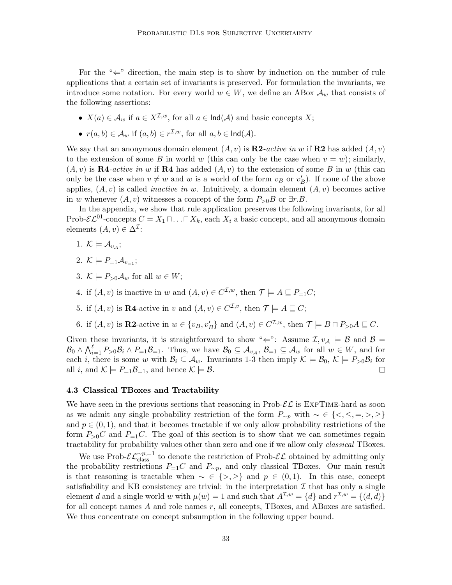For the " $\Leftarrow$ " direction, the main step is to show by induction on the number of rule applications that a certain set of invariants is preserved. For formulation the invariants, we introduce some notation. For every world  $w \in W$ , we define an ABox  $\mathcal{A}_w$  that consists of the following assertions:

- $X(a) \in \mathcal{A}_w$  if  $a \in X^{\mathcal{I},w}$ , for all  $a \in \text{Ind}(\mathcal{A})$  and basic concepts X;
- $r(a, b) \in \mathcal{A}_w$  if  $(a, b) \in r^{\mathcal{I}, w}$ , for all  $a, b \in \mathsf{Ind}(\mathcal{A})$ .

We say that an anonymous domain element  $(A, v)$  is  $\mathbb{R}2$ -active in w if  $\mathbb{R}2$  has added  $(A, v)$ to the extension of some B in world w (this can only be the case when  $v = w$ ); similarly,  $(A, v)$  is **R4**-active in w if **R4** has added  $(A, v)$  to the extension of some B in w (this can only be the case when  $v \neq w$  and w is a world of the form  $v_B$  or  $v'_B$ ). If none of the above applies,  $(A, v)$  is called *inactive in w*. Intuitively, a domain element  $(A, v)$  becomes active in w whenever  $(A, v)$  witnesses a concept of the form  $P_{>0}B$  or  $\exists r.B$ .

In the appendix, we show that rule application preserves the following invariants, for all Prob- $\mathcal{EL}^{01}$ -concepts  $C = X_1 \sqcap \ldots \sqcap X_k$ , each  $X_i$  a basic concept, and all anonymous domain elements  $(A, v) \in \Delta^{\mathcal{I}}$ :

- 1.  $K \models A_{v_{\mathcal{A}}};$
- 2.  $\mathcal{K} \models P_{=1} \mathcal{A}_{v-1}$ ;
- 3.  $\mathcal{K} \models P_{>0} \mathcal{A}_w$  for all  $w \in W$ ;
- 4. if  $(A, v)$  is inactive in w and  $(A, v) \in C^{\mathcal{I}, w}$ , then  $\mathcal{T} \models A \sqsubseteq P_{=1}C$ ;
- 5. if  $(A, v)$  is **R4**-active in v and  $(A, v) \in C^{\mathcal{I}, v}$ , then  $\mathcal{T} \models A \sqsubseteq C$ ;
- 6. if  $(A, v)$  is **R2**-active in  $w \in \{v_B, v'_B\}$  and  $(A, v) \in C^{\mathcal{I}, w}$ , then  $\mathcal{T} \models B \sqcap P_{>0}A \sqsubseteq C$ .

Given these invariants, it is straightforward to show " $\Leftarrow$ ": Assume  $\mathcal{I}, v_{\mathcal{A}} \models \mathcal{B}$  and  $\mathcal{B} =$  $\mathcal{B}_0 \wedge \bigwedge_{i=1}^{\ell} P_{>0} \mathcal{B}_i \wedge P_{=1} \mathcal{B}_{=1}$ . Thus, we have  $\mathcal{B}_0 \subseteq \mathcal{A}_{v_{\mathcal{A}}}, \mathcal{B}_{=1} \subseteq \mathcal{A}_w$  for all  $w \in W$ , and for each *i*, there is some w with  $\mathcal{B}_i \subseteq \mathcal{A}_w$ . Invariants 1-3 then imply  $\mathcal{K} \models \mathcal{B}_0, \mathcal{K} \models P_{>0}\mathcal{B}_i$  for all i, and  $\mathcal{K} \models P_{=1} \mathcal{B}_{=1}$ , and hence  $\mathcal{K} \models \mathcal{B}$ .  $\Box$ 

## 4.3 Classical TBoxes and Tractability

We have seen in the previous sections that reasoning in  $\text{Prob-}\mathcal{EL}$  is  $\text{EXPTIME-hard}$  as soon as we admit any single probability restriction of the form  $P_{\sim p}$  with  $\sim \in \{<,\leq,=,>,\geq\}$ and  $p \in (0, 1)$ , and that it becomes tractable if we only allow probability restrictions of the form  $P_{>0}C$  and  $P_{=1}C$ . The goal of this section is to show that we can sometimes regain tractability for probability values other than zero and one if we allow only *classical* TBoxes.

We use Prob- $\mathcal{EL}_{\text{class}}^{\sim p;=1}$  to denote the restriction of Prob- $\mathcal{EL}$  obtained by admitting only the probability restrictions  $P_{=1}C$  and  $P_{\sim p}$ , and only classical TBoxes. Our main result is that reasoning is tractable when  $\sim \in \{>, \geq\}$  and  $p \in (0, 1)$ . In this case, concept satisfiability and KB consistency are trivial: in the interpretation  $\mathcal I$  that has only a single element d and a single world w with  $\mu(w) = 1$  and such that  $A^{\mathcal{I},w} = \{d\}$  and  $r^{\mathcal{I},w} = \{(d,d)\}\$ for all concept names  $A$  and role names  $r$ , all concepts, TBoxes, and ABoxes are satisfied. We thus concentrate on concept subsumption in the following upper bound.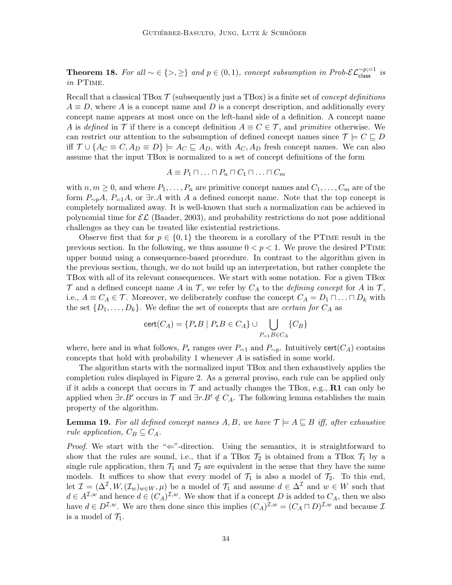**Theorem 18.** For all  $\sim \in \{>, \geq\}$  and  $p \in (0,1)$ , concept subsumption in Prob- $\mathcal{EL}_{\text{class}}^{\sim p;}=1$  is in PTime.

Recall that a classical TBox  $\mathcal T$  (subsequently just a TBox) is a finite set of *concept definitions*  $A \equiv D$ , where A is a concept name and D is a concept description, and additionally every concept name appears at most once on the left-hand side of a definition. A concept name A is defined in T if there is a concept definition  $A \equiv C \in \mathcal{T}$ , and primitive otherwise. We can restrict our attention to the subsumption of defined concept names since  $\mathcal{T} \models C \sqsubseteq D$ iff  $\mathcal{T} \cup \{A_C \equiv C, A_D \equiv D\} \models A_C \sqsubseteq A_D$ , with  $A_C, A_D$  fresh concept names. We can also assume that the input TBox is normalized to a set of concept definitions of the form

$$
A \equiv P_1 \sqcap \ldots \sqcap P_n \sqcap C_1 \sqcap \ldots \sqcap C_m
$$

with  $n, m \geq 0$ , and where  $P_1, \ldots, P_n$  are primitive concept names and  $C_1, \ldots, C_m$  are of the form  $P_{\sim p}A$ ,  $P_{=1}A$ , or  $\exists r.A$  with A a defined concept name. Note that the top concept is completely normalized away. It is well-known that such a normalization can be achieved in polynomial time for  $\mathcal{EL}$  (Baader, 2003), and probability restrictions do not pose additional challenges as they can be treated like existential restrictions.

Observe first that for  $p \in \{0,1\}$  the theorem is a corollary of the PTIME result in the previous section. In the following, we thus assume  $0 < p < 1$ . We prove the desired PTIME upper bound using a consequence-based procedure. In contrast to the algorithm given in the previous section, though, we do not build up an interpretation, but rather complete the TBox with all of its relevant consequences. We start with some notation. For a given TBox  $\mathcal T$  and a defined concept name A in  $\mathcal T$ , we refer by  $C_A$  to the *defining concept* for A in  $\mathcal T$ , i.e.,  $A \equiv C_A \in \mathcal{T}$ . Moreover, we deliberately confuse the concept  $C_A = D_1 \sqcap \ldots \sqcap D_k$  with the set  $\{D_1, \ldots, D_k\}$ . We define the set of concepts that are *certain for*  $C_A$  as

$$
cert(C_A) = \{ P_*B \mid P_*B \in C_A \} \cup \bigcup_{P=1}^{} \{ C_B \}
$$

where, here and in what follows,  $P_*$  ranges over  $P_{=1}$  and  $P_{\sim p}$ . Intuitively cert( $C_A$ ) contains concepts that hold with probability 1 whenever A is satisfied in some world.

The algorithm starts with the normalized input TBox and then exhaustively applies the completion rules displayed in Figure 2. As a general proviso, each rule can be applied only if it adds a concept that occurs in  $\mathcal T$  and actually changes the TBox, e.g., R1 can only be applied when  $\exists r.B'$  occurs in  $\mathcal T$  and  $\exists r.B' \notin C_A$ . The following lemma establishes the main property of the algorithm.

**Lemma 19.** For all defined concept names A, B, we have  $\mathcal{T} \models A \sqsubseteq B$  iff, after exhaustive rule application,  $C_B \subset C_A$ .

*Proof.* We start with the " $\Leftarrow$ "-direction. Using the semantics, it is straightforward to show that the rules are sound, i.e., that if a TBox  $\mathcal{T}_2$  is obtained from a TBox  $\mathcal{T}_1$  by a single rule application, then  $\mathcal{T}_1$  and  $\mathcal{T}_2$  are equivalent in the sense that they have the same models. It suffices to show that every model of  $\mathcal{T}_1$  is also a model of  $\mathcal{T}_2$ . To this end, let  $\mathcal{I} = (\Delta^{\mathcal{I}}, W, (\mathcal{I}_w)_{w \in W}, \mu)$  be a model of  $\mathcal{T}_1$  and assume  $d \in \Delta^{\mathcal{I}}$  and  $w \in W$  such that  $d \in A^{\mathcal{I},w}$  and hence  $d \in (C_A)^{\mathcal{I},w}$ . We show that if a concept D is added to  $C_A$ , then we also have  $d \in D^{\mathcal{I},w}$ . We are then done since this implies  $(C_A)^{\mathcal{I},w} = (C_A \sqcap D)^{\mathcal{I},w}$  and because  $\mathcal{I}$ is a model of  $\mathcal{T}_1$ .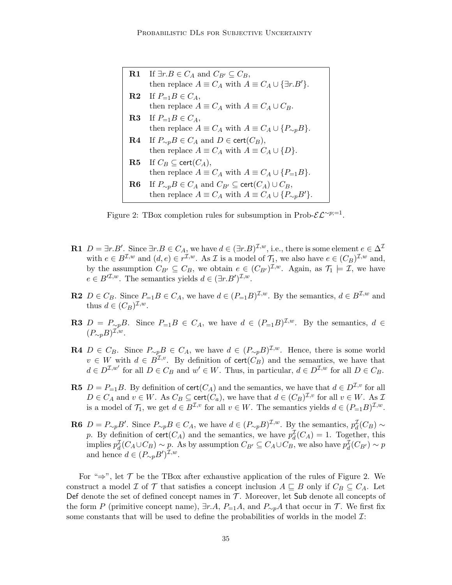| <b>R1</b> If $\exists r.B \in C_A$ and $C_{B'} \subseteq C_B$ ,                       |
|---------------------------------------------------------------------------------------|
| then replace $A \equiv C_A$ with $A \equiv C_A \cup {\exists r.B'}$ .                 |
| <b>R2</b> If $P_{=1}B \in C_A$ ,                                                      |
| then replace $A \equiv C_A$ with $A \equiv C_A \cup C_B$ .                            |
| <b>R3</b> If $P_{=1}B \in C_A$ ,                                                      |
| then replace $A \equiv C_A$ with $A \equiv C_A \cup \{P_{\sim p}B\}.$                 |
| <b>R4</b> If $P_{\sim p}B \in C_A$ and $D \in \text{cert}(C_B)$ ,                     |
| then replace $A \equiv C_A$ with $A \equiv C_A \cup \{D\}.$                           |
| <b>R5</b> If $C_B \subseteq \text{cert}(C_A)$ ,                                       |
| then replace $A \equiv C_A$ with $A \equiv C_A \cup \{P_{=1}B\}.$                     |
| <b>R6</b> If $P_{\sim p}B \in C_A$ and $C_{B'} \subseteq \text{cert}(C_A) \cup C_B$ , |
| then replace $A \equiv C_A$ with $A \equiv C_A \cup \{P_{\sim p}B'\}.$                |

Figure 2: TBox completion rules for subsumption in Prob- $\mathcal{EL}^{\sim p;=1}$ .

- **R1**  $D = \exists r.B'.$  Since  $\exists r.B \in C_A$ , we have  $d \in (\exists r.B)^{\mathcal{I},w}$ , i.e., there is some element  $e \in \Delta^{\mathcal{I}}$ with  $e \in B^{\mathcal{I},w}$  and  $(d,e) \in r^{\mathcal{I},w}$ . As  $\mathcal I$  is a model of  $\mathcal{T}_1$ , we also have  $e \in (C_B)^{\mathcal{I},w}$  and, by the assumption  $C_{B'} \subseteq C_B$ , we obtain  $e \in (C_{B'})^{\mathcal{I},w}$ . Again, as  $\mathcal{T}_1 \models \mathcal{I}$ , we have  $e \in B^{\prime \mathcal{I},w}$ . The semantics yields  $d \in (\exists r.B')^{\mathcal{I},w}$ .
- **R2**  $D \in C_B$ . Since  $P_{=1}B \in C_A$ , we have  $d \in (P_{=1}B)^{\mathcal{I},w}$ . By the semantics,  $d \in B^{\mathcal{I},w}$  and thus  $d \in (C_B)^{\mathcal{I},w}$ .
- **R3**  $D = P_{\sim p}B$ . Since  $P_{=1}B \in C_A$ , we have  $d \in (P_{=1}B)^{\mathcal{I},w}$ . By the semantics,  $d \in$  $(P_{\sim p}B)^{\mathcal{I},w}.$
- **R4**  $D \in C_B$ . Since  $P_{\sim p}B \in C_A$ , we have  $d \in (P_{\sim p}B)^{\mathcal{I},w}$ . Hence, there is some world  $v \in W$  with  $d \in B^{\mathcal{I},v}$ . By definition of  $\text{cert}(C_B)$  and the semantics, we have that  $d \in D^{\mathcal{I},w'}$  for all  $D \in C_B$  and  $w' \in W$ . Thus, in particular,  $d \in D^{\mathcal{I},w}$  for all  $D \in C_B$ .
- **R5**  $D = P_{-1}B$ . By definition of  $\text{cert}(C_A)$  and the semantics, we have that  $d \in D^{\mathcal{I},v}$  for all  $D \in C_A$  and  $v \in W$ . As  $C_B \subseteq \text{cert}(C_a)$ , we have that  $d \in (C_B)^{\mathcal{I}, v}$  for all  $v \in W$ . As  $\mathcal{I}$ is a model of  $\mathcal{T}_1$ , we get  $d \in B^{\mathcal{I}, v}$  for all  $v \in W$ . The semantics yields  $d \in (P_{=1}B)^{\mathcal{I}, w}$ .
- **R6**  $D = P_{\sim p}B'$ . Since  $P_{\sim p}B \in C_A$ , we have  $d \in (P_{\sim p}B)^{\mathcal{I},w}$ . By the semantics,  $p_d^{\mathcal{I}}(C_B) \sim$ p. By definition of  $\text{cert}(C_A)$  and the semantics, we have  $p_d^{\mathcal{I}}(C_A) = 1$ . Together, this implies  $p_d^{\mathcal{I}}(C_A \cup C_B) \sim p$ . As by assumption  $C_{B'} \subseteq C_A \cup C_B$ , we also have  $p_d^{\mathcal{I}}(C_{B'}) \sim p$ and hence  $d \in (P_{\sim p}B')^{\mathcal{I},w}$ .

For " $\Rightarrow$ ", let T be the TBox after exhaustive application of the rules of Figure 2. We construct a model I of T that satisfies a concept inclusion  $A \subseteq B$  only if  $C_B \subseteq C_A$ . Let Def denote the set of defined concept names in  $\mathcal T$ . Moreover, let Sub denote all concepts of the form P (primitive concept name),  $\exists r.A, P_{=1}A$ , and  $P_{\sim p}A$  that occur in T. We first fix some constants that will be used to define the probabilities of worlds in the model  $\mathcal{I}$ :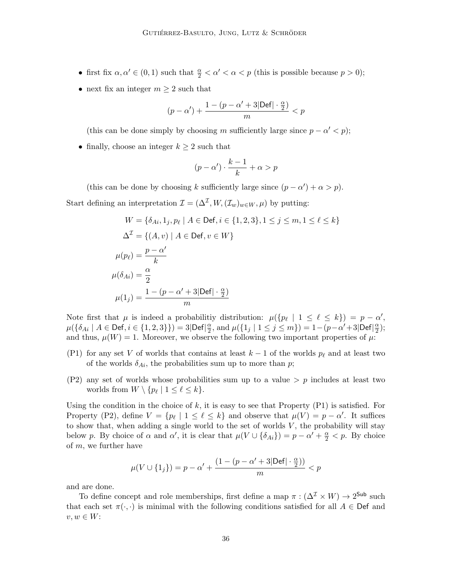- first fix  $\alpha, \alpha' \in (0, 1)$  such that  $\frac{\alpha}{2} < \alpha' < \alpha < p$  (this is possible because  $p > 0$ );
- next fix an integer  $m \geq 2$  such that

$$
(p-\alpha')+\frac{1-(p-\alpha'+3|\text{Def}| \cdot \frac{\alpha}{2})}{m}
$$

(this can be done simply by choosing m sufficiently large since  $p - \alpha' < p$ );

• finally, choose an integer  $k \geq 2$  such that

$$
(p - \alpha') \cdot \frac{k - 1}{k} + \alpha > p
$$

(this can be done by choosing k sufficiently large since  $(p - \alpha') + \alpha > p$ ). Start defining an interpretation  $\mathcal{I} = (\Delta^{\mathcal{I}}, W, (\mathcal{I}_w)_{w \in W}, \mu)$  by putting:

$$
W = \{\delta_{Ai}, 1_j, p_\ell \mid A \in \text{Def}, i \in \{1, 2, 3\}, 1 \le j \le m, 1 \le \ell \le k\}
$$

$$
\Delta^{\mathcal{I}} = \{(A, v) \mid A \in \text{Def}, v \in W\}
$$

$$
\mu(p_\ell) = \frac{p - \alpha'}{k}
$$

$$
\mu(\delta_{Ai}) = \frac{\alpha}{2}
$$

$$
\mu(1_j) = \frac{1 - (p - \alpha' + 3|\text{Def}| \cdot \frac{\alpha}{2})}{m}
$$

Note first that  $\mu$  is indeed a probabilitiy distribution:  $\mu({p_\ell \mid 1 \leq \ell \leq k}) = p - \alpha'$ ,  $\mu({\delta_{Ai} \mid A \in \mathsf{Def}, i \in \{1,2,3\}\}) = 3|\mathsf{Def}| \frac{\alpha}{2}$  $\frac{\alpha}{2}$ , and  $\mu({1_j | 1 \leq j \leq m}) = 1 - (p - \alpha' + 3|\text{Def}|) \frac{\alpha}{2}$  $\frac{\alpha}{2}$ ); and thus,  $\mu(W) = 1$ . Moreover, we observe the following two important properties of  $\mu$ :

- (P1) for any set V of worlds that contains at least  $k 1$  of the worlds  $p_\ell$  and at least two of the worlds  $\delta_{Ai}$ , the probabilities sum up to more than p;
- $(P2)$  any set of worlds whose probabilities sum up to a value  $\geq p$  includes at least two worlds from  $W \setminus \{p_\ell \mid 1 \leq \ell \leq k\}.$

Using the condition in the choice of  $k$ , it is easy to see that Property  $(P1)$  is satisfied. For Property (P2), define  $V = \{p_\ell \mid 1 \leq \ell \leq k\}$  and observe that  $\mu(V) = p - \alpha'$ . It suffices to show that, when adding a single world to the set of worlds  $V$ , the probability will stay below p. By choice of  $\alpha$  and  $\alpha'$ , it is clear that  $\mu(V \cup {\delta_{Ai}}) = p - \alpha' + \frac{\alpha}{2} < p$ . By choice of m, we further have

$$
\mu(V \cup \{1_j\}) = p - \alpha' + \frac{(1 - (p - \alpha' + 3|\text{Def}| \cdot \frac{\alpha}{2}))}{m} < p
$$

and are done.

To define concept and role memberships, first define a map  $\pi : (\Delta^{\mathcal{I}} \times W) \to 2^{\mathsf{Sub}}$  such that each set  $\pi(\cdot, \cdot)$  is minimal with the following conditions satisfied for all  $A \in \mathsf{Def}$  and  $v, w \in W$ :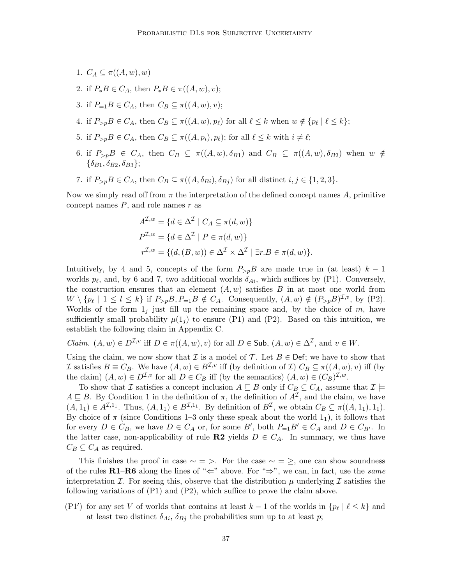- 1.  $C_A \subseteq \pi((A, w), w)$
- 2. if  $P_*B \in C_A$ , then  $P_*B \in \pi((A, w), v)$ ;
- 3. if  $P_{=1}B \in C_A$ , then  $C_B \subseteq \pi((A, w), v)$ ;
- 4. if  $P_{>p}B \in C_A$ , then  $C_B \subseteq \pi((A, w), p_\ell)$  for all  $\ell \leq k$  when  $w \notin \{p_\ell \mid \ell \leq k\};$
- 5. if  $P_{\geq p}B \in C_A$ , then  $C_B \subseteq \pi((A, p_i), p_\ell)$ ; for all  $\ell \leq k$  with  $i \neq \ell$ ;
- 6. if  $P_{\geq p}B \in C_A$ , then  $C_B \subseteq \pi((A, w), \delta_{B_1})$  and  $C_B \subseteq \pi((A, w), \delta_{B_2})$  when  $w \notin$  $\{\delta_{B1}, \delta_{B2}, \delta_{B3}\};$
- 7. if  $P_{\geq p}B \in C_A$ , then  $C_B \subseteq \pi((A, \delta_{B_i}), \delta_{B_i})$  for all distinct  $i, j \in \{1, 2, 3\}$ .

Now we simply read off from  $\pi$  the interpretation of the defined concept names A, primitive concept names  $P$ , and role names  $r$  as

$$
A^{\mathcal{I},w} = \{d \in \Delta^{\mathcal{I}} \mid C_A \subseteq \pi(d,w)\}
$$
  
\n
$$
P^{\mathcal{I},w} = \{d \in \Delta^{\mathcal{I}} \mid P \in \pi(d,w)\}
$$
  
\n
$$
r^{\mathcal{I},w} = \{(d,(B,w)) \in \Delta^{\mathcal{I}} \times \Delta^{\mathcal{I}} \mid \exists r.B \in \pi(d,w)\}.
$$

Intuitively, by 4 and 5, concepts of the form  $P_{\geq p}B$  are made true in (at least)  $k-1$ worlds  $p_\ell$ , and, by 6 and 7, two additional worlds  $\delta_{Ai}$ , which suffices by (P1). Conversely, the construction ensures that an element  $(A, w)$  satisfies B in at most one world from  $W \setminus \{p_\ell \mid 1 \leq l \leq k\}$  if  $P_{>p}B, P_{=1}B \notin C_A$ . Consequently,  $(A, w) \notin (P_{>p}B)^{\mathcal{I}, v}$ , by (P2). Worlds of the form  $1<sub>j</sub>$  just fill up the remaining space and, by the choice of m, have sufficiently small probability  $\mu(1<sub>i</sub>)$  to ensure (P1) and (P2). Based on this intuition, we establish the following claim in Appendix C.

*Claim.*  $(A, w) \in D^{\mathcal{I}, v}$  iff  $D \in \pi((A, w), v)$  for all  $D \in \mathsf{Sub}, (A, w) \in \Delta^{\mathcal{I}},$  and  $v \in W$ .

Using the claim, we now show that  $\mathcal I$  is a model of  $\mathcal T$ . Let  $B \in \mathsf{Def}$ ; we have to show that I satisfies  $B \equiv C_B$ . We have  $(A, w) \in B^{\mathcal{I}, v}$  iff (by definition of I)  $C_B \subseteq \pi((A, w), v)$  iff (by the claim)  $(A, w) \in D^{\mathcal{I}, v}$  for all  $D \in C_B$  iff (by the semantics)  $(A, w) \in (C_B)^{\mathcal{I}, w}$ .

To show that I satisfies a concept inclusion  $A \sqsubseteq B$  only if  $C_B \subseteq C_A$ , assume that  $\mathcal{I} \models$  $A \sqsubseteq B$ . By Condition 1 in the definition of  $\pi$ , the definition of  $A^{\mathcal{I}}$ , and the claim, we have  $(A,1_1) \in A^{\mathcal{I},1_1}$ . Thus,  $(A,1_1) \in B^{\mathcal{I},1_1}$ . By definition of  $B^{\mathcal{I}}$ , we obtain  $C_B \subseteq \pi((A,1_1),1_1)$ . By choice of  $\pi$  (since Conditions 1–3 only these speak about the world 1<sub>1</sub>), it follows that for every  $D \in C_B$ , we have  $D \in C_A$  or, for some B', both  $P_{=1}B' \in C_A$  and  $D \in C_{B'}$ . In the latter case, non-applicability of rule  $\mathbb{R}^2$  yields  $D \in C_A$ . In summary, we thus have  $C_B \subseteq C_A$  as required.

This finishes the proof in case  $\sim$  = >. For the case  $\sim$  = >, one can show soundness of the rules R1–R6 along the lines of " $\Leftarrow$ " above. For " $\Rightarrow$ ", we can, in fact, use the same interpretation I. For seeing this, observe that the distribution  $\mu$  underlying I satisfies the following variations of  $(P1)$  and  $(P2)$ , which suffice to prove the claim above.

(P1') for any set V of worlds that contains at least  $k-1$  of the worlds in  $\{p_\ell \mid \ell \leq k\}$  and at least two distinct  $\delta_{Ai}$ ,  $\delta_{Bj}$  the probabilities sum up to at least p;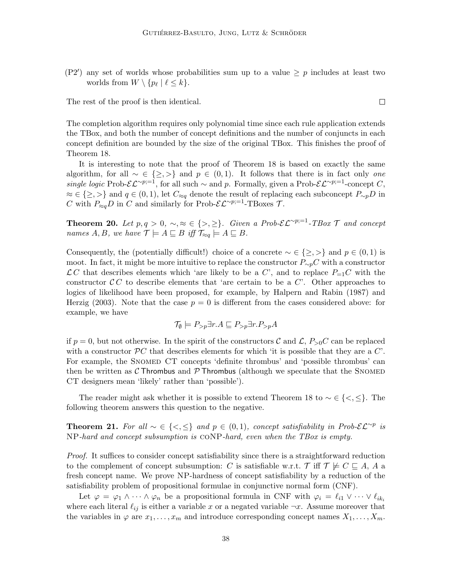(P2') any set of worlds whose probabilities sum up to a value  $\geq p$  includes at least two worlds from  $W \setminus \{p_\ell \mid \ell \leq k\}.$ 

The rest of the proof is then identical.

The completion algorithm requires only polynomial time since each rule application extends the TBox, and both the number of concept definitions and the number of conjuncts in each concept definition are bounded by the size of the original TBox. This finishes the proof of Theorem 18.

It is interesting to note that the proof of Theorem 18 is based on exactly the same algorithm, for all  $\sim \in \{\geq,>\}$  and  $p \in (0,1)$ . It follows that there is in fact only *one* single logic Prob- $\mathcal{EL}^{\sim p;=1}$ , for all such  $\sim$  and p. Formally, given a Prob- $\mathcal{EL}^{\sim p;=1}$ -concept C,  $\approx \in \{\geq,>\}\$ and  $q\in (0,1)$ , let  $C_{\approx q}$  denote the result of replacing each subconcept  $P_{\sim p}D$  in C with  $P_{\approx q}D$  in C and similarly for Prob- $\mathcal{EL}^{\sim p;=1}$ -TBoxes T.

**Theorem 20.** Let  $p, q > 0, \sim, \approx \in \{>, \geq\}.$  Given a Prob- $\mathcal{EL}^{\sim p;=1}$ -TBox  $\mathcal T$  and concept names  $A, B$ , we have  $\mathcal{T} \models A \sqsubseteq B$  iff  $\mathcal{T}_{\approx q} \models A \sqsubseteq B$ .

Consequently, the (potentially difficult!) choice of a concrete  $\sim \in \{\geq, >\}$  and  $p \in (0,1)$  is moot. In fact, it might be more intuitive to replace the constructor  $P_{\sim p}C$  with a constructor  $\mathcal{L} C$  that describes elements which 'are likely to be a C', and to replace  $P_{=1}C$  with the constructor  $\mathcal{C} C$  to describe elements that 'are certain to be a  $C'$ . Other approaches to logics of likelihood have been proposed, for example, by Halpern and Rabin (1987) and Herzig (2003). Note that the case  $p = 0$  is different from the cases considered above: for example, we have

$$
\mathcal{T}_{\emptyset} \models P_{>p} \exists r.A \sqsubseteq P_{>p} \exists r.P_{>p} A
$$

if  $p = 0$ , but not otherwise. In the spirit of the constructors C and  $\mathcal{L}, P_{>0}C$  can be replaced with a constructor  $\mathcal{P}C$  that describes elements for which 'it is possible that they are a  $C'$ . For example, the SNOMED CT concepts 'definite thrombus' and 'possible thrombus' can then be written as C Thrombus and P Thrombus (although we speculate that the SNOMED CT designers mean 'likely' rather than 'possible').

The reader might ask whether it is possible to extend Theorem 18 to  $\sim \in \{<,\leq\}$ . The following theorem answers this question to the negative.

**Theorem 21.** For all  $\sim \in \{ \leq, \leq \}$  and  $p \in (0,1)$ , concept satisfiability in Prob- $\mathcal{EL}^{\sim p}$  is NP-hard and concept subsumption is coNP-hard, even when the TBox is empty.

Proof. It suffices to consider concept satisfiability since there is a straightforward reduction to the complement of concept subsumption: C is satisfiable w.r.t. T iff  $\mathcal{T} \not\models C \sqsubseteq A$ , A a fresh concept name. We prove NP-hardness of concept satisfiability by a reduction of the satisfiability problem of propositional formulae in conjunctive normal form (CNF).

Let  $\varphi = \varphi_1 \wedge \cdots \wedge \varphi_n$  be a propositional formula in CNF with  $\varphi_i = \ell_{i1} \vee \cdots \vee \ell_{ik_i}$ where each literal  $\ell_{ij}$  is either a variable x or a negated variable  $\neg x$ . Assume moreover that the variables in  $\varphi$  are  $x_1, \ldots, x_m$  and introduce corresponding concept names  $X_1, \ldots, X_m$ .

 $\Box$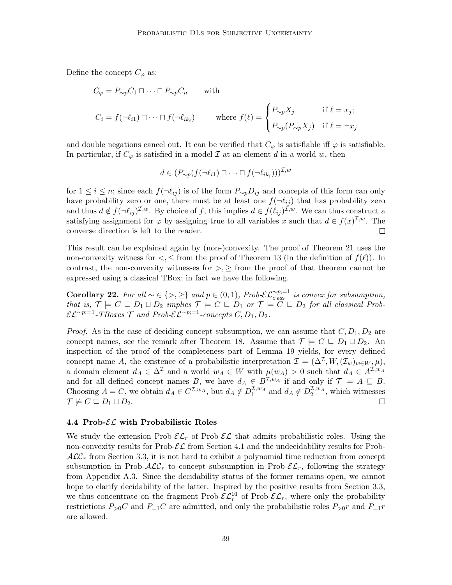Define the concept  $C_{\varphi}$  as:

$$
C_{\varphi} = P_{\sim p} C_1 \sqcap \cdots \sqcap P_{\sim p} C_n \quad \text{with}
$$
  

$$
C_i = f(\neg \ell_{i1}) \sqcap \cdots \sqcap f(\neg \ell_{ik_i}) \quad \text{where } f(\ell) = \begin{cases} P_{\sim p} X_j & \text{if } \ell = x_j; \\ P_{\sim p}(P_{\sim p} X_j) & \text{if } \ell = \neg x_j \end{cases}
$$

and double negations cancel out. It can be verified that  $C_{\varphi}$  is satisfiable iff  $\varphi$  is satisfiable. In particular, if  $C_{\varphi}$  is satisfied in a model  $\mathcal I$  at an element d in a world w, then

$$
d \in (P_{\sim p}(f(\neg \ell_{i1}) \sqcap \cdots \sqcap f(\neg \ell_{ik_i})))^{\mathcal{I},w}
$$

for  $1 \leq i \leq n$ ; since each  $f(\neg \ell_{ij})$  is of the form  $P_{\sim p}D_{ij}$  and concepts of this form can only have probability zero or one, there must be at least one  $f(\neg \ell_{ij})$  that has probability zero and thus  $d \notin f(\neg \ell_{ij})^{\mathcal{I},w}$ . By choice of f, this implies  $d \in f(\ell_{ij})^{\mathcal{I},w}$ . We can thus construct a satisfying assignment for  $\varphi$  by assigning true to all variables x such that  $d \in f(x)^{\mathcal{I},w}$ . The converse direction is left to the reader.  $\Box$ 

This result can be explained again by (non-)convexity. The proof of Theorem 21 uses the non-convexity witness for  $\lt, \leq$  from the proof of Theorem 13 (in the definition of  $f(\ell)$ ). In contrast, the non-convexity witnesses for  $\geq$ ,  $\geq$  from the proof of that theorem cannot be expressed using a classical TBox; in fact we have the following.

**Corollary 22.** For all  $\sim \in \{>, \geq\}$  and  $p \in (0, 1)$ , Prob- $\mathcal{EL}_{\text{class}}^{\sim p;=1}$  is convex for subsumption, that is,  $\mathcal{T} \models C \sqsubseteq D_1 \sqcup D_2$  implies  $\mathcal{T} \models C \sqsubseteq D_1$  or  $\mathcal{T} \models C \sqsubseteq D_2$  for all classical Prob- $\mathcal{EL}^{\sim p;=1}$ -TBoxes  $\mathcal T$  and Prob- $\mathcal{EL}^{\sim p;=1}$ -concepts  $C, D_1, D_2$ .

*Proof.* As in the case of deciding concept subsumption, we can assume that  $C, D_1, D_2$  are concept names, see the remark after Theorem 18. Assume that  $\mathcal{T} \models C \sqsubseteq D_1 \sqcup D_2$ . An inspection of the proof of the completeness part of Lemma 19 yields, for every defined concept name A, the existence of a probabilistic interpretation  $\mathcal{I} = (\Delta^{\mathcal{I}}, W, (\mathcal{I}_w)_{w \in W}, \mu)$ , a domain element  $d_A \in \Delta^{\mathcal{I}}$  and a world  $w_A \in W$  with  $\mu(w_A) > 0$  such that  $d_A \in A^{\mathcal{I},w_A}$ and for all defined concept names B, we have  $d_A \in B^{\mathcal{I},w_A}$  if and only if  $\mathcal{T} \models A \sqsubseteq B$ . Choosing  $A = C$ , we obtain  $d_A \in C^{I,w_A}$ , but  $d_A \notin D_1^{I,w_A}$  and  $d_A \notin D_2^{I,w_A}$ , which witnesses  $\mathcal{T} \not\models C \sqsubseteq D_1 \sqcup D_2.$  $\Box$ 

#### 4.4 Prob- $\mathcal{EL}$  with Probabilistic Roles

We study the extension Prob- $\mathcal{EL}_r$  of Prob- $\mathcal{EL}$  that admits probabilistic roles. Using the non-convexity results for Prob- $\mathcal{EL}$  from Section 4.1 and the undecidability results for Prob- $\mathcal{ALC}_r$  from Section 3.3, it is not hard to exhibit a polynomial time reduction from concept subsumption in Prob- $\mathcal{ALC}_r$  to concept subsumption in Prob- $\mathcal{EL}_r$ , following the strategy from Appendix A.3. Since the decidability status of the former remains open, we cannot hope to clarify decidability of the latter. Inspired by the positive results from Section 3.3, we thus concentrate on the fragment Prob- $\mathcal{EL}_r^0$  of Prob- $\mathcal{EL}_r$ , where only the probability restrictions  $P_{>0}C$  and  $P_{=1}C$  are admitted, and only the probabilistic roles  $P_{>0}r$  and  $P_{=1}r$ are allowed.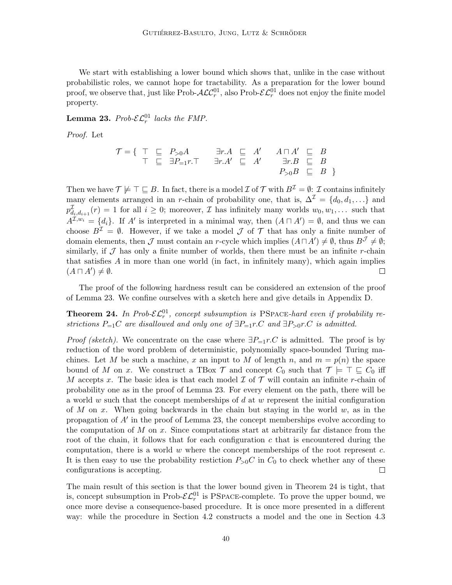We start with establishing a lower bound which shows that, unlike in the case without probabilistic roles, we cannot hope for tractability. As a preparation for the lower bound proof, we observe that, just like Prob- $\cal{ALC}^{01}_r$ , also Prob- $\cal{EL}^{01}_r$  does not enjoy the finite model property.

**Lemma 23.** Prob- $\mathcal{EL}_r^{01}$  lacks the FMP.

Proof. Let

$$
\mathcal{T} = \{ \begin{array}{ccc} \top & \sqsubseteq & P_{>0}A \\ \top & \sqsubseteq & \exists P_{=1}r. \top \end{array} \right. \quad \begin{array}{ccc} \exists r.A & \sqsubseteq & A' & A \sqcap A' & \sqsubseteq & B \\ \exists r.A' & \sqsubseteq & A' & \exists r.B & \sqsubseteq & B \\ & & P_{>0}B & \sqsubseteq & B \end{array}
$$

Then we have  $\mathcal{T} \not\models \top \sqsubseteq B$ . In fact, there is a model  $\mathcal{I}$  of  $\mathcal{T}$  with  $B^{\mathcal{I}} = \emptyset$ :  $\mathcal{I}$  contains infinitely many elements arranged in an r-chain of probability one, that is,  $\Delta^{\mathcal{I}} = \{d_0, d_1, ...\}$  and  $p_{d_i,d_{i+1}}^{\mathcal{I}}(r) = 1$  for all  $i \geq 0$ ; moreover,  $\mathcal{I}$  has infinitely many worlds  $w_0, w_1, \ldots$  such that  $A^{\mathcal{I},w_i} = \{d_i\}.$  If A' is interpreted in a minimal way, then  $(A \sqcap A') = \emptyset$ , and thus we can choose  $B^{\mathcal{I}} = \emptyset$ . However, if we take a model  $\mathcal J$  of  $\mathcal T$  that has only a finite number of domain elements, then  $\mathcal J$  must contain an r-cycle which implies  $(A \sqcap A') \neq \emptyset$ , thus  $B^{\mathcal J} \neq \emptyset$ ; similarly, if  $\mathcal J$  has only a finite number of worlds, then there must be an infinite r-chain that satisfies  $\vec{A}$  in more than one world (in fact, in infinitely many), which again implies  $(A \sqcap A') \neq \emptyset$ .  $\Box$ 

The proof of the following hardness result can be considered an extension of the proof of Lemma 23. We confine ourselves with a sketch here and give details in Appendix D.

**Theorem 24.** In Prob- $\mathcal{EL}_r^{01}$ , concept subsumption is PSPACE-hard even if probability restrictions  $P_{=1}C$  are disallowed and only one of  $\exists P_{=1}r.C$  and  $\exists P_{>0}r.C$  is admitted.

*Proof (sketch).* We concentrate on the case where  $\exists P_{=1}r.C$  is admitted. The proof is by reduction of the word problem of deterministic, polynomially space-bounded Turing machines. Let M be such a machine, x an input to M of length n, and  $m = p(n)$  the space bound of M on x. We construct a TBox T and concept  $C_0$  such that  $\mathcal{T} \models \top \sqsubseteq C_0$  iff M accepts x. The basic idea is that each model  $\mathcal I$  of  $\mathcal T$  will contain an infinite r-chain of probability one as in the proof of Lemma 23. For every element on the path, there will be a world w such that the concept memberships of  $d$  at w represent the initial configuration of M on x. When going backwards in the chain but staying in the world  $w$ , as in the propagation of  $A'$  in the proof of Lemma 23, the concept memberships evolve according to the computation of  $M$  on  $x$ . Since computations start at arbitrarily far distance from the root of the chain, it follows that for each configuration  $c$  that is encountered during the computation, there is a world  $w$  where the concept memberships of the root represent  $c$ . It is then easy to use the probability restiction  $P_{>0}C$  in  $C_0$  to check whether any of these configurations is accepting.  $\Box$ 

The main result of this section is that the lower bound given in Theorem 24 is tight, that is, concept subsumption in Prob- $\mathcal{EL}_r^{01}$  is PSPACE-complete. To prove the upper bound, we once more devise a consequence-based procedure. It is once more presented in a different way: while the procedure in Section 4.2 constructs a model and the one in Section 4.3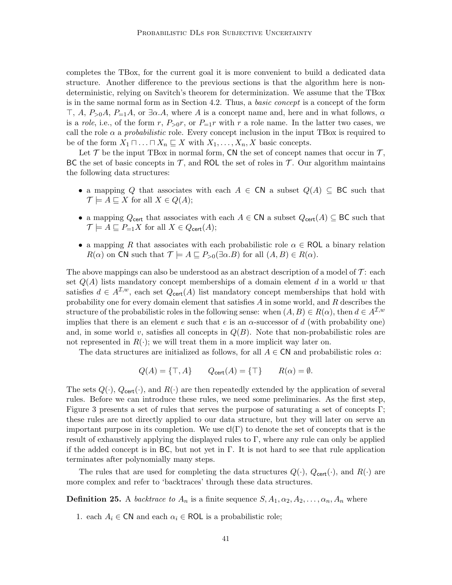completes the TBox, for the current goal it is more convenient to build a dedicated data structure. Another difference to the previous sections is that the algorithm here is nondeterministic, relying on Savitch's theorem for determinization. We assume that the TBox is in the same normal form as in Section 4.2. Thus, a basic concept is a concept of the form  $\top$ , A,  $P_{\geq 0}A$ ,  $P_{=1}A$ , or  $\exists \alpha A$ , where A is a concept name and, here and in what follows,  $\alpha$ is a role, i.e., of the form r,  $P_{>0}r$ , or  $P_{=1}r$  with r a role name. In the latter two cases, we call the role  $\alpha$  a *probabilistic* role. Every concept inclusion in the input TBox is required to be of the form  $X_1 \sqcap \ldots \sqcap X_n \sqsubseteq X$  with  $X_1, \ldots, X_n, X$  basic concepts.

Let  $\mathcal T$  be the input TBox in normal form, CN the set of concept names that occur in  $\mathcal T$ , BC the set of basic concepts in  $\mathcal{T}$ , and ROL the set of roles in  $\mathcal{T}$ . Our algorithm maintains the following data structures:

- a mapping Q that associates with each  $A \in \mathsf{CN}$  a subset  $Q(A) \subseteq \mathsf{BC}$  such that  $\mathcal{T} \models A \sqsubset X$  for all  $X \in Q(A)$ ;
- a mapping  $Q_{\text{cert}}$  that associates with each  $A \in \text{CN}$  a subset  $Q_{\text{cert}}(A) \subseteq \text{BC}$  such that  $\mathcal{T} \models A \sqsubseteq P_{=1}X$  for all  $X \in Q_{\text{cert}}(A);$
- a mapping R that associates with each probabilistic role  $\alpha \in \textsf{ROL}$  a binary relation  $R(\alpha)$  on CN such that  $\mathcal{T} \models A \sqsubseteq P_{>0}(\exists \alpha.B)$  for all  $(A, B) \in R(\alpha)$ .

The above mappings can also be understood as an abstract description of a model of  $\mathcal{T}$ : each set  $Q(A)$  lists mandatory concept memberships of a domain element d in a world w that satisfies  $d \in A^{\mathcal{I},w}$ , each set  $Q_{\text{cert}}(A)$  list mandatory concept memberships that hold with probability one for every domain element that satisfies  $A$  in some world, and  $R$  describes the structure of the probabilistic roles in the following sense: when  $(A, B) \in R(\alpha)$ , then  $d \in A^{1,w}$ implies that there is an element e such that e is an  $\alpha$ -successor of d (with probability one) and, in some world v, satisfies all concepts in  $Q(B)$ . Note that non-probabilistic roles are not represented in  $R(\cdot)$ ; we will treat them in a more implicit way later on.

The data structures are initialized as follows, for all  $A \in \mathsf{CN}$  and probabilistic roles  $\alpha$ :

$$
Q(A) = \{\top, A\} \qquad Q_{\text{cert}}(A) = \{\top\} \qquad R(\alpha) = \emptyset.
$$

The sets  $Q(\cdot)$ ,  $Q_{\text{cert}}(\cdot)$ , and  $R(\cdot)$  are then repeatedly extended by the application of several rules. Before we can introduce these rules, we need some preliminaries. As the first step, Figure 3 presents a set of rules that serves the purpose of saturating a set of concepts Γ; these rules are not directly applied to our data structure, but they will later on serve an important purpose in its completion. We use  $cl(\Gamma)$  to denote the set of concepts that is the result of exhaustively applying the displayed rules to  $\Gamma$ , where any rule can only be applied if the added concept is in BC, but not yet in  $\Gamma$ . It is not hard to see that rule application terminates after polynomially many steps.

The rules that are used for completing the data structures  $Q(\cdot)$ ,  $Q_{\text{cert}}(\cdot)$ , and  $R(\cdot)$  are more complex and refer to 'backtraces' through these data structures.

**Definition 25.** A *backtrace to*  $A_n$  is a finite sequence  $S, A_1, \alpha_2, A_2, \ldots, \alpha_n, A_n$  where

1. each  $A_i \in \mathsf{CN}$  and each  $\alpha_i \in \mathsf{ROL}$  is a probabilistic role;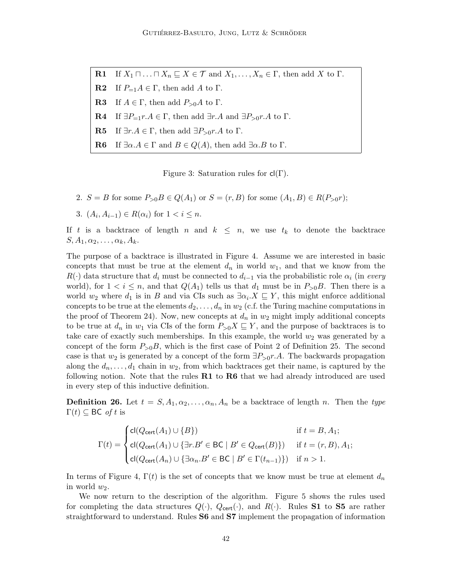**R1** If  $X_1 \sqcap ... \sqcap X_n \sqsubseteq X \in \mathcal{T}$  and  $X_1, ..., X_n \in \Gamma$ , then add X to  $\Gamma$ . **R2** If  $P_{=1}A \in \Gamma$ , then add A to  $\Gamma$ . **R3** If  $A \in \Gamma$ , then add  $P_{>0}A$  to  $\Gamma$ . **R4** If  $\exists P_{=1}r.A \in \Gamma$ , then add  $\exists r.A$  and  $\exists P_{>0}r.A$  to  $\Gamma$ . **R5** If  $\exists r.A \in \Gamma$ , then add  $\exists P_{>0}r.A$  to  $\Gamma$ . **R6** If  $\exists \alpha.A \in \Gamma$  and  $B \in Q(A)$ , then add  $\exists \alpha.B$  to  $\Gamma$ .

Figure 3: Saturation rules for  $cl(\Gamma)$ .

- 2.  $S = B$  for some  $P_{>0}B \in Q(A_1)$  or  $S = (r, B)$  for some  $(A_1, B) \in R(P_{>0}r)$ ;
- 3.  $(A_i, A_{i-1}) \in R(\alpha_i)$  for  $1 < i \leq n$ .

If t is a backtrace of length n and  $k \leq n$ , we use  $t_k$  to denote the backtrace  $S, A_1, \alpha_2, \ldots, \alpha_k, A_k$ .

The purpose of a backtrace is illustrated in Figure 4. Assume we are interested in basic concepts that must be true at the element  $d_n$  in world  $w_1$ , and that we know from the  $R(\cdot)$  data structure that  $d_i$  must be connected to  $d_{i-1}$  via the probabilistic role  $\alpha_i$  (in every world), for  $1 < i \leq n$ , and that  $Q(A_1)$  tells us that  $d_1$  must be in  $P_{>0}B$ . Then there is a world  $w_2$  where  $d_1$  is in B and via CIs such as  $\exists \alpha_i \cdot X \subseteq Y$ , this might enforce additional concepts to be true at the elements  $d_2, \ldots, d_n$  in  $w_2$  (c.f. the Turing machine computations in the proof of Theorem 24). Now, new concepts at  $d_n$  in  $w_2$  might imply additional concepts to be true at  $d_n$  in  $w_1$  via CIs of the form  $P_{>0}X \subseteq Y$ , and the purpose of backtraces is to take care of exactly such memberships. In this example, the world  $w_2$  was generated by a concept of the form  $P_{>0}B$ , which is the first case of Point 2 of Definition 25. The second case is that  $w_2$  is generated by a concept of the form  $\exists P_{>0}r.A$ . The backwards propagation along the  $d_n, \ldots, d_1$  chain in  $w_2$ , from which backtraces get their name, is captured by the following notion. Note that the rules  $R1$  to  $R6$  that we had already introduced are used in every step of this inductive definition.

**Definition 26.** Let  $t = S, A_1, \alpha_2, \ldots, \alpha_n, A_n$  be a backtrace of length n. Then the type  $\Gamma(t) \subseteq \mathsf{BC}$  of t is

$$
\Gamma(t) = \begin{cases}\n\mathsf{cl}(Q_{\mathsf{cert}}(A_1) \cup \{B\}) & \text{if } t = B, A_1; \\
\mathsf{cl}(Q_{\mathsf{cert}}(A_1) \cup \{\exists r. B' \in \mathsf{BC} \mid B' \in Q_{\mathsf{cert}}(B)\}) & \text{if } t = (r, B), A_1; \\
\mathsf{cl}(Q_{\mathsf{cert}}(A_n) \cup \{\exists \alpha_n. B' \in \mathsf{BC} \mid B' \in \Gamma(t_{n-1})\}) & \text{if } n > 1.\n\end{cases}
$$

In terms of Figure 4,  $\Gamma(t)$  is the set of concepts that we know must be true at element  $d_n$ in world  $w_2$ .

We now return to the description of the algorithm. Figure 5 shows the rules used for completing the data structures  $Q(\cdot)$ ,  $Q_{\text{cert}}(\cdot)$ , and  $R(\cdot)$ . Rules **S1** to **S5** are rather straightforward to understand. Rules S6 and S7 implement the propagation of information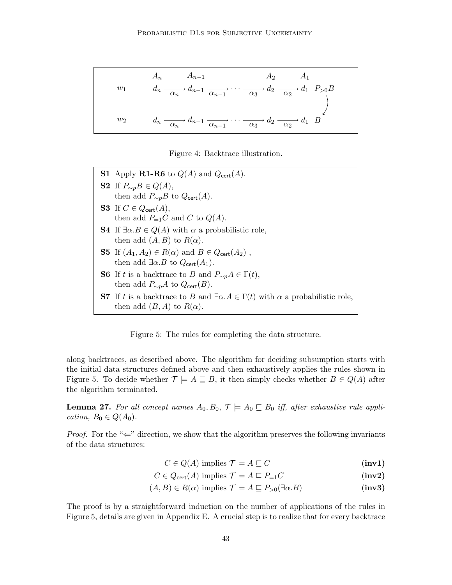$$
w_1 \qquad \begin{array}{c} A_n \qquad A_{n-1} \qquad \qquad A_2 \qquad A_1 \\ a_n \xrightarrow{\alpha_n} d_{n-1} \xrightarrow{\alpha_{n-1}} \cdots \xrightarrow{\alpha_3} d_2 \xrightarrow{\alpha_2} d_1 \quad P_{>0} B \\ w_2 \qquad \qquad d_n \xrightarrow{\alpha_n} d_{n-1} \xrightarrow{\alpha_{n-1}} \cdots \xrightarrow{\alpha_3} d_2 \xrightarrow{\alpha_2} d_1 \quad B \end{array}
$$

Figure 4: Backtrace illustration.

**S1** Apply **R1-R6** to  $Q(A)$  and  $Q_{\text{cert}}(A)$ . S2 If  $P_{\sim p}B \in Q(A)$ , then add  $P_{\sim p}B$  to  $Q_{\text{cert}}(A)$ . S3 If  $C \in Q_{\text{cert}}(A)$ , then add  $P_{=1}C$  and C to  $Q(A)$ . **S4** If  $\exists \alpha \cdot B \in Q(A)$  with  $\alpha$  a probabilistic role, then add  $(A, B)$  to  $R(\alpha)$ . **S5** If  $(A_1, A_2) \in R(\alpha)$  and  $B \in Q_{\text{cert}}(A_2)$ , then add  $\exists \alpha. B$  to  $Q_{\text{cert}}(A_1)$ . **S6** If t is a backtrace to B and  $P_{\sim p}A \in \Gamma(t)$ , then add  $P_{\sim p}A$  to  $Q_{\text{cert}}(B)$ . S7 If t is a backtrace to B and  $\exists \alpha.A \in \Gamma(t)$  with  $\alpha$  a probabilistic role, then add  $(B, A)$  to  $R(\alpha)$ .

Figure 5: The rules for completing the data structure.

along backtraces, as described above. The algorithm for deciding subsumption starts with the initial data structures defined above and then exhaustively applies the rules shown in Figure 5. To decide whether  $\mathcal{T} \models A \sqsubseteq B$ , it then simply checks whether  $B \in Q(A)$  after the algorithm terminated.

**Lemma 27.** For all concept names  $A_0, B_0, \mathcal{T} \models A_0 \sqsubseteq B_0$  iff, after exhaustive rule application,  $B_0 \in Q(A_0)$ .

*Proof.* For the " $\Leftarrow$ " direction, we show that the algorithm preserves the following invariants of the data structures:

$$
C \in Q(A) \text{ implies } \mathcal{T} \models A \sqsubseteq C \tag{inv1}
$$

$$
C \in Q_{\text{cert}}(A) \text{ implies } \mathcal{T} \models A \sqsubseteq P_{=1}C \tag{inv2}
$$

$$
(A, B) \in R(\alpha) \text{ implies } \mathcal{T} \models A \sqsubseteq P_{>0}(\exists \alpha. B) \tag{inv3}
$$

The proof is by a straightforward induction on the number of applications of the rules in Figure 5, details are given in Appendix E. A crucial step is to realize that for every backtrace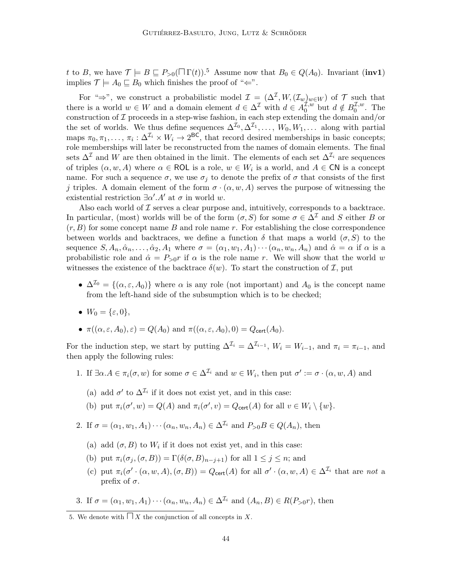t to B, we have  $\mathcal{T} \models B \sqsubseteq P_{>0}(\square \Gamma(t))$ .<sup>5</sup> Assume now that  $B_0 \in Q(A_0)$ . Invariant (inv1) implies  $\mathcal{T} \models A_0 \sqsubseteq B_0$  which finishes the proof of " $\Leftarrow$ ".

For " $\Rightarrow$ ", we construct a probabilistic model  $\mathcal{I} = (\Delta^{\mathcal{I}}, W, (\mathcal{I}_{w})_{w \in W})$  of  $\mathcal{T}$  such that there is a world  $w \in W$  and a domain element  $d \in \Delta^{\mathcal{I}}$  with  $d \in A_0^{\mathcal{I},w}$  $u_0^{\mathcal{I},w}$  but  $d \notin B_0^{\mathcal{I},w}$  $_{0}^{\mathcal{L},w}$ . The construction of  $\mathcal I$  proceeds in a step-wise fashion, in each step extending the domain and/or the set of worlds. We thus define sequences  $\Delta^{I_0}, \Delta^{I_1}, \ldots, W_0, W_1, \ldots$  along with partial maps  $\pi_0, \pi_1, \ldots, \pi_i : \Delta^{\mathcal{I}_i} \times W_i \to 2^{\text{BC}}$ , that record desired memberships in basic concepts; role memberships will later be reconstructed from the names of domain elements. The final sets  $\Delta^{\mathcal{I}}$  and W are then obtained in the limit. The elements of each set  $\Delta^{\mathcal{I}_i}$  are sequences of triples  $(\alpha, w, A)$  where  $\alpha \in \textsf{ROL}$  is a role,  $w \in W_i$  is a world, and  $A \in \textsf{CN}$  is a concept name. For such a sequence  $\sigma$ , we use  $\sigma_j$  to denote the prefix of  $\sigma$  that consists of the first j triples. A domain element of the form  $\sigma \cdot (\alpha, w, A)$  serves the purpose of witnessing the existential restriction  $\exists \alpha'. A'$  at  $\sigma$  in world w.

Also each world of  $\mathcal I$  serves a clear purpose and, intuitively, corresponds to a backtrace. In particular, (most) worlds will be of the form  $(\sigma, S)$  for some  $\sigma \in \Delta^{\mathcal{I}}$  and S either B or  $(r, B)$  for some concept name B and role name r. For establishing the close correspondence between worlds and backtraces, we define a function  $\delta$  that maps a world  $(\sigma, S)$  to the sequence  $S, A_n, \hat{\alpha}_n, \ldots, \hat{\alpha}_2, A_1$  where  $\sigma = (\alpha_1, w_1, A_1) \cdots (\alpha_n, w_n, A_n)$  and  $\hat{\alpha} = \alpha$  if  $\alpha$  is a probabilistic role and  $\hat{\alpha} = P_{>0}r$  if  $\alpha$  is the role name r. We will show that the world w witnesses the existence of the backtrace  $\delta(w)$ . To start the construction of  $\mathcal{I}$ , put

- $\Delta^{I_0} = \{(\alpha, \varepsilon, A_0)\}\$  where  $\alpha$  is any role (not important) and  $A_0$  is the concept name from the left-hand side of the subsumption which is to be checked;
- $W_0 = {\varepsilon, 0},$

• 
$$
\pi((\alpha, \varepsilon, A_0), \varepsilon) = Q(A_0)
$$
 and  $\pi((\alpha, \varepsilon, A_0), 0) = Q_{\text{cert}}(A_0)$ .

For the induction step, we start by putting  $\Delta^{\mathcal{I}_i} = \Delta^{\mathcal{I}_{i-1}}$ ,  $W_i = W_{i-1}$ , and  $\pi_i = \pi_{i-1}$ , and then apply the following rules:

- 1. If  $\exists \alpha A \in \pi_i(\sigma, w)$  for some  $\sigma \in \Delta^{\mathcal{I}_i}$  and  $w \in W_i$ , then put  $\sigma' := \sigma \cdot (\alpha, w, A)$  and
	- (a) add  $\sigma'$  to  $\Delta^{\mathcal{I}_i}$  if it does not exist yet, and in this case:

(b) put 
$$
\pi_i(\sigma', w) = Q(A)
$$
 and  $\pi_i(\sigma', v) = Q_{\text{cert}}(A)$  for all  $v \in W_i \setminus \{w\}$ .

- 2. If  $\sigma = (\alpha_1, w_1, A_1) \cdots (\alpha_n, w_n, A_n) \in \Delta^{\mathcal{I}_i}$  and  $P_{>0}B \in Q(A_n)$ , then
	- (a) add  $(\sigma, B)$  to  $W_i$  if it does not exist yet, and in this case:
	- (b) put  $\pi_i(\sigma_j, (\sigma, B)) = \Gamma(\delta(\sigma, B)_{n-j+1})$  for all  $1 \leq j \leq n$ ; and
	- (c) put  $\pi_i(\sigma' \cdot (\alpha, w, A), (\sigma, B)) = Q_{\text{cert}}(A)$  for all  $\sigma' \cdot (\alpha, w, A) \in \Delta^{\mathcal{I}_i}$  that are not a prefix of  $\sigma$ .

3. If  $\sigma = (\alpha_1, w_1, A_1) \cdots (\alpha_n, w_n, A_n) \in \Delta^{\mathcal{I}_i}$  and  $(A_n, B) \in R(P_{>0}r)$ , then

<sup>5.</sup> We denote with  $\Box X$  the conjunction of all concepts in X.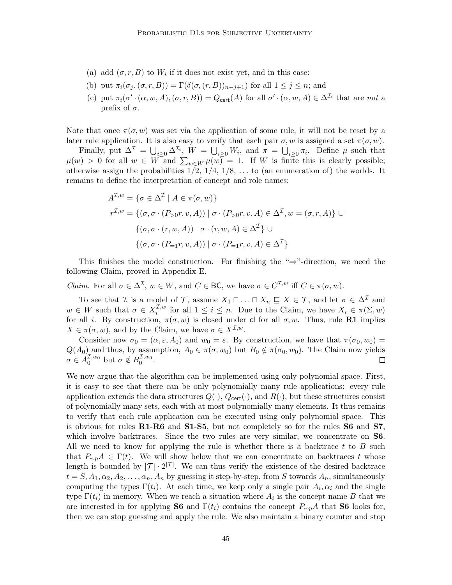- (a) add  $(\sigma, r, B)$  to  $W_i$  if it does not exist yet, and in this case:
- (b) put  $\pi_i(\sigma_i, (\sigma, r, B)) = \Gamma(\delta(\sigma_i(r, B))_{n-i+1})$  for all  $1 \leq j \leq n$ ; and
- (c) put  $\pi_i(\sigma' \cdot (\alpha, w, A), (\sigma, r, B)) = Q_{\text{cert}}(A)$  for all  $\sigma' \cdot (\alpha, w, A) \in \Delta^{\mathcal{I}_i}$  that are not a prefix of  $\sigma$ .

Note that once  $\pi(\sigma, w)$  was set via the application of some rule, it will not be reset by a later rule application. It is also easy to verify that each pair  $\sigma, w$  is assigned a set  $\pi(\sigma, w)$ .

Finally, put  $\Delta^{\mathcal{I}} = \bigcup_{i \geq 0} \Delta^{\mathcal{I}_i}$ ,  $W = \bigcup_{i \geq 0} W_i$ , and  $\pi = \bigcup_{i \geq 0} \pi_i$ . Define  $\mu$  such that  $\mu(w) > 0$  for all  $w \in W$  and  $\sum_{w \in W} \mu(w) = 1$ . If W is finite this is clearly possible; otherwise assign the probabilities  $1/2$ ,  $1/4$ ,  $1/8$ , ... to (an enumeration of) the worlds. It remains to define the interpretation of concept and role names:

$$
A^{\mathcal{I},w} = \{ \sigma \in \Delta^{\mathcal{I}} \mid A \in \pi(\sigma, w) \}
$$
  

$$
r^{\mathcal{I},w} = \{ (\sigma, \sigma \cdot (P_{>0}r, v, A)) \mid \sigma \cdot (P_{>0}r, v, A) \in \Delta^{\mathcal{I}}, w = (\sigma, r, A) \} \cup
$$
  

$$
\{ (\sigma, \sigma \cdot (r, w, A)) \mid \sigma \cdot (r, w, A) \in \Delta^{\mathcal{I}} \} \cup
$$
  

$$
\{ (\sigma, \sigma \cdot (P_{=1}r, v, A)) \mid \sigma \cdot (P_{=1}r, v, A) \in \Delta^{\mathcal{I}} \}
$$

This finishes the model construction. For finishing the " $\Rightarrow$ "-direction, we need the following Claim, proved in Appendix E.

*Claim.* For all  $\sigma \in \Delta^{\mathcal{I}}, w \in W$ , and  $C \in BC$ , we have  $\sigma \in C^{\mathcal{I},w}$  iff  $C \in \pi(\sigma, w)$ .

To see that *I* is a model of *T*, assume  $X_1 \sqcap \ldots \sqcap X_n \sqsubseteq X \in \mathcal{T}$ , and let  $\sigma \in \Delta^{\mathcal{I}}$  and  $w \in W$  such that  $\sigma \in X_i^{\mathcal{I},w}$ <sup>L,*w*</sup> for all  $1 \leq i \leq n$ . Due to the Claim, we have  $X_i \in \pi(\Sigma, w)$ for all i. By construction,  $\pi(\sigma, w)$  is closed under cl for all  $\sigma, w$ . Thus, rule R1 implies  $X \in \pi(\sigma, w)$ , and by the Claim, we have  $\sigma \in X^{\mathcal{I}, w}$ .

Consider now  $\sigma_0 = (\alpha, \varepsilon, A_0)$  and  $w_0 = \varepsilon$ . By construction, we have that  $\pi(\sigma_0, w_0) =$  $Q(A_0)$  and thus, by assumption,  $A_0 \in \pi(\sigma, w_0)$  but  $B_0 \notin \pi(\sigma_0, w_0)$ . The Claim now yields  $\sigma \in A_0^{\mathcal{I},w_0}$  but  $\sigma \notin B_0^{\mathcal{I},w_0}$ .  $\Box$ 

We now argue that the algorithm can be implemented using only polynomial space. First, it is easy to see that there can be only polynomially many rule applications: every rule application extends the data structures  $Q(\cdot)$ ,  $Q_{\text{cert}}(\cdot)$ , and  $R(\cdot)$ , but these structures consist of polynomially many sets, each with at most polynomially many elements. It thus remains to verify that each rule application can be executed using only polynomial space. This is obvious for rules R1-R6 and S1-S5, but not completely so for the rules S6 and S7, which involve backtraces. Since the two rules are very similar, we concentrate on **S6**. All we need to know for applying the rule is whether there is a backtrace  $t$  to  $B$  such that  $P_{\sim p}A \in \Gamma(t)$ . We will show below that we can concentrate on backtraces t whose length is bounded by  $|\mathcal{T}| \cdot 2^{|\mathcal{T}|}$ . We can thus verify the existence of the desired backtrace  $t = S, A_1, \alpha_2, A_2, \ldots, \alpha_n, A_n$  by guessing it step-by-step, from S towards  $A_n$ , simultaneously computing the types  $\Gamma(t_i)$ . At each time, we keep only a single pair  $A_i, \alpha_i$  and the single type  $\Gamma(t_i)$  in memory. When we reach a situation where  $A_i$  is the concept name B that we are interested in for applying S6 and  $\Gamma(t_i)$  contains the concept  $P_{\sim p}A$  that S6 looks for, then we can stop guessing and apply the rule. We also maintain a binary counter and stop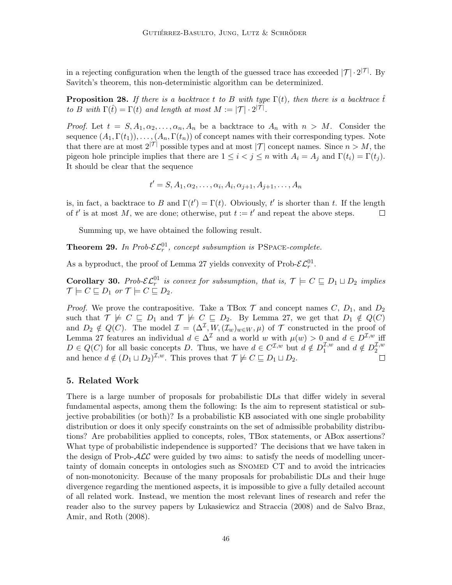in a rejecting configuration when the length of the guessed trace has exceeded  $|\mathcal{T}| \cdot 2^{|\mathcal{T}|}$ . By Savitch's theorem, this non-deterministic algorithm can be determinized.

**Proposition 28.** If there is a backtrace t to B with type  $\Gamma(t)$ , then there is a backtrace t to B with  $\Gamma(\hat{t}) = \Gamma(t)$  and length at most  $M := |\mathcal{T}| \cdot 2^{|\mathcal{T}|}$ .

*Proof.* Let  $t = S, A_1, \alpha_2, \ldots, \alpha_n, A_n$  be a backtrace to  $A_n$  with  $n > M$ . Consider the sequence  $(A_1, \Gamma(t_1)), \ldots, (A_n, \Gamma(t_n))$  of concept names with their corresponding types. Note that there are at most  $2^{|\mathcal{T}|}$  possible types and at most  $|\mathcal{T}|$  concept names. Since  $n > M$ , the pigeon hole principle implies that there are  $1 \leq i < j \leq n$  with  $A_i = A_j$  and  $\Gamma(t_i) = \Gamma(t_i)$ . It should be clear that the sequence

$$
t' = S, A_1, \alpha_2, \dots, \alpha_i, A_i, \alpha_{j+1}, A_{j+1}, \dots, A_n
$$

is, in fact, a backtrace to B and  $\Gamma(t') = \Gamma(t)$ . Obviously, t' is shorter than t. If the length of t' is at most M, we are done; otherwise, put  $t := t'$  and repeat the above steps.  $\Box$ 

Summing up, we have obtained the following result.

**Theorem 29.** In Prob- $\mathcal{EL}_r^{01}$ , concept subsumption is PSPACE-complete.

As a byproduct, the proof of Lemma 27 yields convexity of Prob- $\mathcal{EL}_r^{01}$ .

**Corollary 30.** Prob- $\mathcal{EL}_r^{01}$  is convex for subsumption, that is,  $\mathcal{T} \models C \sqsubseteq D_1 \sqcup D_2$  implies  $\mathcal{T} \models C \sqsubseteq D_1$  or  $\mathcal{T} \models C \sqsubseteq D_2$ .

*Proof.* We prove the contrapositive. Take a TBox  $\mathcal T$  and concept names  $C, D_1$ , and  $D_2$ such that  $\mathcal{T} \not\models C \sqsubseteq D_1$  and  $\mathcal{T} \not\models C \sqsubseteq D_2$ . By Lemma 27, we get that  $D_1 \notin Q(C)$ and  $D_2 \notin Q(C)$ . The model  $\mathcal{I} = (\Delta^{\mathcal{I}}, W, (\mathcal{I}_w)_{w \in W}, \mu)$  of  $\mathcal{T}$  constructed in the proof of Lemma 27 features an individual  $d \in \Delta^{\mathcal{I}}$  and a world w with  $\mu(w) > 0$  and  $d \in D^{\mathcal{I},w}$  iff  $D \in Q(C)$  for all basic concepts D. Thus, we have  $d \in C^{\mathcal{I},w}$  but  $d \notin D_1^{\mathcal{I},w}$  $u_1^{\mathcal{I},w}$  and  $d \notin D_2^{\mathcal{I},w}$ 2 and hence  $d \notin (D_1 \sqcup D_2)^{\mathcal{I},w}$ . This proves that  $\mathcal{T} \not\models C \sqsubseteq D_1 \sqcup D_2$ .

#### 5. Related Work

There is a large number of proposals for probabilistic DLs that differ widely in several fundamental aspects, among them the following: Is the aim to represent statistical or subjective probabilities (or both)? Is a probabilistic KB associated with one single probability distribution or does it only specify constraints on the set of admissible probability distributions? Are probabilities applied to concepts, roles, TBox statements, or ABox assertions? What type of probabilistic independence is supported? The decisions that we have taken in the design of Prob- $\mathcal{ALC}$  were guided by two aims: to satisfy the needs of modelling uncertainty of domain concepts in ontologies such as Snomed CT and to avoid the intricacies of non-monotonicity. Because of the many proposals for probabilistic DLs and their huge divergence regarding the mentioned aspects, it is impossible to give a fully detailed account of all related work. Instead, we mention the most relevant lines of research and refer the reader also to the survey papers by Lukasiewicz and Straccia (2008) and de Salvo Braz, Amir, and Roth (2008).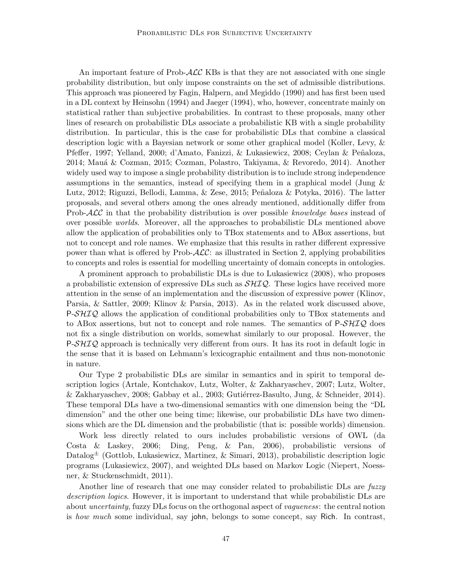An important feature of Prob-ALC KBs is that they are not associated with one single probability distribution, but only impose constraints on the set of admissible distributions. This approach was pioneered by Fagin, Halpern, and Megiddo (1990) and has first been used in a DL context by Heinsohn (1994) and Jaeger (1994), who, however, concentrate mainly on statistical rather than subjective probabilities. In contrast to these proposals, many other lines of research on probabilistic DLs associate a probabilistic KB with a single probability distribution. In particular, this is the case for probabilistic DLs that combine a classical description logic with a Bayesian network or some other graphical model (Koller, Levy, & Pfeffer, 1997; Yelland, 2000; d'Amato, Fanizzi, & Lukasiewicz, 2008; Ceylan & Peñaloza, 2014; Mau´a & Cozman, 2015; Cozman, Polastro, Takiyama, & Revoredo, 2014). Another widely used way to impose a single probability distribution is to include strong independence assumptions in the semantics, instead of specifying them in a graphical model (Jung  $\&$ Lutz, 2012; Riguzzi, Bellodi, Lamma, & Zese, 2015; Peñaloza & Potyka, 2016). The latter proposals, and several others among the ones already mentioned, additionally differ from Prob- $\mathcal{ALC}$  in that the probability distribution is over possible knowledge bases instead of over possible worlds. Moreover, all the approaches to probabilistic DLs mentioned above allow the application of probabilities only to TBox statements and to ABox assertions, but not to concept and role names. We emphasize that this results in rather different expressive power than what is offered by Prob- $\mathcal{ALC}$ : as illustrated in Section 2, applying probabilities to concepts and roles is essential for modelling uncertainty of domain concepts in ontologies.

A prominent approach to probabilistic DLs is due to Lukasiewicz (2008), who proposes a probabilistic extension of expressive DLs such as  $\mathcal{SHLQ}$ . These logics have received more attention in the sense of an implementation and the discussion of expressive power (Klinov, Parsia, & Sattler, 2009; Klinov & Parsia, 2013). As in the related work discussed above,  $P-\mathcal{S}H\mathcal{I}Q$  allows the application of conditional probabilities only to TBox statements and to ABox assertions, but not to concept and role names. The semantics of  $P-\mathcal{SHTQ}$  does not fix a single distribution on worlds, somewhat similarly to our proposal. However, the  $P\text{-}\mathcal{S}H\mathcal{IQ}$  approach is technically very different from ours. It has its root in default logic in the sense that it is based on Lehmann's lexicographic entailment and thus non-monotonic in nature.

Our Type 2 probabilistic DLs are similar in semantics and in spirit to temporal description logics (Artale, Kontchakov, Lutz, Wolter, & Zakharyaschev, 2007; Lutz, Wolter, & Zakharyaschev, 2008; Gabbay et al., 2003; Gutiérrez-Basulto, Jung, & Schneider, 2014). These temporal DLs have a two-dimensional semantics with one dimension being the "DL dimension" and the other one being time; likewise, our probabilistic DLs have two dimensions which are the DL dimension and the probabilistic (that is: possible worlds) dimension.

Work less directly related to ours includes probabilistic versions of OWL (da Costa & Laskey, 2006; Ding, Peng, & Pan, 2006), probabilistic versions of  $\text{Database}^{\pm}$  (Gottlob, Lukasiewicz, Martinez, & Simari, 2013), probabilistic description logic programs (Lukasiewicz, 2007), and weighted DLs based on Markov Logic (Niepert, Noessner, & Stuckenschmidt, 2011).

Another line of research that one may consider related to probabilistic DLs are *fuzzy* description logics. However, it is important to understand that while probabilistic DLs are about uncertainty, fuzzy DLs focus on the orthogonal aspect of vagueness: the central notion is how much some individual, say john, belongs to some concept, say Rich. In contrast,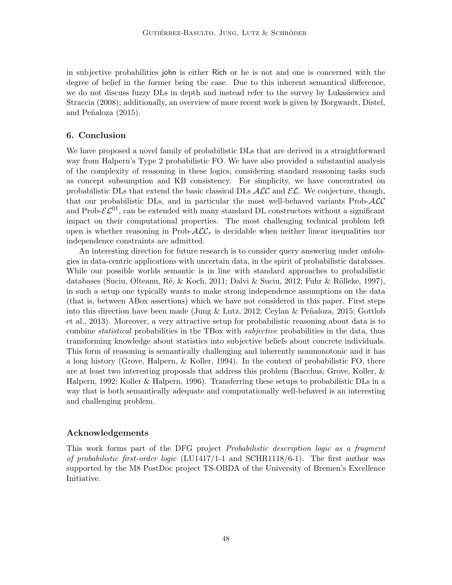in subjective probabilities john is either Rich or he is not and one is concerned with the degree of belief in the former being the case. Due to this inherent semantical difference, we do not discuss fuzzy DLs in depth and instead refer to the survey by Lukasiewicz and Straccia (2008); additionally, an overview of more recent work is given by Borgwardt, Distel, and Peñaloza (2015).

## 6. Conclusion

We have proposed a novel family of probabilistic DLs that are derived in a straightforward way from Halpern's Type 2 probabilistic FO. We have also provided a substantial analysis of the complexity of reasoning in these logics, considering standard reasoning tasks such as concept subsumption and KB consistency. For simplicity, we have concentrated on probabilistic DLs that extend the basic classical DLs  $\text{ALC}$  and  $\text{EL}$ . We conjecture, though, that our probabilistic DLs, and in particular the most well-behaved variants Prob- $\mathcal{ALC}$ and Prob- $\mathcal{EL}^{01}$ , can be extended with many standard DL constructors without a significant impact on their computational properties. The most challenging technical problem left open is whether reasoning in Prob- $\mathcal{ALC}_r$  is decidable when neither linear inequalities nor independence constraints are admitted.

An interesting direction for future research is to consider query answering under ontologies in data-centric applications with uncertain data, in the spirit of probabilistic databases. While our possible worlds semantic is in line with standard approaches to probabilistic databases (Suciu, Olteanu, Ré, & Koch, 2011; Dalvi & Suciu, 2012; Fuhr & Rölleke, 1997), in such a setup one typically wants to make strong independence assumptions on the data (that is, between ABox assertions) which we have not considered in this paper. First steps into this direction have been made (Jung & Lutz, 2012; Ceylan & Peñaloza, 2015; Gottlob et al., 2013). Moreover, a very attractive setup for probabilistic reasoning about data is to combine statistical probabilities in the TBox with subjective probabilities in the data, thus transforming knowledge about statistics into subjective beliefs about concrete individuals. This form of reasoning is semantically challenging and inherently nonmonotonic and it has a long history (Grove, Halpern, & Koller, 1994). In the context of probabilistic FO, there are at least two interesting proposals that address this problem (Bacchus, Grove, Koller, & Halpern, 1992; Koller & Halpern, 1996). Transferring these setups to probabilistic DLs in a way that is both semantically adequate and computationally well-behaved is an interesting and challenging problem.

### Acknowledgements

This work forms part of the DFG project Probabilistic description logic as a fragment of probabilistic first-order logic (LU1417/1-1 and SCHR1118/6-1). The first author was supported by the M8 PostDoc project TS-OBDA of the University of Bremen's Excellence Initiative.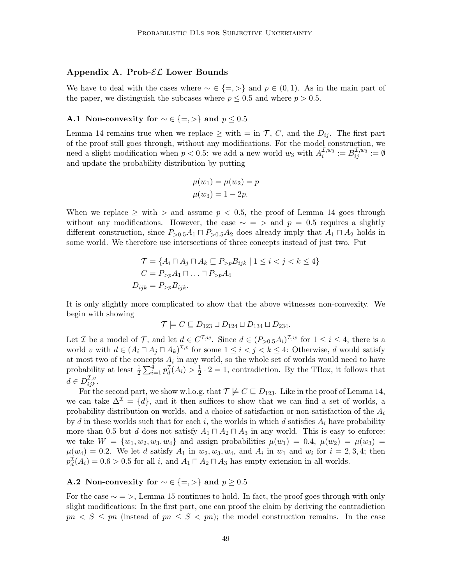### Appendix A. Prob- $\mathcal{EL}$  Lower Bounds

We have to deal with the cases where  $\sim \in \{ =, > \}$  and  $p \in (0,1)$ . As in the main part of the paper, we distinguish the subcases where  $p \leq 0.5$  and where  $p > 0.5$ .

## A.1 Non-convexity for  $\sim \in \{ =, > \}$  and  $p \leq 0.5$

Lemma 14 remains true when we replace  $\geq$  with  $=$  in  $\mathcal{T}, C$ , and the  $D_{ij}$ . The first part of the proof still goes through, without any modifications. For the model construction, we need a slight modification when  $p < 0.5$ : we add a new world  $w_3$  with  $A_i^{\mathcal{I},w_3} := B_{ij}^{\mathcal{I},w_3} := \emptyset$ and update the probability distribution by putting

$$
\mu(w_1) = \mu(w_2) = p
$$
  

$$
\mu(w_3) = 1 - 2p.
$$

When we replace  $\geq$  with  $\geq$  and assume  $p < 0.5$ , the proof of Lemma 14 goes through without any modifications. However, the case  $~ \sim = >$  and  $p = 0.5$  requires a slightly different construction, since  $P_{>0.5}A_1 \sqcap P_{>0.5}A_2$  does already imply that  $A_1 \sqcap A_2$  holds in some world. We therefore use intersections of three concepts instead of just two. Put

$$
\mathcal{T} = \{ A_i \sqcap A_j \sqcap A_k \sqsubseteq P_{>p} B_{ijk} \mid 1 \le i < j < k \le 4 \}
$$
  

$$
C = P_{>p} A_1 \sqcap \ldots \sqcap P_{>p} A_4
$$
  

$$
D_{ijk} = P_{>p} B_{ijk}.
$$

It is only slightly more complicated to show that the above witnesses non-convexity. We begin with showing

$$
\mathcal{T}\models C\sqsubseteq D_{123}\sqcup D_{124}\sqcup D_{134}\sqcup D_{234}.
$$

Let *I* be a model of *T*, and let  $d \in C^{\mathcal{I},w}$ . Since  $d \in (P_{>0.5}A_i)^{\mathcal{I},w}$  for  $1 \le i \le 4$ , there is a world v with  $d \in (A_i \sqcap A_j \sqcap A_k)^{\mathcal{I}, v}$  for some  $1 \leq i < j < k \leq 4$ : Otherwise, d would satisfy at most two of the concepts  $A_i$  in any world, so the whole set of worlds would need to have probability at least  $\frac{1}{2} \sum_{i=1}^{4} p_d^{\mathcal{I}}(A_i) > \frac{1}{2}$  $\frac{1}{2} \cdot 2 = 1$ , contradiction. By the TBox, it follows that  $d \in D^{\mathcal{I},v}_{ijk}.$ 

For the second part, we show w.l.o.g. that  $\mathcal{T} \not\models C \sqsubseteq D_{123}$ . Like in the proof of Lemma 14, we can take  $\Delta^{\mathcal{I}} = \{d\}$ , and it then suffices to show that we can find a set of worlds, a probability distribution on worlds, and a choice of satisfaction or non-satisfaction of the  $A_i$ by d in these worlds such that for each i, the worlds in which d satisfies  $A_i$  have probability more than 0.5 but d does not satisfy  $A_1 \sqcap A_2 \sqcap A_3$  in any world. This is easy to enforce: we take  $W = \{w_1, w_2, w_3, w_4\}$  and assign probabilities  $\mu(w_1) = 0.4, \ \mu(w_2) = \mu(w_3) =$  $\mu(w_4) = 0.2$ . We let d satisfy  $A_1$  in  $w_2, w_3, w_4$ , and  $A_i$  in  $w_1$  and  $w_i$  for  $i = 2, 3, 4$ ; then  $p_d^{\mathcal{I}}(A_i) = 0.6 > 0.5$  for all i, and  $A_1 \sqcap A_2 \sqcap A_3$  has empty extension in all worlds.

## A.2 Non-convexity for  $\sim \in \{ =, > \}$  and  $p \geq 0.5$

For the case  $\sim$  = >, Lemma 15 continues to hold. In fact, the proof goes through with only slight modifications: In the first part, one can proof the claim by deriving the contradiction  $pn < S \leq pn$  (instead of  $pn \leq S < pn$ ); the model construction remains. In the case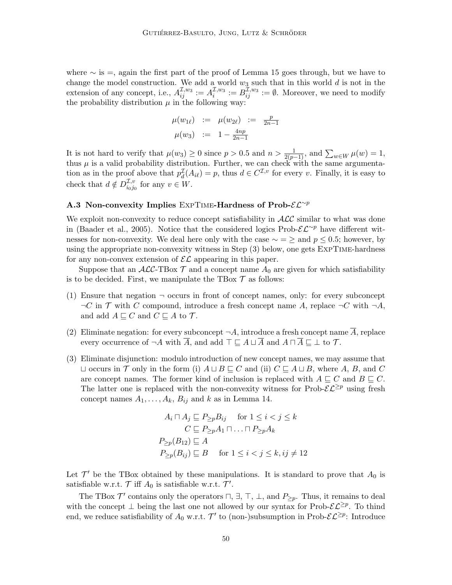where  $\sim$  is =, again the first part of the proof of Lemma 15 goes through, but we have to change the model construction. We add a world  $w_3$  such that in this world d is not in the extension of any concept, i.e.,  $A_{ij}^{\mathcal{I},w_3} := A_i^{\mathcal{I},w_3} := B_{ij}^{\overline{\mathcal{I}},w_3} := \emptyset$ . Moreover, we need to modify the probability distribution  $\mu$  in the following way:

$$
\mu(w_{1\ell}) := \mu(w_{2\ell}) := \frac{p}{2n-1}
$$
  

$$
\mu(w_3) := 1 - \frac{4np}{2n-1}
$$

It is not hard to verify that  $\mu(w_3) \ge 0$  since  $p > 0.5$  and  $n > \frac{1}{2(p-1)}$ , and  $\sum_{w \in W} \mu(w) = 1$ , thus  $\mu$  is a valid probability distribution. Further, we can check with the same argumentation as in the proof above that  $p_d^{\mathcal{I}}(A_{i\ell}) = p$ , thus  $d \in C^{\mathcal{I},v}$  for every v. Finally, it is easy to check that  $d \notin D_{i_0}^{\mathcal{I},v}$  $\iota_{0,j_0}^{\mathcal{L},v}$  for any  $v \in W$ .

## A.3 Non-convexity Implies EXPTIME-Hardness of Prob- $\mathcal{EL}^{\sim p}$

We exploit non-convexity to reduce concept satisfiability in  $\mathcal{ALC}$  similar to what was done in (Baader et al., 2005). Notice that the considered logics Prob- $\mathcal{EL}^{\sim p}$  have different witnesses for non-convexity. We deal here only with the case  $\sim$  = ≥ and  $p \leq 0.5$ ; however, by using the appropriate non-convexity witness in Step (3) below, one gets ExpTime-hardness for any non-convex extension of  $\mathcal{EL}$  appearing in this paper.

Suppose that an  $\mathcal{ALC}\text{-}\text{TBox }\mathcal{T}$  and a concept name  $A_0$  are given for which satisfiability is to be decided. First, we manipulate the TBox  $\mathcal T$  as follows:

- (1) Ensure that negation  $\neg$  occurs in front of concept names, only: for every subconcept  $\neg C$  in T with C compound, introduce a fresh concept name A, replace  $\neg C$  with  $\neg A$ , and add  $A \sqsubseteq C$  and  $C \sqsubseteq A$  to  $\mathcal{T}$ .
- (2) Eliminate negation: for every subconcept  $\neg A$ , introduce a fresh concept name A, replace every occurrence of  $\neg A$  with  $\overline{A}$ , and add  $\top \sqsubseteq A \sqcup \overline{A}$  and  $A \sqcap \overline{A} \sqsubseteq \bot$  to  $\mathcal{T}$ .
- (3) Eliminate disjunction: modulo introduction of new concept names, we may assume that  $\sqcup$  occurs in  $\mathcal T$  only in the form (i)  $A \sqcup B \sqsubseteq C$  and (ii)  $C \sqsubseteq A \sqcup B$ , where A, B, and C are concept names. The former kind of inclusion is replaced with  $A \sqsubseteq C$  and  $B \sqsubseteq C$ . The latter one is replaced with the non-convexity witness for Prob- $\mathcal{EL}^{\geq p}$  using fresh concept names  $A_1, \ldots, A_k, B_{ij}$  and k as in Lemma 14.

$$
A_i \sqcap A_j \sqsubseteq P_{\geq p} B_{ij} \quad \text{for } 1 \leq i < j \leq k
$$
\n
$$
C \sqsubseteq P_{\geq p} A_1 \sqcap \ldots \sqcap P_{\geq p} A_k
$$
\n
$$
P_{\geq p}(B_{12}) \sqsubseteq A
$$
\n
$$
P_{\geq p}(B_{ij}) \sqsubseteq B \quad \text{for } 1 \leq i < j \leq k, ij \neq 12
$$

Let  $\mathcal{T}'$  be the TBox obtained by these manipulations. It is standard to prove that  $A_0$  is satisfiable w.r.t.  $\mathcal{T}$  iff  $A_0$  is satisfiable w.r.t.  $\mathcal{T}'$ .

The TBox  $\mathcal{T}'$  contains only the operators  $\sqcap$ ,  $\exists$ ,  $\top$ ,  $\bot$ , and  $P_{\geq p}$ . Thus, it remains to deal with the concept  $\perp$  being the last one not allowed by our syntax for Prob- $\mathcal{E}\mathcal{L}^{\geq p}$ . To thind end, we reduce satisfiability of  $A_0$  w.r.t.  $\mathcal{T}'$  to (non-)subsumption in Prob- $\mathcal{E} \mathcal{L}^{\geq p}$ : Introduce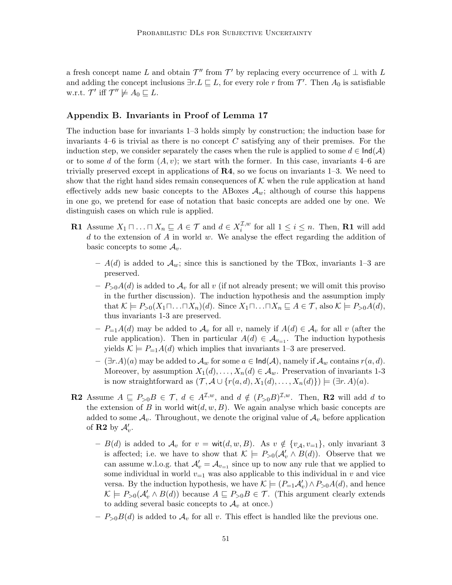a fresh concept name L and obtain  $\mathcal{T}''$  from  $\mathcal{T}'$  by replacing every occurrence of  $\perp$  with L and adding the concept inclusions  $\exists r.L \sqsubseteq L$ , for every role r from T'. Then  $A_0$  is satisfiable w.r.t.  $\mathcal{T}'$  iff  $\mathcal{T}'' \not\models A_0 \sqsubseteq L$ .

## Appendix B. Invariants in Proof of Lemma 17

The induction base for invariants 1–3 holds simply by construction; the induction base for invariants  $4-6$  is trivial as there is no concept C satisfying any of their premises. For the induction step, we consider separately the cases when the rule is applied to some  $d \in \text{Ind}(\mathcal{A})$ or to some d of the form  $(A, v)$ ; we start with the former. In this case, invariants 4–6 are trivially preserved except in applications of  $\mathbb{R}4$ , so we focus on invariants 1–3. We need to show that the right hand sides remain consequences of  $K$  when the rule application at hand effectively adds new basic concepts to the ABoxes  $A_w$ ; although of course this happens in one go, we pretend for ease of notation that basic concepts are added one by one. We distinguish cases on which rule is applied.

- **R1** Assume  $X_1 \sqcap \ldots \sqcap X_n \sqsubseteq A \in \mathcal{T}$  and  $d \in X_i^{\mathcal{I},w}$  $i^{L,w}$  for all  $1 \leq i \leq n$ . Then, **R1** will add  $d$  to the extension of  $A$  in world  $w$ . We analyse the effect regarding the addition of basic concepts to some  $A_v$ .
	- $A(d)$  is added to  $A_w$ ; since this is sanctioned by the TBox, invariants 1–3 are preserved.
	- $-P_{>0}A(d)$  is added to  $\mathcal{A}_v$  for all v (if not already present; we will omit this proviso in the further discussion). The induction hypothesis and the assumption imply that  $\mathcal{K} \models P_{>0}(X_1 \sqcap \ldots \sqcap X_n)(d)$ . Since  $X_1 \sqcap \ldots \sqcap X_n \sqsubseteq A \in \mathcal{T}$ , also  $\mathcal{K} \models P_{>0}A(d)$ , thus invariants 1-3 are preserved.
	- $P_{=1}A(d)$  may be added to  $\mathcal{A}_v$  for all v, namely if  $A(d) \in \mathcal{A}_v$  for all v (after the rule application). Then in particular  $A(d) \in \mathcal{A}_{v=1}$ . The induction hypothesis yields  $\mathcal{K} \models P_{=1}A(d)$  which implies that invariants 1–3 are preserved.
	- $(- (\exists r.A)(a)$  may be added to  $\mathcal{A}_w$  for some  $a \in \text{Ind}(\mathcal{A})$ , namely if  $\mathcal{A}_w$  contains  $r(a, d)$ . Moreover, by assumption  $X_1(d), \ldots, X_n(d) \in \mathcal{A}_w$ . Preservation of invariants 1-3 is now straightforward as  $(\mathcal{T}, \mathcal{A} \cup \{r(a,d), X_1(d), \ldots, X_n(d)\}) \models (\exists r. A)(a)$ .
- **R2** Assume  $A \subseteq P_{>0}B \in \mathcal{T}$ ,  $d \in A^{\mathcal{I},w}$ , and  $d \notin (P_{>0}B)^{\mathcal{I},w}$ . Then, **R2** will add d to the extension of B in world  $\text{wit}(d, w, B)$ . We again analyse which basic concepts are added to some  $A_v$ . Throughout, we denote the original value of  $A_v$  before application of **R2** by  $\mathcal{A}'_v$ .
	- $B(d)$  is added to  $\mathcal{A}_v$  for  $v = \text{wit}(d, w, B)$ . As  $v \notin \{v_{\mathcal{A}}, v_{=1}\},$  only invariant 3 is affected; i.e. we have to show that  $\mathcal{K} \models P_{>0}(\mathcal{A}'_v \wedge B(d))$ . Observe that we can assume w.l.o.g. that  $\mathcal{A}'_v = \mathcal{A}_{v=1}$  since up to now any rule that we applied to some individual in world  $v_{=1}$  was also applicable to this individual in v and vice versa. By the induction hypothesis, we have  $\mathcal{K} \models (P_{=1}A'_{v}) \land P_{>0}A(d)$ , and hence  $\mathcal{K} \models P_{>0}(\mathcal{A}'_v \land B(d))$  because  $A \sqsubseteq P_{>0}B \in \mathcal{T}$ . (This argument clearly extends to adding several basic concepts to  $\mathcal{A}_v$  at once.)
	- $-P_{>0}B(d)$  is added to  $\mathcal{A}_v$  for all v. This effect is handled like the previous one.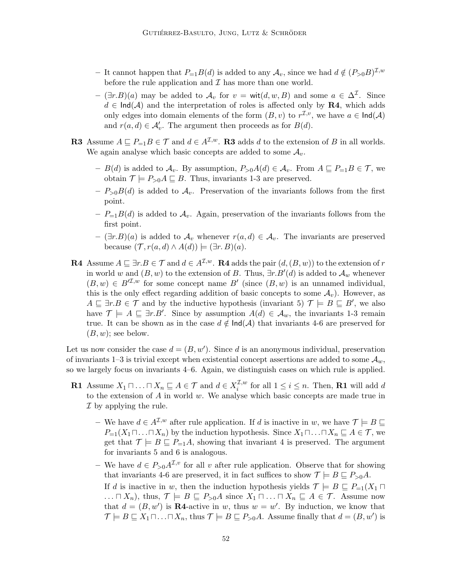- − It cannot happen that  $P_{=1}B(d)$  is added to any  $\mathcal{A}_v$ , since we had  $d \notin (P_{>0}B)^{\mathcal{I},w}$ before the rule application and  $\mathcal I$  has more than one world.
- $(\exists r.B)(a)$  may be added to  $\mathcal{A}_v$  for  $v = \text{wit}(d, w, B)$  and some  $a \in \Delta^{\mathcal{I}}$ . Since  $d \in \text{Ind}(\mathcal{A})$  and the interpretation of roles is affected only by **R4**, which adds only edges into domain elements of the form  $(B, v)$  to  $r^{\mathcal{I}, v}$ , we have  $a \in \text{Ind}(\mathcal{A})$ and  $r(a, d) \in \mathcal{A}'_v$ . The argument then proceeds as for  $B(d)$ .
- **R3** Assume  $A \subseteq P_{=1}B \in \mathcal{T}$  and  $d \in A^{\mathcal{I},w}$ . **R3** adds d to the extension of B in all worlds. We again analyse which basic concepts are added to some  $A_v$ .
	- $B(d)$  is added to  $\mathcal{A}_v$ . By assumption,  $P_{>0}A(d) \in \mathcal{A}_v$ . From  $A \sqsubseteq P_{=1}B \in \mathcal{T}$ , we obtain  $\mathcal{T} \models P_{>0}A \sqsubseteq B$ . Thus, invariants 1-3 are preserved.
	- $-P_{>0}B(d)$  is added to  $\mathcal{A}_v$ . Preservation of the invariants follows from the first point.
	- $P_{=1}B(d)$  is added to  $A_v$ . Again, preservation of the invariants follows from the first point.
	- $(\exists r.B)(a)$  is added to  $\mathcal{A}_v$  whenever  $r(a, d) \in \mathcal{A}_v$ . The invariants are preserved because  $(\mathcal{T}, r(a, d) \wedge A(d)) \models (\exists r. B)(a).$
- R4 Assume  $A \sqsubseteq \exists r.B \in \mathcal{T}$  and  $d \in A^{\mathcal{I},w}$ . R4 adds the pair  $(d,(B,w))$  to the extension of r in world w and  $(B, w)$  to the extension of B. Thus,  $\exists r.B'(d)$  is added to  $\mathcal{A}_w$  whenever  $(B, w) \in B^{\mathcal{I}, w}$  for some concept name B' (since  $(B, w)$  is an unnamed individual, this is the only effect regarding addition of basic concepts to some  $\mathcal{A}_v$ ). However, as  $A \subseteq \exists r.B \in \mathcal{T}$  and by the inductive hypothesis (invariant 5)  $\mathcal{T} \models B \subseteq B'$ , we also have  $\mathcal{T} \models A \sqsubseteq \exists r.B'.$  Since by assumption  $A(d) \in \mathcal{A}_w$ , the invariants 1-3 remain true. It can be shown as in the case  $d \notin \text{Ind}(\mathcal{A})$  that invariants 4-6 are preserved for  $(B, w)$ ; see below.

Let us now consider the case  $d = (B, w')$ . Since d is an anonymous individual, preservation of invariants 1–3 is trivial except when existential concept assertions are added to some  $\mathcal{A}_w$ , so we largely focus on invariants 4–6. Again, we distinguish cases on which rule is applied.

- **R1** Assume  $X_1 \sqcap \ldots \sqcap X_n \sqsubseteq A \in \mathcal{T}$  and  $d \in X_i^{\mathcal{I},w}$  $i^{L,w}$  for all  $1 \leq i \leq n$ . Then, **R1** will add d to the extension of  $A$  in world  $w$ . We analyse which basic concepts are made true in  $\mathcal I$  by applying the rule.
	- We have  $d \in A^{\mathcal{I},w}$  after rule application. If d is inactive in w, we have  $\mathcal{T} \models B \sqsubseteq$  $P_{=1}(X_1\sqcap \ldots \sqcap X_n)$  by the induction hypothesis. Since  $X_1\sqcap \ldots \sqcap X_n \sqsubseteq A \in \mathcal{T}$ , we get that  $\mathcal{T} \models B \sqsubseteq P_{=1}A$ , showing that invariant 4 is preserved. The argument for invariants 5 and 6 is analogous.
	- We have  $d \in P_{>0}A^{\mathcal{I},v}$  for all v after rule application. Observe that for showing that invariants 4-6 are preserved, it in fact suffices to show  $\mathcal{T} \models B \sqsubseteq P_{>0}A$ .
		- If d is inactive in w, then the induction hypothesis yields  $\mathcal{T} \models B \sqsubseteq P_{=1}(X_1 \sqcap$  $\ldots \sqcap X_n$ , thus,  $\mathcal{T} \models B \sqsubseteq P_{\geq 0}A$  since  $X_1 \sqcap \ldots \sqcap X_n \sqsubseteq A \in \mathcal{T}$ . Assume now that  $d = (B, w')$  is **R4**-active in w, thus  $w = w'$ . By induction, we know that  $\mathcal{T} \models B \sqsubseteq X_1 \sqcap \ldots \sqcap X_n$ , thus  $\mathcal{T} \models B \sqsubseteq P_{>0}A$ . Assume finally that  $d = (B, w')$  is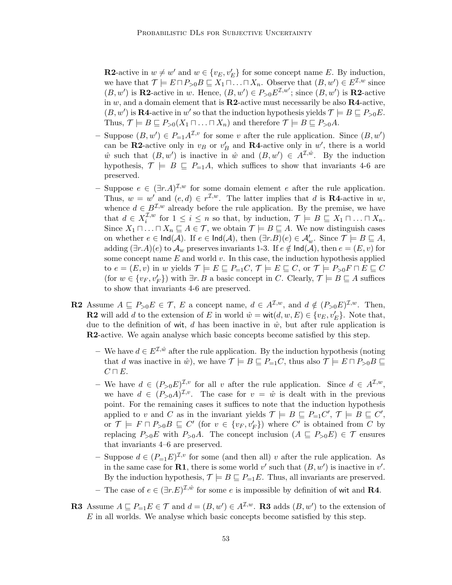**R2**-active in  $w \neq w'$  and  $w \in \{v_E, v'_E\}$  for some concept name E. By induction, we have that  $\mathcal{T} \models E \sqcap P_{\geq 0} B \sqsubseteq X_1 \sqcap \ldots \sqcap X_n$ . Observe that  $(B, w') \in E^{\mathcal{I}, w}$  since  $(B, w')$  is **R2**-active in w. Hence,  $(B, w') \in P_{>0}E^{\mathcal{I}, w'}$ ; since  $(B, w')$  is **R2**-active in w, and a domain element that is  $R2$ -active must necessarily be also  $R4$ -active,  $(B, w')$  is **R4**-active in w' so that the induction hypothesis yields  $\mathcal{T} \models B \sqsubseteq P_{\geq 0}E$ . Thus,  $\mathcal{T} \models B \sqsubseteq P_{>0}(X_1 \sqcap \ldots \sqcap X_n)$  and therefore  $\mathcal{T} \models B \sqsubseteq P_{>0}A$ .

- Suppose  $(B, w') \in P_{=1} A^{\mathcal{I}, v}$  for some v after the rule application. Since  $(B, w')$ can be **R2**-active only in  $v_B$  or  $v'_B$  and **R4**-active only in w', there is a world  $\hat{w}$  such that  $(B, w')$  is inactive in  $\hat{w}$  and  $(B, w') \in A^{\mathcal{I}, \hat{w}}$ . By the induction hypothesis,  $\mathcal{T} \models B \subseteq P_{=1}A$ , which suffices to show that invariants 4-6 are preserved.
- Suppose  $e \in (\exists r.A)^{\mathcal{I},w}$  for some domain element e after the rule application. Thus,  $w = w'$  and  $(e, d) \in r^{\mathcal{I}, w}$ . The latter implies that d is **R4**-active in w, whence  $d \in B^{\mathcal{I},w}$  already before the rule application. By the premise, we have that  $d \in X_i^{\mathcal{I},w}$ <sup>L,*w*</sup> for  $1 \leq i \leq n$  so that, by induction,  $\mathcal{T} \models B \sqsubseteq X_1 \sqcap ... \sqcap X_n$ . Since  $X_1 \sqcap \ldots \sqcap X_n \sqsubseteq A \in \mathcal{T}$ , we obtain  $\mathcal{T} \models B \sqsubseteq A$ . We now distinguish cases on whether  $e \in \text{Ind}(\mathcal{A})$ . If  $e \in \text{Ind}(\mathcal{A})$ , then  $(\exists r.B)(e) \in \mathcal{A}'_w$ . Since  $\mathcal{T} \models B \sqsubseteq A$ , adding  $(\exists r.A)(e)$  to  $\mathcal{A}_w$  preserves invariants 1-3. If  $e \notin \text{Ind}(\mathcal{A})$ , then  $e = (E, v)$  for some concept name  $E$  and world  $v$ . In this case, the induction hypothesis applied to  $e = (E, v)$  in w yields  $\mathcal{T} \models E \sqsubseteq P_{=1}C$ ,  $\mathcal{T} \models E \sqsubseteq C$ , or  $\mathcal{T} \models P_{>0}F \sqcap E \sqsubseteq C$ (for  $w \in \{v_F, v_F'\}$ ) with  $\exists r. B$  a basic concept in C. Clearly,  $\mathcal{T} \models B \sqsubseteq A$  suffices to show that invariants 4-6 are preserved.
- **R2** Assume  $A \subseteq P_{>0}E \in \mathcal{T}$ , E a concept name,  $d \in A^{\mathcal{I},w}$ , and  $d \notin (P_{>0}E)^{\mathcal{I},w}$ . Then, **R2** will add d to the extension of E in world  $\hat{w} = \text{wit}(d, w, E) \in \{v_E, v'_E\}$ . Note that, due to the definition of wit, d has been inactive in  $\hat{w}$ , but after rule application is R2-active. We again analyse which basic concepts become satisfied by this step.
	- We have  $d \in E^{\mathcal{I}, \hat{w}}$  after the rule application. By the induction hypothesis (noting that d was inactive in  $\hat{w}$ ), we have  $\mathcal{T} \models B \sqsubseteq P_{=1}C$ , thus also  $\mathcal{T} \models E \sqcap P_{>0}B \sqsubseteq$  $C \sqcap E$ .
	- We have  $d \in (P_{>0}E)^{\mathcal{I},v}$  for all v after the rule application. Since  $d \in A^{\mathcal{I},w}$ , we have  $d \in (P_{>0}A)^{\mathcal{I},v}$ . The case for  $v = \hat{w}$  is dealt with in the previous point. For the remaining cases it suffices to note that the induction hypothesis applied to v and C as in the invariant yields  $\mathcal{T} \models B \sqsubseteq P_{=1}C', \mathcal{T} \models B \sqsubseteq C'$ , or  $\mathcal{T} \models F \sqcap P_{>0}B \sqsubseteq C'$  (for  $v \in \{v_F, v_F'\}$ ) where C' is obtained from C by replacing  $P_{>0}E$  with  $P_{>0}A$ . The concept inclusion  $(A \subseteq P_{>0}E) \in \mathcal{T}$  ensures that invariants 4–6 are preserved.
	- Suppose  $d \in (P_{=1}E)^{\mathcal{I},v}$  for some (and then all) v after the rule application. As in the same case for **R1**, there is some world  $v'$  such that  $(B, w')$  is inactive in  $v'$ . By the induction hypothesis,  $\mathcal{T} \models B \sqsubseteq P_{=1}E$ . Thus, all invariants are preserved.
	- The case of  $e \in (\exists r.E)^{\mathcal{I},\hat{w}}$  for some e is impossible by definition of wit and **R4**.
- **R3** Assume  $A \subseteq P_{=1}E \in \mathcal{T}$  and  $d = (B, w') \in A^{\mathcal{I}, w}$ . **R3** adds  $(B, w')$  to the extension of E in all worlds. We analyse which basic concepts become satisfied by this step.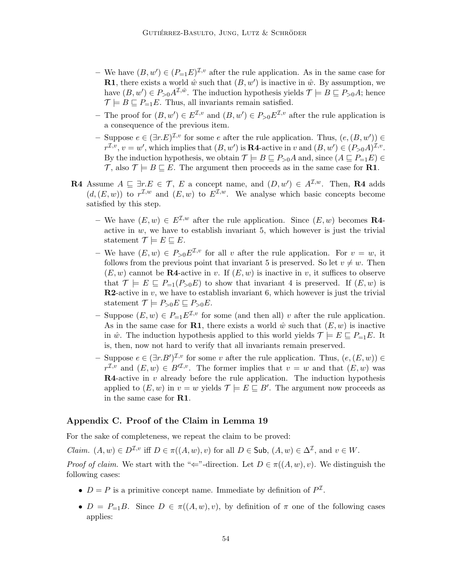- We have  $(B, w') \in (P_{-1}E)^{\mathcal{I}, v}$  after the rule application. As in the same case for **R1**, there exists a world  $\hat{w}$  such that  $(B, w')$  is inactive in  $\hat{w}$ . By assumption, we have  $(B, w') \in P_{>0} A^{\mathcal{I}, \hat{w}}$ . The induction hypothesis yields  $\mathcal{T} \models B \sqsubseteq P_{>0} A$ ; hence  $\mathcal{T} \models B \sqsubseteq P_{=1}E$ . Thus, all invariants remain satisfied.
- The proof for  $(B, w') \in E^{\mathcal{I}, v}$  and  $(B, w') \in P_{>0}E^{\mathcal{I}, v}$  after the rule application is a consequence of the previous item.
- Suppose  $e \in (\exists r.E)^{\mathcal{I},v}$  for some e after the rule application. Thus,  $(e, (B, w')) \in$  $r^{\mathcal{I},v}, v=w'$ , which implies that  $(B, w')$  is **R4**-active in v and  $(B, w') \in (P_{>0}A)^{\mathcal{I},v}$ . By the induction hypothesis, we obtain  $\mathcal{T} \models B \sqsubseteq P_{\geq 0}A$  and, since  $(A \sqsubseteq P_{=1}E) \in$  $\mathcal{T}$ , also  $\mathcal{T} \models B \sqsubseteq E$ . The argument then proceeds as in the same case for **R1**.
- **R4** Assume  $A \subseteq \exists r.E \in \mathcal{T}, E$  a concept name, and  $(D, w') \in A^{\mathcal{I}, w}$ . Then, **R4** adds  $(d, (E, w))$  to  $r^{\mathcal{I},w}$  and  $(E, w)$  to  $E^{\mathcal{I},w}$ . We analyse which basic concepts become satisfied by this step.
	- We have  $(E, w) \in E^{\mathcal{I}, w}$  after the rule application. Since  $(E, w)$  becomes **R4**active in  $w$ , we have to establish invariant 5, which however is just the trivial statement  $\mathcal{T} \models E \sqsubseteq E$ .
	- We have  $(E, w) \in P_{>0}E^{\mathcal{I}, v}$  for all v after the rule application. For  $v = w$ , it follows from the previous point that invariant 5 is preserved. So let  $v \neq w$ . Then  $(E, w)$  cannot be **R4**-active in v. If  $(E, w)$  is inactive in v, it suffices to observe that  $\mathcal{T} \models E \sqsubseteq P_{=1}(P_{>0}E)$  to show that invariant 4 is preserved. If  $(E, w)$  is **R2-active in v, we have to establish invariant 6, which however is just the trivial** statement  $\mathcal{T} \models P_{>0}E \sqsubseteq P_{>0}E$ .
	- Suppose  $(E, w) \in P_{=1}E^{\mathcal{I}, v}$  for some (and then all) v after the rule application. As in the same case for **R1**, there exists a world  $\hat{w}$  such that  $(E, w)$  is inactive in  $\hat{w}$ . The induction hypothesis applied to this world yields  $\mathcal{T} \models E \sqsubseteq P_{=1}E$ . It is, then, now not hard to verify that all invariants remain preserved.
	- Suppose  $e \in (\exists r.B')^{\mathcal{I},v}$  for some v after the rule application. Thus,  $(e,(E,w)) \in$  $r^{\mathcal{I},v}$  and  $(E,w) \in B^{\prime\mathcal{I},v}$ . The former implies that  $v=w$  and that  $(E,w)$  was  $$ applied to  $(E, w)$  in  $v = w$  yields  $\mathcal{T} \models E \sqsubseteq B'$ . The argument now proceeds as in the same case for R1.

## Appendix C. Proof of the Claim in Lemma 19

For the sake of completeness, we repeat the claim to be proved:

*Claim.*  $(A, w) \in D^{\mathcal{I}, v}$  iff  $D \in \pi((A, w), v)$  for all  $D \in \mathsf{Sub}, (A, w) \in \Delta^{\mathcal{I}},$  and  $v \in W$ .

*Proof of claim.* We start with the " $\Leftarrow$ "-direction. Let  $D \in \pi((A, w), v)$ . We distinguish the following cases:

- $D = P$  is a primitive concept name. Immediate by definition of  $P^{\mathcal{I}}$ .
- $D = P_{=1}B$ . Since  $D \in \pi((A, w), v)$ , by definition of  $\pi$  one of the following cases applies: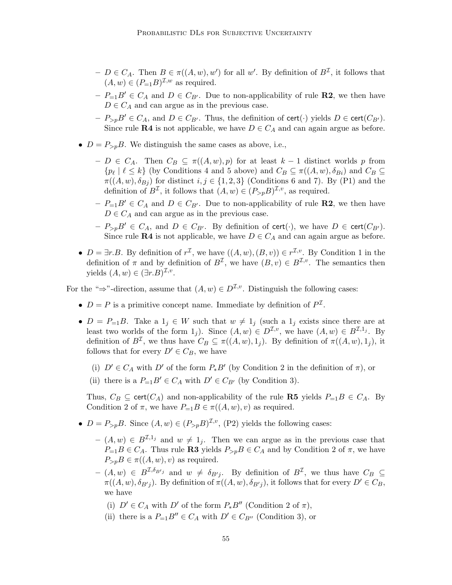- $-D \in C_A$ . Then  $B \in \pi((A, w), w')$  for all w'. By definition of  $B^{\mathcal{I}}$ , it follows that  $(A, w) \in (P_{\equiv 1}B)^{\mathcal{I},w}$  as required.
- $-P_{=1}B' \in C_A$  and  $D \in C_{B'}$ . Due to non-applicability of rule **R2**, we then have  $D\in C_A$  and can argue as in the previous case.
- $-P_{\geq p}B' \in C_A$ , and  $D \in C_{B'}$ . Thus, the definition of cert( $\cdot$ ) yields  $D \in \text{cert}(C_{B'})$ . Since rule R4 is not applicable, we have  $D \in C_A$  and can again argue as before.
- $D = P_{\geq p}B$ . We distinguish the same cases as above, i.e.,
	- $− D \in C_A$ . Then  $C_B \subseteq \pi((A, w), p)$  for at least  $k 1$  distinct worlds p from  $\{p_\ell \mid \ell \leq k\}$  (by Conditions 4 and 5 above) and  $C_B \subseteq \pi((A, w), \delta_{Bi})$  and  $C_B \subseteq$  $\pi((A, w), \delta_{B_j})$  for distinct  $i, j \in \{1, 2, 3\}$  (Conditions 6 and 7). By (P1) and the definition of  $B^{\mathcal{I}}$ , it follows that  $(A, w) \in (P_{>p}B)^{\mathcal{I}, v}$ , as required.
	- $-P_{=1}B' \in C_A$  and  $D \in C_{B'}$ . Due to non-applicability of rule **R2**, we then have  $D \in C_A$  and can argue as in the previous case.
	- $-P_{\geq p}B' \in C_A$ , and  $D \in C_{B'}$ . By definition of cert( $\cdot$ ), we have  $D \in \text{cert}(C_{B'})$ . Since rule **R4** is not applicable, we have  $D \in C_A$  and can again argue as before.
- $D = \exists r.B.$  By definition of  $r^{\mathcal{I}}$ , we have  $((A, w), (B, v)) \in r^{\mathcal{I}, v}$ . By Condition 1 in the definition of  $\pi$  and by definition of  $B^{\mathcal{I}}$ , we have  $(B, v) \in B^{\mathcal{I}, v}$ . The semantics then yields  $(A, w) \in (\exists r.B)^{\mathcal{I}, v}$ .

For the " $\Rightarrow$ "-direction, assume that  $(A, w) \in D^{\mathcal{I}, v}$ . Distinguish the following cases:

- $D = P$  is a primitive concept name. Immediate by definition of  $P^{\mathcal{I}}$ .
- $D = P_{-1}B$ . Take a  $1_j \in W$  such that  $w \neq 1_j$  (such a  $1_j$  exists since there are at least two worlds of the form  $1_j$ ). Since  $(A, w) \in D^{\mathcal{I}, v}$ , we have  $(A, w) \in B^{\mathcal{I}, 1_j}$ . By definition of  $B^{\mathcal{I}}$ , we thus have  $C_B \subseteq \pi((A, w), 1_j)$ . By definition of  $\pi((A, w), 1_j)$ , it follows that for every  $D' \in C_B$ , we have
	- (i)  $D' \in C_A$  with  $D'$  of the form  $P_*B'$  (by Condition 2 in the definition of  $\pi$ ), or
	- (ii) there is a  $P_{=1}B' \in C_A$  with  $D' \in C_{B'}$  (by Condition 3).

Thus,  $C_B \subseteq \text{cert}(C_A)$  and non-applicability of the rule **R5** yields  $P_{=1}B \in C_A$ . By Condition 2 of  $\pi$ , we have  $P_{=1}B \in \pi((A, w), v)$  as required.

- $D = P_{\geq p}B$ . Since  $(A, w) \in (P_{\geq p}B)^{\mathcal{I}, v}$ , (P2) yields the following cases:
	- $-(A, w) \in B^{\mathcal{I},1_j}$  and  $w \neq 1_j$ . Then we can argue as in the previous case that  $P_{=1}B \in C_A$ . Thus rule **R3** yields  $P_{>p}B \in C_A$  and by Condition 2 of  $\pi$ , we have  $P_{>p}B \in \pi((A, w), v)$  as required.
	- $(A, w) \in B^{\mathcal{I}, \delta_{B'j}}$  and  $w \neq \delta_{B'j}$ . By definition of  $B^{\mathcal{I}},$  we thus have  $C_B \subseteq$  $\pi((A, w), \delta_{B'j})$ . By definition of  $\pi((A, w), \delta_{B'j})$ , it follows that for every  $D' \in C_B$ , we have
		- (i)  $D' \in C_A$  with  $D'$  of the form  $P_*B''$  (Condition 2 of  $\pi$ ),
		- (ii) there is a  $P_{=1}B'' \in C_A$  with  $D' \in C_{B''}$  (Condition 3), or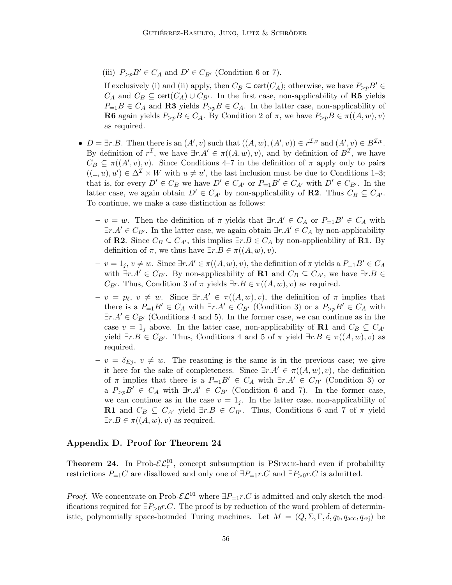(iii)  $P_{\geq p}B' \in C_A$  and  $D' \in C_{B'}$  (Condition 6 or 7).

If exclusively (i) and (ii) apply, then  $C_B \subseteq \text{cert}(C_A)$ ; otherwise, we have  $P_{\geq p}B' \in$  $C_A$  and  $C_B \subseteq \text{cert}(C_A) \cup C_{B'}$ . In the first case, non-applicability of **R5** yields  $P_{=1}B \in C_A$  and R3 yields  $P_{>p}B \in C_A$ . In the latter case, non-applicability of **R6** again yields  $P_{>p}B \in C_A$ . By Condition 2 of  $\pi$ , we have  $P_{>p}B \in \pi((A, w), v)$ as required.

- $D = \exists r.B.$  Then there is an  $(A', v)$  such that  $((A, w), (A', v)) \in r^{\mathcal{I}, v}$  and  $(A', v) \in B^{\mathcal{I}, v}$ . By definition of  $r^{\mathcal{I}}$ , we have  $\exists r.A' \in \pi((A, w), v)$ , and by definition of  $B^{\mathcal{I}}$ , we have  $C_B \subseteq \pi((A', v), v)$ . Since Conditions 4-7 in the definition of  $\pi$  apply only to pairs  $((\_, u), u') \in \Delta^{\mathcal{I}} \times W$  with  $u \neq u'$ , the last inclusion must be due to Conditions 1-3; that is, for every  $D' \in C_B$  we have  $D' \in C_{A'}$  or  $P_{=1}B' \in C_{A'}$  with  $D' \in C_{B'}$ . In the latter case, we again obtain  $D' \in C_{A'}$  by non-applicability of **R2**. Thus  $C_B \subseteq C_{A'}$ . To continue, we make a case distinction as follows:
	- $v = w$ . Then the definition of  $\pi$  yields that  $\exists r.A' \in C_A$  or  $P_{=1}B' \in C_A$  with  $\exists r.A' \in C_{B'}$ . In the latter case, we again obtain  $\exists r.A' \in C_A$  by non-applicability of R2. Since  $C_B \subseteq C_{A'}$ , this implies  $\exists r.B \in C_A$  by non-applicability of R1. By definition of  $\pi$ , we thus have  $\exists r.B \in \pi((A, w), v)$ .
	- $v = 1_j, v \neq w$ . Since  $\exists r.A' \in \pi((A, w), v)$ , the definition of  $\pi$  yields a  $P_{=1}B' \in C_A$ with  $\exists r.A' \in C_{B'}$ . By non-applicability of **R1** and  $C_B \subseteq C_{A'}$ , we have  $\exists r.B \in$  $C_{B'}$ . Thus, Condition 3 of  $\pi$  yields  $\exists r.B \in \pi((A, w), v)$  as required.
	- $-v = p_{\ell}, v \neq w$ . Since  $\exists r.A' \in \pi((A, w), v)$ , the definition of  $\pi$  implies that there is a  $P_{=1}B' \in C_A$  with  $\exists r.A' \in C_{B'}$  (Condition 3) or a  $P_{>p}B' \in C_A$  with  $\exists r.A' \in C_{B'}$  (Conditions 4 and 5). In the former case, we can continue as in the case  $v = 1_j$  above. In the latter case, non-applicability of **R1** and  $C_B \subseteq C_{A'}$ yield  $\exists r.B \in C_{B'}$ . Thus, Conditions 4 and 5 of  $\pi$  yield  $\exists r.B \in \pi((A, w), v)$  as required.
	- $-v = \delta_{E_i}, v \neq w$ . The reasoning is the same is in the previous case; we give it here for the sake of completeness. Since  $\exists r.A' \in \pi((A, w), v)$ , the definition of  $\pi$  implies that there is a  $P_{=1}B' \in C_A$  with  $\exists r.A' \in C_{B'}$  (Condition 3) or a  $P_{>p}B' \in C_A$  with  $\exists r.A' \in C_{B'}$  (Condition 6 and 7). In the former case, we can continue as in the case  $v = 1<sub>i</sub>$ . In the latter case, non-applicability of R1 and  $C_B \subseteq C_{A'}$  yield  $\exists r.B \in C_{B'}$ . Thus, Conditions 6 and 7 of  $\pi$  yield  $\exists r.B \in \pi((A, w), v)$  as required.

## Appendix D. Proof for Theorem 24

**Theorem 24.** In Prob- $\mathcal{EL}_r^{01}$ , concept subsumption is PSPACE-hard even if probability restrictions  $P_{=1}C$  are disallowed and only one of  $\exists P_{=1}r.C$  and  $\exists P_{>0}r.C$  is admitted.

*Proof.* We concentrate on Prob- $\mathcal{EL}^{01}$  where  $\exists P_{=1}r.C$  is admitted and only sketch the modifications required for  $\exists P_{>0}r.C$ . The proof is by reduction of the word problem of deterministic, polynomially space-bounded Turing machines. Let  $M = (Q, \Sigma, \Gamma, \delta, q_0, q_{\text{acc}}, q_{\text{rei}})$  be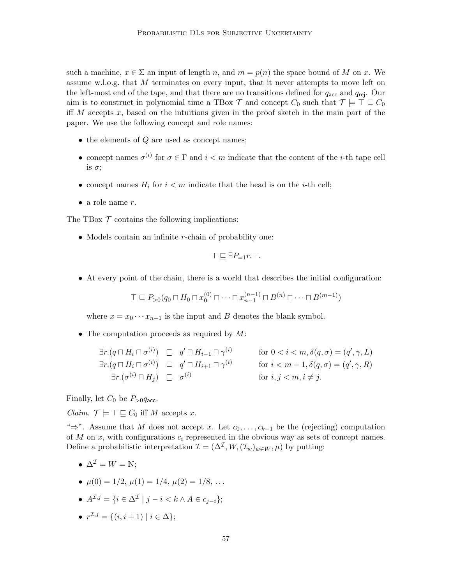such a machine,  $x \in \Sigma$  an input of length n, and  $m = p(n)$  the space bound of M on x. We assume w.l.o.g. that M terminates on every input, that it never attempts to move left on the left-most end of the tape, and that there are no transitions defined for  $q_{\text{acc}}$  and  $q_{\text{rej}}$ . Our aim is to construct in polynomial time a TBox  $\mathcal T$  and concept  $C_0$  such that  $\mathcal T \models \top \sqsubseteq C_0$ iff M accepts x, based on the intuitions given in the proof sketch in the main part of the paper. We use the following concept and role names:

- $\bullet$  the elements of  $Q$  are used as concept names;
- concept names  $\sigma^{(i)}$  for  $\sigma \in \Gamma$  and  $i < m$  indicate that the content of the *i*-th tape cell is  $\sigma$ ;
- concept names  $H_i$  for  $i < m$  indicate that the head is on the *i*-th cell;
- a role name  $r$ .

The TBox  $\mathcal T$  contains the following implications:

• Models contain an infinite r-chain of probability one:

$$
\top \sqsubseteq \exists P_{=1}r.\top.
$$

• At every point of the chain, there is a world that describes the initial configuration:

$$
\top \sqsubseteq P_{>0}(q_0 \sqcap H_0 \sqcap x_0^{(0)} \sqcap \cdots \sqcap x_{n-1}^{(n-1)} \sqcap B^{(n)} \sqcap \cdots \sqcap B^{(m-1)})
$$

where  $x = x_0 \cdots x_{n-1}$  is the input and B denotes the blank symbol.

• The computation proceeds as required by  $M$ :

$$
\exists r. (q \sqcap H_i \sqcap \sigma^{(i)}) \sqsubseteq q' \sqcap H_{i-1} \sqcap \gamma^{(i)} \qquad \text{for } 0 < i < m, \delta(q, \sigma) = (q', \gamma, L)
$$
\n
$$
\exists r. (q \sqcap H_i \sqcap \sigma^{(i)}) \sqsubseteq q' \sqcap H_{i+1} \sqcap \gamma^{(i)} \qquad \text{for } i < m-1, \delta(q, \sigma) = (q', \gamma, R)
$$
\n
$$
\exists r. (\sigma^{(i)} \sqcap H_j) \sqsubseteq \sigma^{(i)} \qquad \text{for } i, j < m, i \neq j.
$$

Finally, let  $C_0$  be  $P_{>0}q_{\text{acc}}$ .

*Claim.*  $\mathcal{T} \models \top \sqsubseteq C_0$  iff M accepts x.

" $\Rightarrow$ ". Assume that M does not accept x. Let  $c_0, \ldots, c_{k-1}$  be the (rejecting) computation of  $M$  on  $x$ , with configurations  $c_i$  represented in the obvious way as sets of concept names. Define a probabilistic interpretation  $\mathcal{I} = (\Delta^{\mathcal{I}}, W, (\mathcal{I}_w)_{w \in W}, \mu)$  by putting:

- $\Delta^{\mathcal{I}} = W = N$ :
- $\mu(0) = 1/2, \mu(1) = 1/4, \mu(2) = 1/8, \ldots$
- $A^{\mathcal{I},j} = \{i \in \Delta^{\mathcal{I}} \mid j i < k \wedge A \in c_{j-i}\};$
- $r^{\mathcal{I},j} = \{(i,i+1) \mid i \in \Delta\};$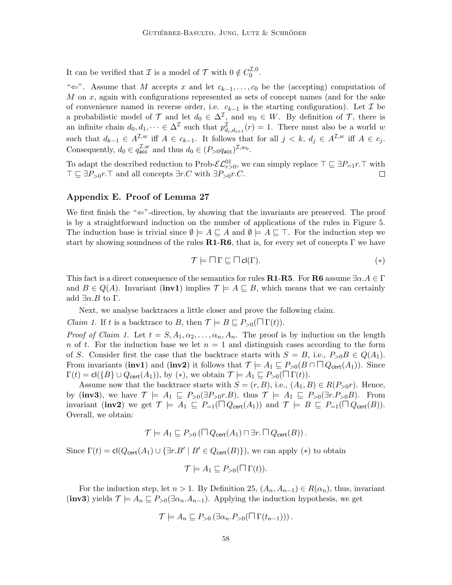It can be verified that  $\mathcal I$  is a model of  $\mathcal T$  with  $0 \notin C_0^{\mathcal I,0}$  $\begin{matrix} 0 & 0 \\ 0 & 0 \end{matrix}$ 

" $\Leftarrow$ ". Assume that M accepts x and let  $c_{k-1}, \ldots, c_0$  be the (accepting) computation of  $M$  on  $x$ , again with configurations represented as sets of concept names (and for the sake of convenience named in reverse order, i.e.  $c_{k-1}$  is the starting configuration). Let  $\mathcal I$  be a probabilistic model of T and let  $d_0 \in \Delta^{\mathcal{I}}$ , and  $w_0 \in W$ . By definition of T, there is an infinite chain  $d_0, d_1, \dots \in \Delta^{\mathcal{I}}$  such that  $p_{d_i, d_{i+1}}^{\mathcal{I}}(r) = 1$ . There must also be a world w such that  $d_{k-1} \in A^{\mathcal{I},w}$  iff  $A \in c_{k-1}$ . It follows that for all  $j < k$ ,  $d_j \in A^{\mathcal{I},w}$  iff  $A \in c_j$ . Consequently,  $d_0 \in q_{\text{acc}}^{\mathcal{I},w}$  and thus  $d_0 \in (P_{>0}q_{\text{acc}})^{\mathcal{I},w_0}$ .

To adapt the described reduction to Prob- $\mathcal{EL}_{r>0}^{01}$ , we can simply replace  $\top \sqsubseteq \exists P_{=1}r.\top$  with  $\top \sqsubseteq \exists P_{>0}r.\top$  and all concepts  $\exists r.C$  with  $\exists P_{>0}r.C.$  $\Box$ 

### Appendix E. Proof of Lemma 27

We first finish the " $\leftarrow$ "-direction, by showing that the invariants are preserved. The proof is by a straightforward induction on the number of applications of the rules in Figure 5. The induction base is trivial since  $\emptyset \models A \sqsubseteq A$  and  $\emptyset \models A \sqsubseteq \top$ . For the induction step we start by showing soundness of the rules  $R1-R6$ , that is, for every set of concepts  $\Gamma$  we have

$$
\mathcal{T} \models \Box \Gamma \sqsubseteq \Box \mathsf{cl}(\Gamma). \tag{*}
$$

This fact is a direct consequence of the semantics for rules **R1-R5**. For **R6** assume  $\exists \alpha.A \in \Gamma$ and  $B \in Q(A)$ . Invariant (inv1) implies  $\mathcal{T} \models A \sqsubseteq B$ , which means that we can certainly add  $\exists \alpha.B$  to  $\Gamma$ .

Next, we analyse backtraces a little closer and prove the following claim.

*Claim 1.* If t is a backtrace to B, then  $\mathcal{T} \models B \sqsubseteq P_{>0}(\Box \Gamma(t)).$ 

*Proof of Claim 1.* Let  $t = S, A_1, \alpha_2, \ldots, \alpha_n, A_n$ . The proof is by induction on the length n of t. For the induction base we let  $n = 1$  and distinguish cases according to the form of S. Consider first the case that the backtrace starts with  $S = B$ , i.e.,  $P_{>0}B \in Q(A_1)$ . From invariants (inv1) and (inv2) it follows that  $\mathcal{T} \models A_1 \sqsubseteq P_{>0}(B \sqcap \square Q_{\mathsf{cert}}(A_1))$ . Since  $\Gamma(t) = cl({B} \cup Q_{\text{cert}}(A_1)),$  by (\*), we obtain  $\mathcal{T} \models A_1 \sqsubseteq P_{>0}(\square \Gamma(t)).$ 

Assume now that the backtrace starts with  $S = (r, B)$ , i.e.,  $(A_1, B) \in R(P_{\geq 0}r)$ . Hence, by (inv3), we have  $\mathcal{T} \models A_1 \sqsubseteq P_{>0}(\exists P_{>0}r.B)$ , thus  $\mathcal{T} \models A_1 \sqsubseteq P_{>0}(\exists r.P_{>0}B)$ . From invariant (inv2) we get  $\mathcal{T} \models A_1 \sqsubseteq P_{=1}(\square Q_{\text{cert}}(A_1))$  and  $\mathcal{T} \models B \sqsubseteq P_{=1}(\square Q_{\text{cert}}(B)).$ Overall, we obtain:

$$
\mathcal{T} \models A_1 \sqsubseteq P_{>0} (\Box Q_{\mathsf{cert}}(A_1) \sqcap \exists r. \Box Q_{\mathsf{cert}}(B)).
$$

Since  $\Gamma(t) = cl(Q_{\text{cert}}(A_1) \cup {\exists r.B' | B' \in Q_{\text{cert}}(B)}),$  we can apply (\*) to obtain

$$
\mathcal{T} \models A_1 \sqsubseteq P_{>0}(\Box \Gamma(t)).
$$

For the induction step, let  $n > 1$ . By Definition 25,  $(A_n, A_{n-1}) \in R(\alpha_n)$ , thus, invariant (inv3) yields  $\mathcal{T} \models A_n \sqsubseteq P_{>0}(\exists \alpha_n.A_{n-1})$ . Applying the induction hypothesis, we get

$$
\mathcal{T} \models A_n \sqsubseteq P_{>0} (\exists \alpha_n.P_{>0}(\sqcap \Gamma(t_{n-1}))).
$$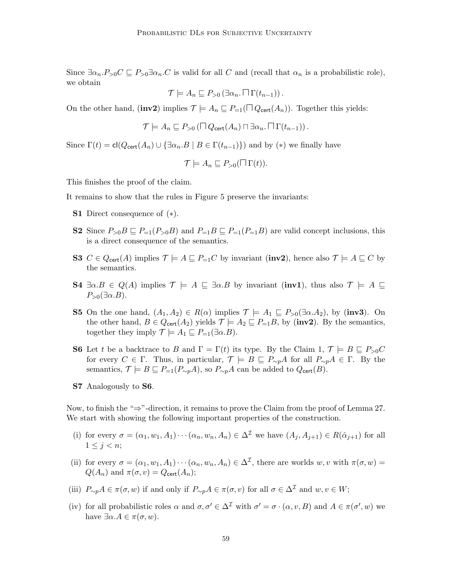Since  $\exists \alpha_n P_{>0}C \sqsubseteq P_{>0} \exists \alpha_n C$  is valid for all C and (recall that  $\alpha_n$  is a probabilistic role), we obtain

$$
\mathcal{T} \models A_n \sqsubseteq P_{>0} (\exists \alpha_n. \sqcap \Gamma(t_{n-1})).
$$

On the other hand, (inv2) implies  $\mathcal{T} \models A_n \sqsubseteq P_{=1}(\Box Q_{\text{cert}}(A_n))$ . Together this yields:

$$
\mathcal{T} \models A_n \sqsubseteq P_{>0} (\Box Q_{\text{cert}}(A_n) \Box \exists \alpha_n. \Box \Gamma(t_{n-1})).
$$

Since  $\Gamma(t) = cl(Q_{\text{cert}}(A_n) \cup {\exists \alpha_n B \mid B \in \Gamma(t_{n-1})})$  and by (\*) we finally have

$$
\mathcal{T} \models A_n \sqsubseteq P_{>0}(\Box \Gamma(t)).
$$

This finishes the proof of the claim.

It remains to show that the rules in Figure 5 preserve the invariants:

- S1 Direct consequence of (∗).
- **S2** Since  $P_{>0}B \subseteq P_{=1}(P_{>0}B)$  and  $P_{=1}B \subseteq P_{=1}(P_{=1}B)$  are valid concept inclusions, this is a direct consequence of the semantics.
- S3  $C \in Q_{\text{cert}}(A)$  implies  $\mathcal{T} \models A \sqsubseteq P_{=1}C$  by invariant (inv2), hence also  $\mathcal{T} \models A \sqsubseteq C$  by the semantics.
- **S4**  $\exists \alpha.B \in Q(A)$  implies  $\mathcal{T} \models A \sqsubseteq \exists \alpha.B$  by invariant (inv1), thus also  $\mathcal{T} \models A \sqsubseteq \exists \alpha.B$  $P_{>0}(\exists \alpha.B).$
- **S5** On the one hand,  $(A_1, A_2) \in R(\alpha)$  implies  $\mathcal{T} \models A_1 \sqsubseteq P_{>0}(\exists \alpha.A_2)$ , by (inv3). On the other hand,  $B \in Q_{\text{cert}}(A_2)$  yields  $\mathcal{T} \models A_2 \sqsubseteq P_{=1}B$ , by (inv2). By the semantics, together they imply  $\mathcal{T} \models A_1 \sqsubseteq P_{=1}(\exists \alpha.B).$
- **S6** Let t be a backtrace to B and  $\Gamma = \Gamma(t)$  its type. By the Claim 1,  $\mathcal{T} \models B \sqsubseteq P_{>0}C$ for every  $C \in \Gamma$ . Thus, in particular,  $\mathcal{T} \models B \sqsubseteq P_{\sim p}A$  for all  $P_{\sim p}A \in \Gamma$ . By the semantics,  $\mathcal{T} \models B \sqsubseteq P_{=1}(P_{\sim p}A)$ , so  $P_{\sim p}A$  can be added to  $Q_{\text{cert}}(B)$ .
- S7 Analogously to S6.

Now, to finish the "⇒"-direction, it remains to prove the Claim from the proof of Lemma 27. We start with showing the following important properties of the construction.

- (i) for every  $\sigma = (\alpha_1, w_1, A_1) \cdots (\alpha_n, w_n, A_n) \in \Delta^{\mathcal{I}}$  we have  $(A_i, A_{i+1}) \in R(\hat{\alpha}_{i+1})$  for all  $1 \leq i \leq n$
- (ii) for every  $\sigma = (\alpha_1, w_1, A_1) \cdots (\alpha_n, w_n, A_n) \in \Delta^{\mathcal{I}}$ , there are worlds  $w, v$  with  $\pi(\sigma, w) =$  $Q(A_n)$  and  $\pi(\sigma, v) = Q_{\text{cert}}(A_n);$
- (iii)  $P_{\sim p}A \in \pi(\sigma, w)$  if and only if  $P_{\sim p}A \in \pi(\sigma, v)$  for all  $\sigma \in \Delta^{\mathcal{I}}$  and  $w, v \in W$ ;
- (iv) for all probabilistic roles  $\alpha$  and  $\sigma, \sigma' \in \Delta^{\mathcal{I}}$  with  $\sigma' = \sigma \cdot (\alpha, v, B)$  and  $A \in \pi(\sigma', w)$  we have  $\exists \alpha.A \in \pi(\sigma, w)$ .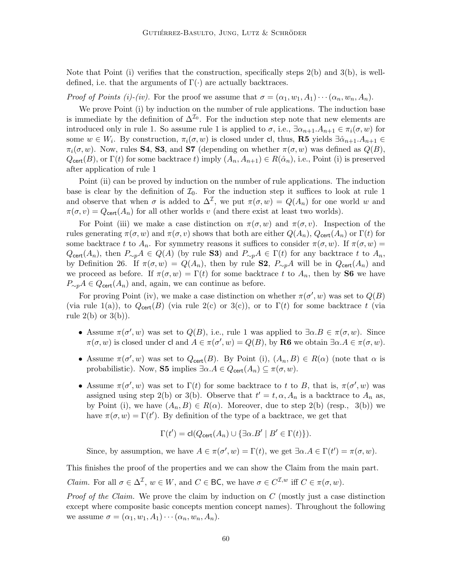Note that Point (i) verifies that the construction, specifically steps  $2(b)$  and  $3(b)$ , is welldefined, i.e. that the arguments of  $\Gamma(\cdot)$  are actually backtraces.

*Proof of Points (i)-(iv).* For the proof we assume that  $\sigma = (\alpha_1, w_1, A_1) \cdots (\alpha_n, w_n, A_n)$ .

We prove Point (i) by induction on the number of rule applications. The induction base is immediate by the definition of  $\Delta^{I_0}$ . For the induction step note that new elements are introduced only in rule 1. So assume rule 1 is applied to  $\sigma$ , i.e.,  $\exists \alpha_{n+1}.A_{n+1} \in \pi_i(\sigma, w)$  for some  $w \in W_i$ . By construction,  $\pi_i(\sigma, w)$  is closed under cl, thus, **R5** yields  $\exists \hat{\alpha}_{n+1}.A_{n+1} \in$  $\pi_i(\sigma, w)$ . Now, rules **S4, S3**, and **S7** (depending on whether  $\pi(\sigma, w)$  was defined as  $Q(B)$ ,  $Q_{\text{cert}}(B)$ , or  $\Gamma(t)$  for some backtrace t) imply  $(A_n, A_{n+1}) \in R(\hat{\alpha}_n)$ , i.e., Point (i) is preserved after application of rule 1

Point (ii) can be proved by induction on the number of rule applications. The induction base is clear by the definition of  $\mathcal{I}_0$ . For the induction step it suffices to look at rule 1 and observe that when  $\sigma$  is added to  $\Delta^{\mathcal{I}}$ , we put  $\pi(\sigma, w) = Q(A_n)$  for one world w and  $\pi(\sigma, v) = Q_{\text{cert}}(A_n)$  for all other worlds v (and there exist at least two worlds).

For Point (iii) we make a case distinction on  $\pi(\sigma, w)$  and  $\pi(\sigma, v)$ . Inspection of the rules generating  $\pi(\sigma, w)$  and  $\pi(\sigma, v)$  shows that both are either  $Q(A_n)$ ,  $Q_{\text{cert}}(A_n)$  or  $\Gamma(t)$  for some backtrace t to  $A_n$ . For symmetry reasons it suffices to consider  $\pi(\sigma, w)$ . If  $\pi(\sigma, w) =$  $Q_{\text{cert}}(A_n)$ , then  $P_{\sim p}A \in Q(A)$  (by rule S3) and  $P_{\sim p}A \in \Gamma(t)$  for any backtrace t to  $A_n$ , by Definition 26. If  $\pi(\sigma, w) = Q(A_n)$ , then by rule **S2**,  $P_{\sim p}A$  will be in  $Q_{\text{cert}}(A_n)$  and we proceed as before. If  $\pi(\sigma, w) = \Gamma(t)$  for some backtrace t to  $A_n$ , then by **S6** we have  $P_{\sim p}A \in Q_{\text{cert}}(A_n)$  and, again, we can continue as before.

For proving Point (iv), we make a case distinction on whether  $\pi(\sigma', w)$  was set to  $Q(B)$ (via rule 1(a)), to  $Q_{\text{cert}}(B)$  (via rule 2(c) or 3(c)), or to  $\Gamma(t)$  for some backtrace t (via rule  $2(b)$  or  $3(b)$ ).

- Assume  $\pi(\sigma', w)$  was set to  $Q(B)$ , i.e., rule 1 was applied to  $\exists \alpha.B \in \pi(\sigma, w)$ . Since  $\pi(\sigma, w)$  is closed under cl and  $A \in \pi(\sigma', w) = Q(B)$ , by **R6** we obtain  $\exists \alpha.A \in \pi(\sigma, w)$ .
- Assume  $\pi(\sigma', w)$  was set to  $Q_{\text{cert}}(B)$ . By Point (i),  $(A_n, B) \in R(\alpha)$  (note that  $\alpha$  is probabilistic). Now, **S5** implies  $\exists \alpha.A \in Q_{\text{cert}}(A_n) \subseteq \pi(\sigma, w)$ .
- Assume  $\pi(\sigma', w)$  was set to  $\Gamma(t)$  for some backtrace to t to B, that is,  $\pi(\sigma', w)$  was assigned using step 2(b) or 3(b). Observe that  $t' = t, \alpha, A_n$  is a backtrace to  $A_n$  as, by Point (i), we have  $(A_n, B) \in R(\alpha)$ . Moreover, due to step 2(b) (resp., 3(b)) we have  $\pi(\sigma, w) = \Gamma(t')$ . By definition of the type of a backtrace, we get that

$$
\Gamma(t') = \text{cl}(Q_{\text{cert}}(A_n) \cup \{ \exists \alpha . B' \mid B' \in \Gamma(t) \}).
$$

Since, by assumption, we have  $A \in \pi(\sigma', w) = \Gamma(t)$ , we get  $\exists \alpha.A \in \Gamma(t') = \pi(\sigma, w)$ .

This finishes the proof of the properties and we can show the Claim from the main part. *Claim.* For all  $\sigma \in \Delta^{\mathcal{I}}, w \in W$ , and  $C \in BC$ , we have  $\sigma \in C^{\mathcal{I},w}$  iff  $C \in \pi(\sigma, w)$ .

*Proof of the Claim.* We prove the claim by induction on  $C$  (mostly just a case distinction except where composite basic concepts mention concept names). Throughout the following we assume  $\sigma = (\alpha_1, w_1, A_1) \cdots (\alpha_n, w_n, A_n).$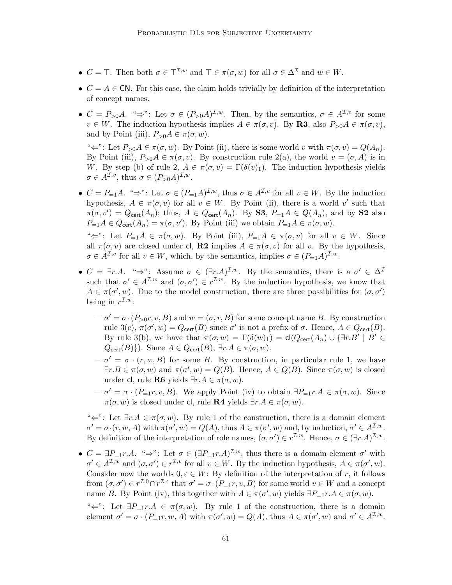- $C = \top$ . Then both  $\sigma \in \top^{I,w}$  and  $\top \in \pi(\sigma, w)$  for all  $\sigma \in \Delta^I$  and  $w \in W$ .
- $C = A \in \mathbb{C}N$ . For this case, the claim holds trivially by definition of the interpretation of concept names.
- $C = P_{>0}A$ . " $\Rightarrow$ ": Let  $\sigma \in (P_{>0}A)^{\mathcal{I},w}$ . Then, by the semantics,  $\sigma \in A^{\mathcal{I},v}$  for some  $v \in W$ . The induction hypothesis implies  $A \in \pi(\sigma, v)$ . By **R3**, also  $P_{>0}A \in \pi(\sigma, v)$ , and by Point (iii),  $P_{>0}A \in \pi(\sigma, w)$ .

" $\Leftarrow$ ": Let  $P_{>0}A \in \pi(\sigma, w)$ . By Point (ii), there is some world v with  $\pi(\sigma, v) = Q(A_n)$ . By Point (iii),  $P_{>0}A \in \pi(\sigma, v)$ . By construction rule 2(a), the world  $v = (\sigma, A)$  is in W. By step (b) of rule 2,  $A \in \pi(\sigma, v) = \Gamma(\delta(v)_1)$ . The induction hypothesis yields  $\sigma \in A^{\mathcal{I},v}$ , thus  $\sigma \in (P_{>0}A)^{\mathcal{I},w}$ .

•  $C = P_{-1}A$ . " $\Rightarrow$ ": Let  $\sigma \in (P_{-1}A)^{\mathcal{I},w}$ , thus  $\sigma \in A^{\mathcal{I},v}$  for all  $v \in W$ . By the induction hypothesis,  $A \in \pi(\sigma, v)$  for all  $v \in W$ . By Point (ii), there is a world v' such that  $\pi(\sigma, v') = Q_{\text{cert}}(A_n)$ ; thus,  $A \in Q_{\text{cert}}(A_n)$ . By **S3**,  $P_{=1}A \in Q(A_n)$ , and by **S2** also  $P_{=1}A \in Q_{\text{cert}}(A_n) = \pi(\sigma, v')$ . By Point (iii) we obtain  $P_{=1}A \in \pi(\sigma, w)$ .

" $\Leftarrow$ ": Let  $P_{=1}A \in \pi(\sigma, w)$ . By Point (iii),  $P_{=1}A \in \pi(\sigma, v)$  for all  $v \in W$ . Since all  $\pi(\sigma, v)$  are closed under cl, **R2** implies  $A \in \pi(\sigma, v)$  for all v. By the hypothesis,  $\sigma \in A^{\mathcal{I},v}$  for all  $v \in W$ , which, by the semantics, implies  $\sigma \in (P_{=1}A)^{\mathcal{I},w}$ .

- $C = \exists r.A.$  " $\Rightarrow$ ": Assume  $\sigma \in (\exists r.A)^{\mathcal{I},w}$ . By the semantics, there is a  $\sigma' \in \Delta^{\mathcal{I}}$ such that  $\sigma' \in A^{\mathcal{I},w}$  and  $(\sigma,\sigma') \in r^{\mathcal{I},w}$ . By the induction hypothesis, we know that  $A \in \pi(\sigma', w)$ . Due to the model construction, there are three possibilities for  $(\sigma, \sigma')$ being in  $r^{\mathcal{I},w}$ :
	- $\sigma' = \sigma \cdot (P_{>0}r, v, B)$  and  $w = (\sigma, r, B)$  for some concept name B. By construction rule 3(c),  $\pi(\sigma', w) = Q_{\text{cert}}(B)$  since  $\sigma'$  is not a prefix of  $\sigma$ . Hence,  $A \in Q_{\text{cert}}(B)$ . By rule 3(b), we have that  $\pi(\sigma, w) = \Gamma(\delta(w)_1) = \text{cl}(Q_{\text{cert}}(A_n) \cup {\exists r.B' \mid B' \in \mathcal{L}})$  $Q_{\text{cert}}(B)\}\)$ . Since  $A \in Q_{\text{cert}}(B)$ ,  $\exists r.A \in \pi(\sigma, w)$ .
	- $-\sigma' = \sigma \cdot (r, w, B)$  for some B. By construction, in particular rule 1, we have  $\exists r.B \in \pi(\sigma, w)$  and  $\pi(\sigma', w) = Q(B)$ . Hence,  $A \in Q(B)$ . Since  $\pi(\sigma, w)$  is closed under cl, rule **R6** yields  $\exists r.A \in \pi(\sigma, w)$ .
	- $\sigma' = \sigma \cdot (P_{=1}r, v, B)$ . We apply Point (iv) to obtain  $\exists P_{=1}r.A \in \pi(\sigma, w)$ . Since  $\pi(\sigma, w)$  is closed under cl, rule **R4** yields  $\exists r.A \in \pi(\sigma, w)$ .

" $\Leftarrow$ ": Let  $\exists r.A \in \pi(\sigma, w)$ . By rule 1 of the construction, there is a domain element  $\sigma' = \sigma \cdot (r, w, A)$  with  $\pi(\sigma', w) = Q(A)$ , thus  $A \in \pi(\sigma', w)$  and, by induction,  $\sigma' \in A^{\mathcal{I}, w}$ . By definition of the interpretation of role names,  $(\sigma, \sigma') \in r^{\mathcal{I},w}$ . Hence,  $\sigma \in (\exists r.A)^{\mathcal{I},w}$ .

•  $C = \exists P_{=1}r.A.$  " $\Rightarrow$ ": Let  $\sigma \in (\exists P_{=1}r.A)^{\mathcal{I},w}$ , thus there is a domain element  $\sigma'$  with  $\sigma' \in A^{\mathcal{I},w}$  and  $(\sigma,\sigma') \in r^{\mathcal{I},v}$  for all  $v \in W$ . By the induction hypothesis,  $A \in \pi(\sigma',w)$ . Consider now the worlds  $0, \varepsilon \in W$ : By definition of the interpretation of r, it follows from  $(\sigma, \sigma') \in r^{\mathcal{I},0} \cap r^{\mathcal{I},\varepsilon}$  that  $\sigma' = \sigma \cdot (P_{=1}r, v, B)$  for some world  $v \in W$  and a concept name B. By Point (iv), this together with  $A \in \pi(\sigma', w)$  yields  $\exists P_{=1}r \ldotp A \in \pi(\sigma, w)$ . " $\Leftarrow$ ": Let  $\exists P_{=1}r.A \in \pi(\sigma, w)$ . By rule 1 of the construction, there is a domain element  $\sigma' = \sigma \cdot (P_{=1}r, w, A)$  with  $\pi(\sigma', w) = Q(A)$ , thus  $A \in \pi(\sigma', w)$  and  $\sigma' \in A^{\mathcal{I}, w}$ .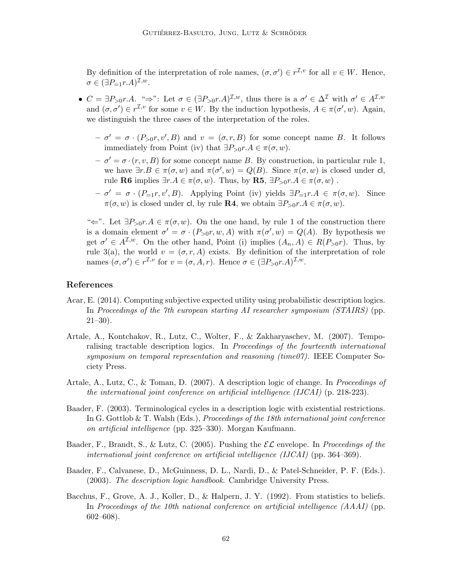By definition of the interpretation of role names,  $(\sigma, \sigma') \in r^{\mathcal{I}, v}$  for all  $v \in W$ . Hence,  $\sigma \in (\exists P_{=1}r.A)^{\mathcal{I},w}.$ 

- $C = \exists P_{>0} r.A.$  " $\Rightarrow$ ": Let  $\sigma \in (\exists P_{>0} r.A)^{\mathcal{I},w}$ , thus there is a  $\sigma' \in \Delta^{\mathcal{I}}$  with  $\sigma' \in A^{\mathcal{I},w}$ and  $(\sigma, \sigma') \in r^{\mathcal{I}, v}$  for some  $v \in W$ . By the induction hypothesis,  $A \in \pi(\sigma', w)$ . Again, we distinguish the three cases of the interpretation of the roles.
	- $-\sigma' = \sigma \cdot (P_{>0}r, v', B)$  and  $v = (\sigma, r, B)$  for some concept name B. It follows immediately from Point (iv) that  $\exists P_{>0}r.A \in \pi(\sigma, w)$ .
	- $-\sigma' = \sigma \cdot (r, v, B)$  for some concept name B. By construction, in particular rule 1, we have  $\exists r.B \in \pi(\sigma, w)$  and  $\pi(\sigma', w) = Q(B)$ . Since  $\pi(\sigma, w)$  is closed under cl, rule **R6** implies  $\exists r.A \in \pi(\sigma, w)$ . Thus, by **R5**,  $\exists P_{>0}r.A \in \pi(\sigma, w)$ .
	- $-\sigma' = \sigma \cdot (P_{=1}r, v', B)$ . Applying Point (iv) yields  $\exists P_{=1}r.A \in \pi(\sigma, w)$ . Since  $\pi(\sigma, w)$  is closed under cl, by rule **R4**, we obtain  $\exists P_{>0} r.A \in \pi(\sigma, w)$ .

" $\Leftarrow$ ". Let  $\exists P_{>0}r.A \in \pi(\sigma, w)$ . On the one hand, by rule 1 of the construction there is a domain element  $\sigma' = \sigma \cdot (P_{>0}r, w, A)$  with  $\pi(\sigma', w) = Q(A)$ . By hypothesis we get  $\sigma' \in A^{\mathcal{I},w}$ . On the other hand, Point (i) implies  $(A_n, A) \in R(P_{>0}r)$ . Thus, by rule 3(a), the world  $v = (\sigma, r, A)$  exists. By definition of the interpretation of role names  $(\sigma, \sigma') \in r^{\mathcal{I}, v}$  for  $v = (\sigma, A, r)$ . Hence  $\sigma \in (\exists P_{>0} r.A)^{\mathcal{I}, w}$ .

## References

- Acar, E. (2014). Computing subjective expected utility using probabilistic description logics. In Proceedings of the 7th european starting AI researcher symposium (STAIRS) (pp. 21–30).
- Artale, A., Kontchakov, R., Lutz, C., Wolter, F., & Zakharyaschev, M. (2007). Temporalising tractable description logics. In Proceedings of the fourteenth international symposium on temporal representation and reasoning (time07). IEEE Computer Society Press.
- Artale, A., Lutz, C., & Toman, D. (2007). A description logic of change. In Proceedings of the international joint conference on artificial intelligence (IJCAI) (p. 218-223).
- Baader, F. (2003). Terminological cycles in a description logic with existential restrictions. In G. Gottlob & T. Walsh (Eds.), Proceedings of the 18th international joint conference on artificial intelligence (pp. 325–330). Morgan Kaufmann.
- Baader, F., Brandt, S., & Lutz, C. (2005). Pushing the  $\mathcal{EL}$  envelope. In Proceedings of the international joint conference on artificial intelligence (IJCAI) (pp. 364–369).
- Baader, F., Calvanese, D., McGuinness, D. L., Nardi, D., & Patel-Schneider, P. F. (Eds.). (2003). The description logic handbook. Cambridge University Press.
- Bacchus, F., Grove, A. J., Koller, D., & Halpern, J. Y. (1992). From statistics to beliefs. In Proceedings of the 10th national conference on artificial intelligence (AAAI) (pp. 602–608).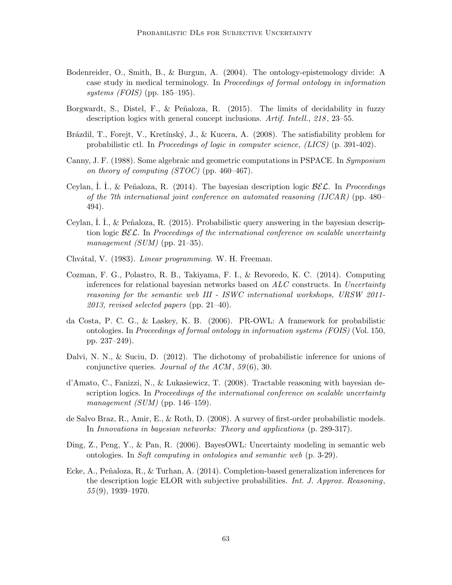- Bodenreider, O., Smith, B., & Burgun, A. (2004). The ontology-epistemology divide: A case study in medical terminology. In Proceedings of formal ontology in information systems (FOIS) (pp. 185–195).
- Borgwardt, S., Distel, F., & Peñaloza, R. (2015). The limits of decidability in fuzzy description logics with general concept inclusions. Artif. Intell., 218 , 23–55.
- Brázdil, T., Forejt, V., Kretínský, J., & Kucera, A. (2008). The satisfiability problem for probabilistic ctl. In Proceedings of logic in computer science, (LICS) (p. 391-402).
- Canny, J. F. (1988). Some algebraic and geometric computations in PSPACE. In Symposium on theory of computing  $(TOC)$  (pp. 460–467).
- Ceylan, I. I., & Peñaloza, R. (2014). The bayesian description logic  $\mathcal{B}\mathcal{E}\mathcal{L}$ . In *Proceedings* of the 7th international joint conference on automated reasoning (IJCAR) (pp. 480– 494).
- Ceylan, I. I.,  $\&$  Peñaloza, R. (2015). Probabilistic query answering in the bayesian description logic  $\mathcal{BEL}$ . In Proceedings of the international conference on scalable uncertainty management (SUM) (pp. 21–35).
- Chvátal, V. (1983). Linear programming. W. H. Freeman.
- Cozman, F. G., Polastro, R. B., Takiyama, F. I., & Revoredo, K. C. (2014). Computing inferences for relational bayesian networks based on  $ALC$  constructs. In Uncertainty reasoning for the semantic web III - ISWC international workshops, URSW 2011-  $2013$ , revised selected papers (pp. 21–40).
- da Costa, P. C. G., & Laskey, K. B. (2006). PR-OWL: A framework for probabilistic ontologies. In Proceedings of formal ontology in information systems (FOIS) (Vol. 150, pp. 237–249).
- Dalvi, N. N., & Suciu, D. (2012). The dichotomy of probabilistic inference for unions of conjunctive queries. Journal of the  $ACM$ , 59(6), 30.
- d'Amato, C., Fanizzi, N., & Lukasiewicz, T. (2008). Tractable reasoning with bayesian description logics. In *Proceedings of the international conference on scalable uncertainty* management  $(SUM)$  (pp. 146–159).
- de Salvo Braz, R., Amir, E., & Roth, D. (2008). A survey of first-order probabilistic models. In Innovations in bayesian networks: Theory and applications (p. 289-317).
- Ding, Z., Peng, Y., & Pan, R. (2006). BayesOWL: Uncertainty modeling in semantic web ontologies. In Soft computing in ontologies and semantic web (p. 3-29).
- Ecke, A., Peñaloza, R., & Turhan, A.  $(2014)$ . Completion-based generalization inferences for the description logic ELOR with subjective probabilities. Int. J. Approx. Reasoning,  $55(9)$ , 1939–1970.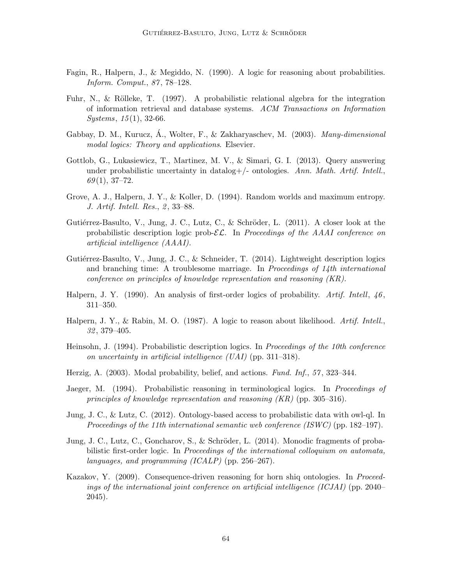- Fagin, R., Halpern, J., & Megiddo, N. (1990). A logic for reasoning about probabilities. Inform. Comput., 87 , 78–128.
- Fuhr, N., & Rölleke, T. (1997). A probabilistic relational algebra for the integration of information retrieval and database systems. ACM Transactions on Information  $Systems, 15(1), 32-66.$
- Gabbay, D. M., Kurucz, Á., Wolter, F., & Zakharyaschev, M. (2003).  $Many-dimensional$ modal logics: Theory and applications. Elsevier.
- Gottlob, G., Lukasiewicz, T., Martinez, M. V., & Simari, G. I. (2013). Query answering under probabilistic uncertainty in datalog+/- ontologies. Ann. Math. Artif. Intell.,  $69(1), 37-72.$
- Grove, A. J., Halpern, J. Y., & Koller, D. (1994). Random worlds and maximum entropy. J. Artif. Intell. Res., 2, 33–88.
- Gutiérrez-Basulto, V., Jung, J. C., Lutz, C., & Schröder, L. (2011). A closer look at the probabilistic description logic prob- $\mathcal{EL}$ . In Proceedings of the AAAI conference on artificial intelligence (AAAI).
- Gutiérrez-Basulto, V., Jung, J. C., & Schneider, T. (2014). Lightweight description logics and branching time: A troublesome marriage. In Proceedings of  $1/4th$  international conference on principles of knowledge representation and reasoning (KR).
- Halpern, J. Y. (1990). An analysis of first-order logics of probability. Artif. Intell,  $46$ , 311–350.
- Halpern, J. Y., & Rabin, M. O. (1987). A logic to reason about likelihood. Artif. Intell. 32 , 379–405.
- Heinsohn, J. (1994). Probabilistic description logics. In Proceedings of the 10th conference on uncertainty in artificial intelligence (UAI) (pp. 311–318).
- Herzig, A. (2003). Modal probability, belief, and actions. Fund. Inf., 57, 323–344.
- Jaeger, M. (1994). Probabilistic reasoning in terminological logics. In Proceedings of principles of knowledge representation and reasoning  $(KR)$  (pp. 305–316).
- Jung, J. C., & Lutz, C. (2012). Ontology-based access to probabilistic data with owl-ql. In Proceedings of the 11th international semantic web conference (ISWC) (pp. 182–197).
- Jung, J. C., Lutz, C., Goncharov, S., & Schröder, L. (2014). Monodic fragments of probabilistic first-order logic. In *Proceedings of the international colloquium on automata*, languages, and programming (ICALP) (pp. 256–267).
- Kazakov, Y. (2009). Consequence-driven reasoning for horn shiq ontologies. In Proceedings of the international joint conference on artificial intelligence (ICJAI) (pp. 2040– 2045).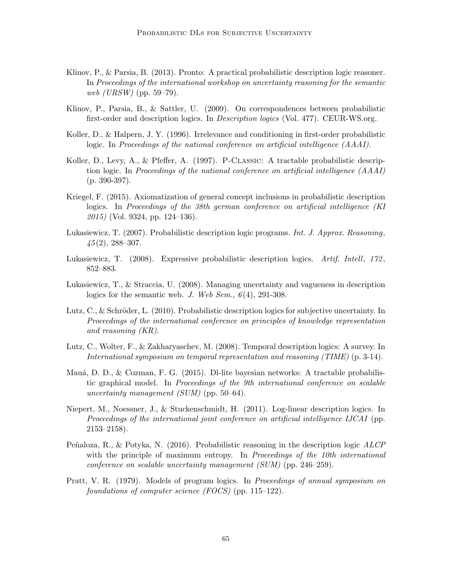- Klinov, P., & Parsia, B. (2013). Pronto: A practical probabilistic description logic reasoner. In Proceedings of the international workshop on uncertainty reasoning for the semantic web (URSW) (pp. 59–79).
- Klinov, P., Parsia, B., & Sattler, U. (2009). On correspondences between probabilistic first-order and description logics. In Description logics (Vol. 477). CEUR-WS.org.
- Koller, D., & Halpern, J. Y. (1996). Irrelevance and conditioning in first-order probabilistic logic. In Proceedings of the national conference on artificial intelligence (AAAI).
- Koller, D., Levy, A., & Pfeffer, A. (1997). P-Classic: A tractable probabilistic description logic. In Proceedings of the national conference on artificial intelligence (AAAI) (p. 390-397).
- Kriegel, F. (2015). Axiomatization of general concept inclusions in probabilistic description logics. In Proceedings of the 38th german conference on artificial intelligence (KI  $2015$  (Vol. 9324, pp. 124–136).
- Lukasiewicz, T. (2007). Probabilistic description logic programs. Int. J. Approx. Reasoning,  $45(2), 288 - 307.$
- Lukasiewicz, T. (2008). Expressive probabilistic description logics. Artif. Intell, 172, 852–883.
- Lukasiewicz, T., & Straccia, U. (2008). Managing uncertainty and vagueness in description logics for the semantic web. J. Web Sem.,  $6(4)$ , 291-308.
- Lutz, C., & Schröder, L. (2010). Probabilistic description logics for subjective uncertainty. In Proceedings of the international conference on principles of knowledge representation and reasoning (KR).
- Lutz, C., Wolter, F., & Zakharyaschev, M. (2008). Temporal description logics: A survey. In International symposium on temporal representation and reasoning (TIME) (p. 3-14).
- Mauá, D. D., & Cozman, F. G. (2015). Dl-lite bayesian networks: A tractable probabilistic graphical model. In Proceedings of the 9th international conference on scalable uncertainty management  $(SUM)$  (pp. 50–64).
- Niepert, M., Noessner, J., & Stuckenschmidt, H. (2011). Log-linear description logics. In Proceedings of the international joint conference on artificial intelligence IJCAI (pp. 2153–2158).
- Peñaloza, R., & Potyka, N. (2016). Probabilistic reasoning in the description logic  $ALCP$ with the principle of maximum entropy. In Proceedings of the 10th international conference on scalable uncertainty management (SUM) (pp. 246–259).
- Pratt, V. R. (1979). Models of program logics. In Proceedings of annual symposium on foundations of computer science (FOCS) (pp. 115–122).